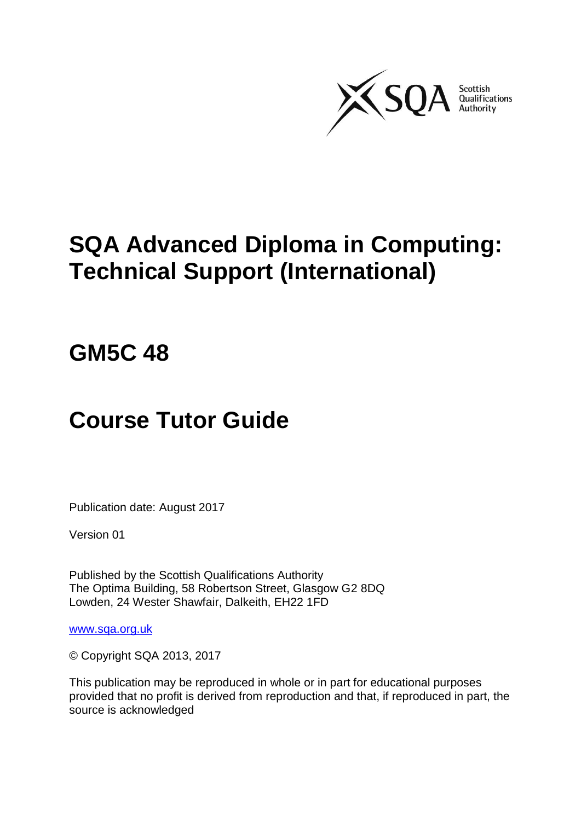

# **SQA Advanced Diploma in Computing: Technical Support (International)**

# **GM5C 48**

# **Course Tutor Guide**

Publication date: August 2017

Version 01

Published by the Scottish Qualifications Authority The Optima Building, 58 Robertson Street, Glasgow G2 8DQ Lowden, 24 Wester Shawfair, Dalkeith, EH22 1FD

[www.sqa.org.uk](http://www.sqa.org.uk/)

© Copyright SQA 2013, 2017

This publication may be reproduced in whole or in part for educational purposes provided that no profit is derived from reproduction and that, if reproduced in part, the source is acknowledged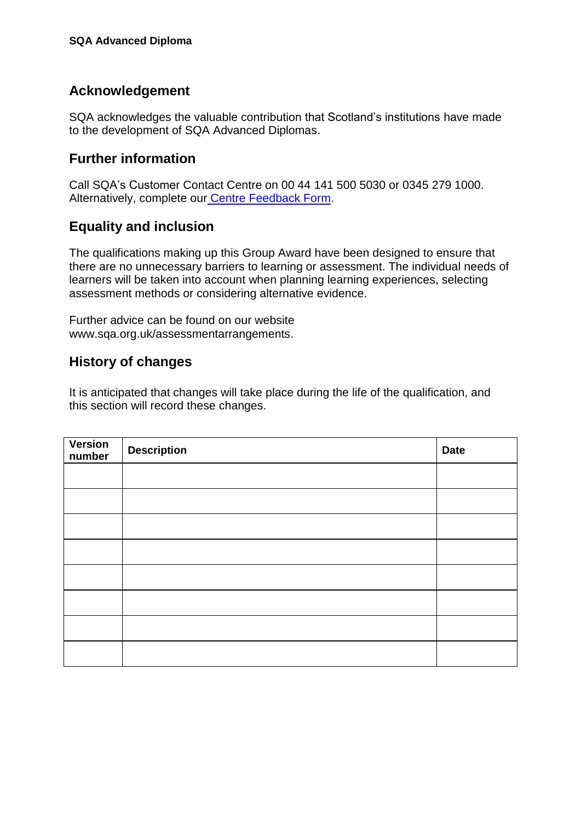### **Acknowledgement**

SQA acknowledges the valuable contribution that Scotland's institutions have made to the development of SQA Advanced Diplomas.

### **Further information**

Call SQA's Customer Contact Centre on 00 44 141 500 5030 or 0345 279 1000. Alternatively, complete our [Centre Feedback Form](https://www.sqa.org.uk/sqa/77338.html?id=2).

### **Equality and inclusion**

The qualifications making up this Group Award have been designed to ensure that there are no unnecessary barriers to learning or assessment. The individual needs of learners will be taken into account when planning learning experiences, selecting assessment methods or considering alternative evidence.

Further advice can be found on our website [www.sqa.org.uk/assessmentarrangements.](http://www.sqa.org.uk/sqa/14977.html)

#### **History of changes**

It is anticipated that changes will take place during the life of the qualification, and this section will record these changes.

| Version<br>number | <b>Description</b> | <b>Date</b> |
|-------------------|--------------------|-------------|
|                   |                    |             |
|                   |                    |             |
|                   |                    |             |
|                   |                    |             |
|                   |                    |             |
|                   |                    |             |
|                   |                    |             |
|                   |                    |             |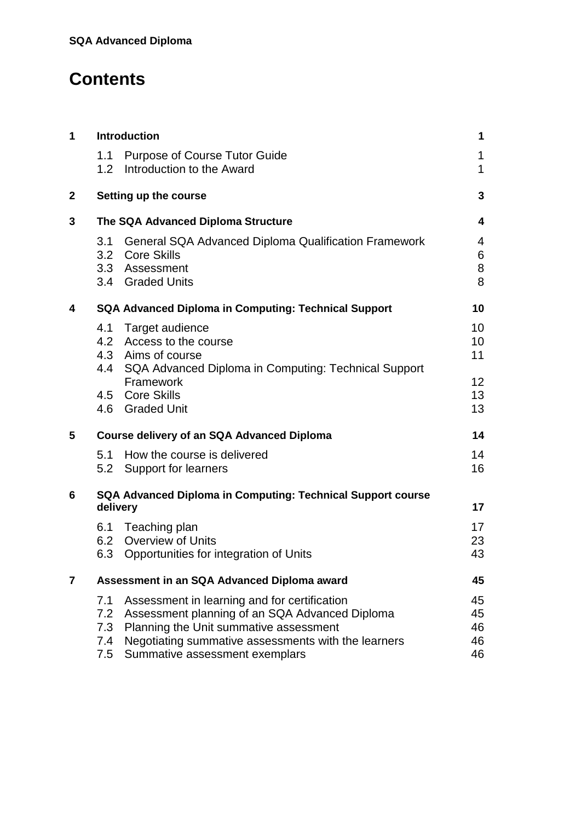## **Contents**

| 1            |                                 | <b>Introduction</b>                                                                                                                                                                                                               | 1                             |
|--------------|---------------------------------|-----------------------------------------------------------------------------------------------------------------------------------------------------------------------------------------------------------------------------------|-------------------------------|
|              | 1.1<br>1.2 <sub>1</sub>         | <b>Purpose of Course Tutor Guide</b><br>Introduction to the Award                                                                                                                                                                 | 1<br>$\mathbf{1}$             |
| $\mathbf{2}$ |                                 | Setting up the course                                                                                                                                                                                                             | 3                             |
| 3            |                                 | The SQA Advanced Diploma Structure                                                                                                                                                                                                | 4                             |
|              | 3.1                             | <b>General SQA Advanced Diploma Qualification Framework</b><br>3.2 Core Skills<br>3.3 Assessment<br>3.4 Graded Units                                                                                                              | $\overline{4}$<br>6<br>8<br>8 |
| 4            |                                 | <b>SQA Advanced Diploma in Computing: Technical Support</b>                                                                                                                                                                       | 10                            |
|              | 4.1                             | Target audience<br>4.2 Access to the course<br>4.3 Aims of course<br>4.4 SQA Advanced Diploma in Computing: Technical Support                                                                                                     | 10<br>10<br>11                |
|              |                                 | Framework<br>4.5 Core Skills<br>4.6 Graded Unit                                                                                                                                                                                   | 12 <sup>2</sup><br>13<br>13   |
| 5            |                                 | Course delivery of an SQA Advanced Diploma                                                                                                                                                                                        | 14                            |
|              | 5.1                             | How the course is delivered<br>5.2 Support for learners                                                                                                                                                                           | 14<br>16                      |
| 6            | delivery                        | SQA Advanced Diploma in Computing: Technical Support course                                                                                                                                                                       | 17                            |
|              |                                 | 6.1 Teaching plan<br>6.2 Overview of Units<br>6.3 Opportunities for integration of Units                                                                                                                                          | 17<br>23<br>43                |
| 7            |                                 | Assessment in an SQA Advanced Diploma award                                                                                                                                                                                       | 45                            |
|              | 7.1<br>7.2<br>7.3<br>7.4<br>7.5 | Assessment in learning and for certification<br>Assessment planning of an SQA Advanced Diploma<br>Planning the Unit summative assessment<br>Negotiating summative assessments with the learners<br>Summative assessment exemplars | 45<br>45<br>46<br>46<br>46    |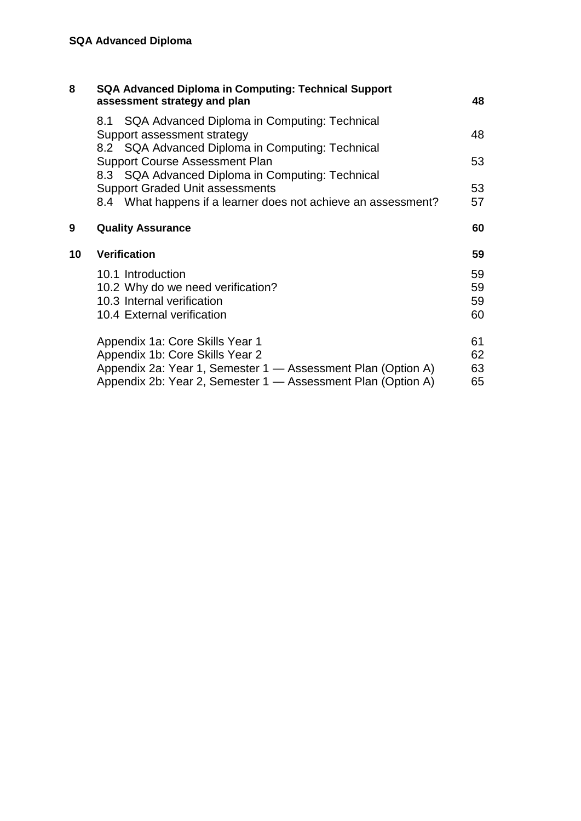| 8  | <b>SQA Advanced Diploma in Computing: Technical Support</b><br>assessment strategy and plan                                         | 48                   |
|----|-------------------------------------------------------------------------------------------------------------------------------------|----------------------|
|    | 8.1 SQA Advanced Diploma in Computing: Technical<br>Support assessment strategy<br>8.2 SQA Advanced Diploma in Computing: Technical | 48                   |
|    | <b>Support Course Assessment Plan</b><br>8.3 SQA Advanced Diploma in Computing: Technical                                           | 53                   |
|    | <b>Support Graded Unit assessments</b><br>8.4 What happens if a learner does not achieve an assessment?                             | 53<br>57             |
| 9  | <b>Quality Assurance</b>                                                                                                            | 60                   |
| 10 | <b>Verification</b>                                                                                                                 | 59                   |
|    | 10.1 Introduction                                                                                                                   |                      |
|    | 10.2 Why do we need verification?<br>10.3 Internal verification<br>10.4 External verification                                       | 59<br>59<br>59<br>60 |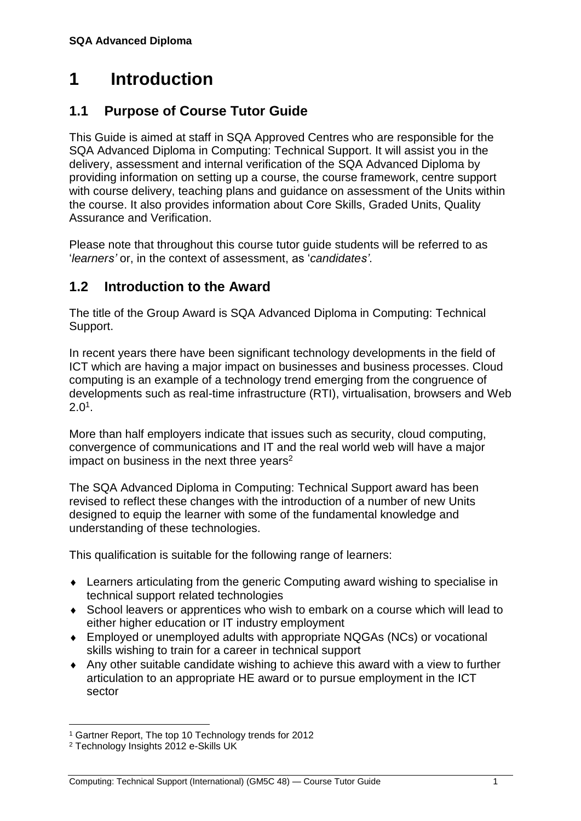## <span id="page-4-0"></span>**1 Introduction**

### <span id="page-4-1"></span>**1.1 Purpose of Course Tutor Guide**

This Guide is aimed at staff in SQA Approved Centres who are responsible for the SQA Advanced Diploma in Computing: Technical Support. It will assist you in the delivery, assessment and internal verification of the SQA Advanced Diploma by providing information on setting up a course, the course framework, centre support with course delivery, teaching plans and guidance on assessment of the Units within the course. It also provides information about Core Skills, Graded Units, Quality Assurance and Verification.

Please note that throughout this course tutor guide students will be referred to as '*learners'* or, in the context of assessment, as '*candidates'*.

### <span id="page-4-2"></span>**1.2 Introduction to the Award**

The title of the Group Award is SQA Advanced Diploma in Computing: Technical Support.

In recent years there have been significant technology developments in the field of ICT which are having a major impact on businesses and business processes. Cloud computing is an example of a technology trend emerging from the congruence of developments such as real-time infrastructure (RTI), virtualisation, browsers and Web  $2.0^1$ .

More than half employers indicate that issues such as security, cloud computing, convergence of communications and IT and the real world web will have a major impact on business in the next three years<sup>2</sup>

The SQA Advanced Diploma in Computing: Technical Support award has been revised to reflect these changes with the introduction of a number of new Units designed to equip the learner with some of the fundamental knowledge and understanding of these technologies.

This qualification is suitable for the following range of learners:

- Learners articulating from the generic Computing award wishing to specialise in technical support related technologies
- School leavers or apprentices who wish to embark on a course which will lead to either higher education or IT industry employment
- Employed or unemployed adults with appropriate NQGAs (NCs) or vocational skills wishing to train for a career in technical support
- Any other suitable candidate wishing to achieve this award with a view to further articulation to an appropriate HE award or to pursue employment in the ICT sector

 $\overline{a}$ <sup>1</sup> Gartner Report, The top 10 Technology trends for 2012

<sup>2</sup> Technology Insights 2012 e-Skills UK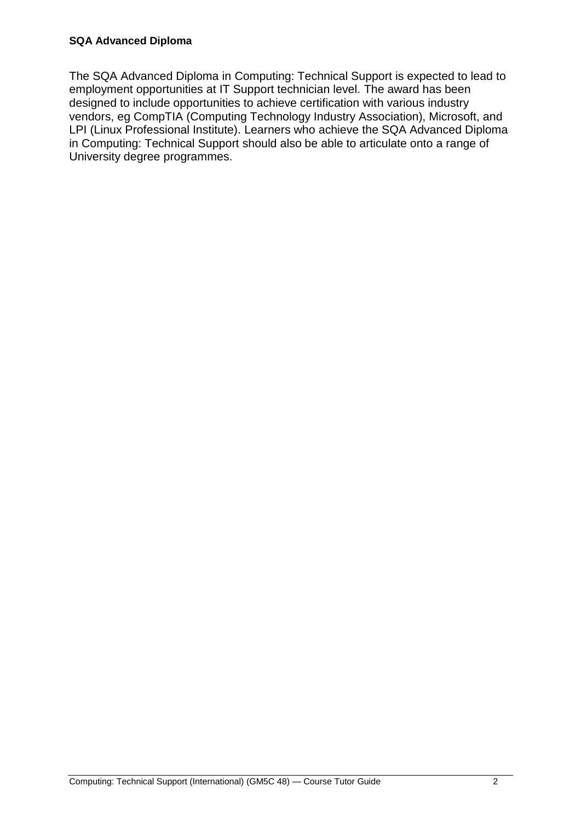The SQA Advanced Diploma in Computing: Technical Support is expected to lead to employment opportunities at IT Support technician level. The award has been designed to include opportunities to achieve certification with various industry vendors, eg CompTIA (Computing Technology Industry Association), Microsoft, and LPI (Linux Professional Institute). Learners who achieve the SQA Advanced Diploma in Computing: Technical Support should also be able to articulate onto a range of University degree programmes.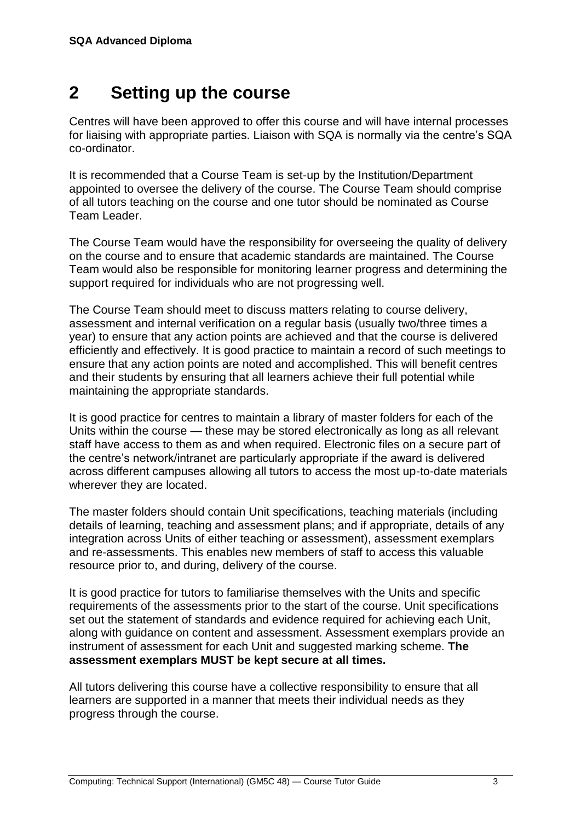## <span id="page-6-0"></span>**2 Setting up the course**

Centres will have been approved to offer this course and will have internal processes for liaising with appropriate parties. Liaison with SQA is normally via the centre's SQA co-ordinator.

It is recommended that a Course Team is set-up by the Institution/Department appointed to oversee the delivery of the course. The Course Team should comprise of all tutors teaching on the course and one tutor should be nominated as Course Team Leader.

The Course Team would have the responsibility for overseeing the quality of delivery on the course and to ensure that academic standards are maintained. The Course Team would also be responsible for monitoring learner progress and determining the support required for individuals who are not progressing well.

The Course Team should meet to discuss matters relating to course delivery, assessment and internal verification on a regular basis (usually two/three times a year) to ensure that any action points are achieved and that the course is delivered efficiently and effectively. It is good practice to maintain a record of such meetings to ensure that any action points are noted and accomplished. This will benefit centres and their students by ensuring that all learners achieve their full potential while maintaining the appropriate standards.

It is good practice for centres to maintain a library of master folders for each of the Units within the course — these may be stored electronically as long as all relevant staff have access to them as and when required. Electronic files on a secure part of the centre's network/intranet are particularly appropriate if the award is delivered across different campuses allowing all tutors to access the most up-to-date materials wherever they are located.

The master folders should contain Unit specifications, teaching materials (including details of learning, teaching and assessment plans; and if appropriate, details of any integration across Units of either teaching or assessment), assessment exemplars and re-assessments. This enables new members of staff to access this valuable resource prior to, and during, delivery of the course.

It is good practice for tutors to familiarise themselves with the Units and specific requirements of the assessments prior to the start of the course. Unit specifications set out the statement of standards and evidence required for achieving each Unit, along with guidance on content and assessment. Assessment exemplars provide an instrument of assessment for each Unit and suggested marking scheme. **The assessment exemplars MUST be kept secure at all times.**

All tutors delivering this course have a collective responsibility to ensure that all learners are supported in a manner that meets their individual needs as they progress through the course.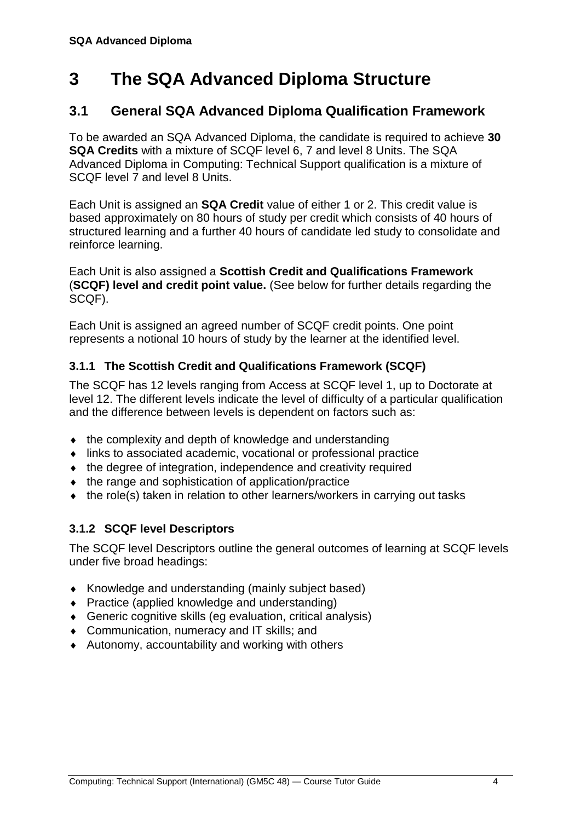## <span id="page-7-0"></span>**3 The SQA Advanced Diploma Structure**

### <span id="page-7-1"></span>**3.1 General SQA Advanced Diploma Qualification Framework**

To be awarded an SQA Advanced Diploma, the candidate is required to achieve **30 SQA Credits** with a mixture of SCQF level 6, 7 and level 8 Units. The SQA Advanced Diploma in Computing: Technical Support qualification is a mixture of SCQF level 7 and level 8 Units.

Each Unit is assigned an **SQA Credit** value of either 1 or 2. This credit value is based approximately on 80 hours of study per credit which consists of 40 hours of structured learning and a further 40 hours of candidate led study to consolidate and reinforce learning.

Each Unit is also assigned a **Scottish Credit and Qualifications Framework** (**SCQF) level and credit point value.** (See below for further details regarding the SCQF).

Each Unit is assigned an agreed number of SCQF credit points. One point represents a notional 10 hours of study by the learner at the identified level.

#### **3.1.1 The Scottish Credit and Qualifications Framework (SCQF)**

The SCQF has 12 levels ranging from Access at SCQF level 1, up to Doctorate at level 12. The different levels indicate the level of difficulty of a particular qualification and the difference between levels is dependent on factors such as:

- $\bullet$  the complexity and depth of knowledge and understanding
- links to associated academic, vocational or professional practice
- the degree of integration, independence and creativity required
- $\bullet$  the range and sophistication of application/practice
- the role(s) taken in relation to other learners/workers in carrying out tasks

#### **3.1.2 SCQF level Descriptors**

The SCQF level Descriptors outline the general outcomes of learning at SCQF levels under five broad headings:

- Knowledge and understanding (mainly subject based)
- ◆ Practice (applied knowledge and understanding)
- Generic cognitive skills (eg evaluation, critical analysis)
- ◆ Communication, numeracy and IT skills; and
- Autonomy, accountability and working with others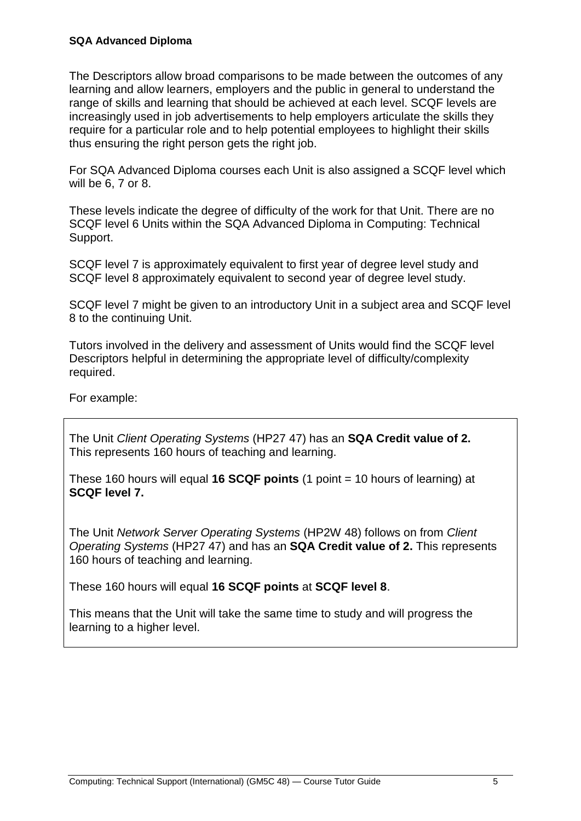#### **SQA Advanced Diploma**

The Descriptors allow broad comparisons to be made between the outcomes of any learning and allow learners, employers and the public in general to understand the range of skills and learning that should be achieved at each level. SCQF levels are increasingly used in job advertisements to help employers articulate the skills they require for a particular role and to help potential employees to highlight their skills thus ensuring the right person gets the right job.

For SQA Advanced Diploma courses each Unit is also assigned a SCQF level which will be 6, 7 or 8.

These levels indicate the degree of difficulty of the work for that Unit. There are no SCQF level 6 Units within the SQA Advanced Diploma in Computing: Technical Support.

SCQF level 7 is approximately equivalent to first year of degree level study and SCQF level 8 approximately equivalent to second year of degree level study.

SCQF level 7 might be given to an introductory Unit in a subject area and SCQF level 8 to the continuing Unit.

Tutors involved in the delivery and assessment of Units would find the SCQF level Descriptors helpful in determining the appropriate level of difficulty/complexity required.

For example:

The Unit *Client Operating Systems* (HP27 47) has an **SQA Credit value of 2.** This represents 160 hours of teaching and learning.

These 160 hours will equal **16 SCQF points** (1 point = 10 hours of learning) at **SCQF level 7.**

The Unit *Network Server Operating Systems* (HP2W 48) follows on from *Client Operating Systems* (HP27 47) and has an **SQA Credit value of 2.** This represents 160 hours of teaching and learning.

These 160 hours will equal **16 SCQF points** at **SCQF level 8**.

This means that the Unit will take the same time to study and will progress the learning to a higher level.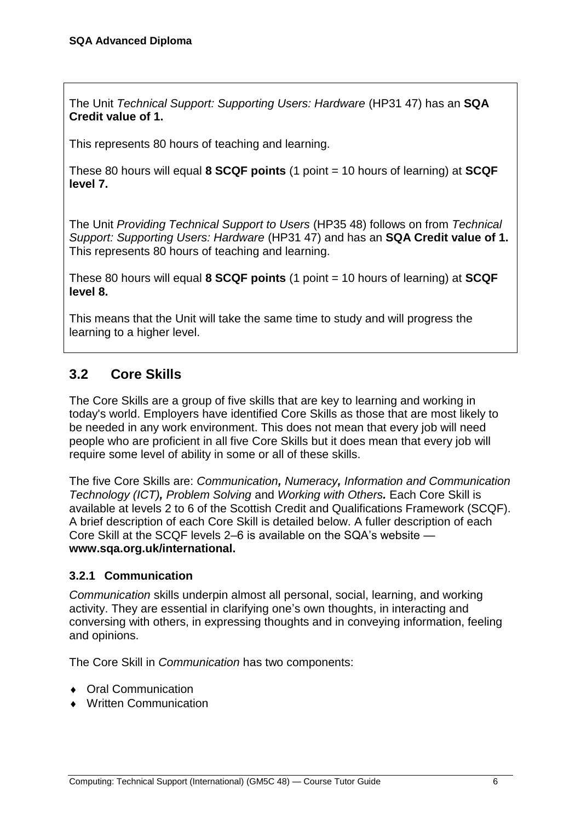The Unit *Technical Support: Supporting Users: Hardware* (HP31 47) has an **SQA Credit value of 1.**

This represents 80 hours of teaching and learning.

These 80 hours will equal **8 SCQF points** (1 point = 10 hours of learning) at **SCQF level 7.**

The Unit *Providing Technical Support to Users* (HP35 48) follows on from *Technical Support: Supporting Users: Hardware* (HP31 47) and has an **SQA Credit value of 1.** This represents 80 hours of teaching and learning.

These 80 hours will equal **8 SCQF points** (1 point = 10 hours of learning) at **SCQF level 8.**

This means that the Unit will take the same time to study and will progress the learning to a higher level.

### <span id="page-9-0"></span>**3.2 Core Skills**

The Core Skills are a group of five skills that are key to learning and working in today's world. Employers have identified Core Skills as those that are most likely to be needed in any work environment. This does not mean that every job will need people who are proficient in all five Core Skills but it does mean that every job will require some level of ability in some or all of these skills.

The five Core Skills are: *Communication, Numeracy, Information and Communication Technology (ICT), Problem Solving* and *Working with Others.* Each Core Skill is available at levels 2 to 6 of the Scottish Credit and Qualifications Framework (SCQF). A brief description of each Core Skill is detailed below. A fuller description of each Core Skill at the SCQF levels 2–6 is available on the SQA's website **[www.sqa.org.uk/international.](http://www.sqa.org.uk/international)**

#### **3.2.1 Communication**

*Communication* skills underpin almost all personal, social, learning, and working activity. They are essential in clarifying one's own thoughts, in interacting and conversing with others, in expressing thoughts and in conveying information, feeling and opinions.

The Core Skill in *Communication* has two components:

- ◆ Oral Communication
- Written Communication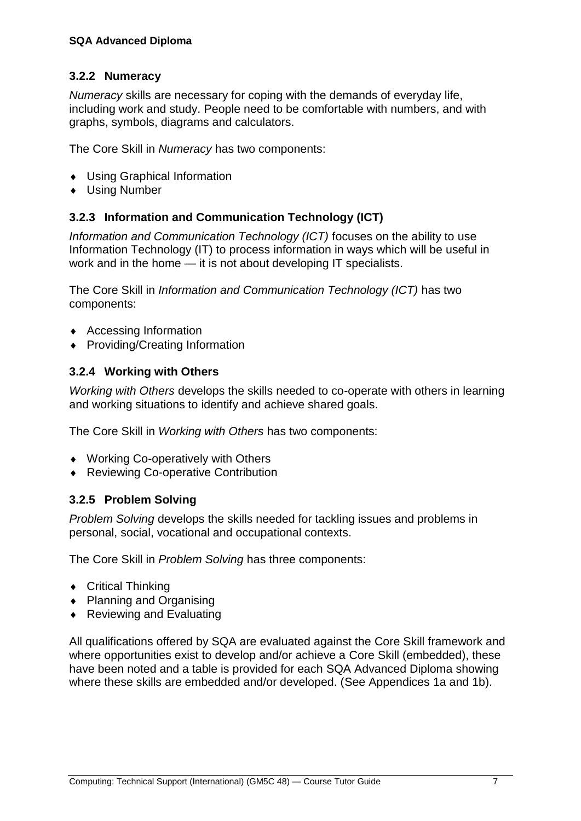#### **3.2.2 Numeracy**

*Numeracy* skills are necessary for coping with the demands of everyday life, including work and study. People need to be comfortable with numbers, and with graphs, symbols, diagrams and calculators.

The Core Skill in *Numeracy* has two components:

- Using Graphical Information
- Using Number

#### **3.2.3 Information and Communication Technology (ICT)**

*Information and Communication Technology (ICT)* focuses on the ability to use Information Technology (IT) to process information in ways which will be useful in work and in the home — it is not about developing IT specialists.

The Core Skill in *Information and Communication Technology (ICT)* has two components:

- ◆ Accessing Information
- ◆ Providing/Creating Information

#### **3.2.4 Working with Others**

*Working with Others* develops the skills needed to co-operate with others in learning and working situations to identify and achieve shared goals.

The Core Skill in *Working with Others* has two components:

- ◆ Working Co-operatively with Others
- ◆ Reviewing Co-operative Contribution

#### **3.2.5 Problem Solving**

*Problem Solving* develops the skills needed for tackling issues and problems in personal, social, vocational and occupational contexts.

The Core Skill in *Problem Solving* has three components:

- ◆ Critical Thinking
- ◆ Planning and Organising
- ◆ Reviewing and Evaluating

All qualifications offered by SQA are evaluated against the Core Skill framework and where opportunities exist to develop and/or achieve a Core Skill (embedded), these have been noted and a table is provided for each SQA Advanced Diploma showing where these skills are embedded and/or developed. (See Appendices 1a and 1b).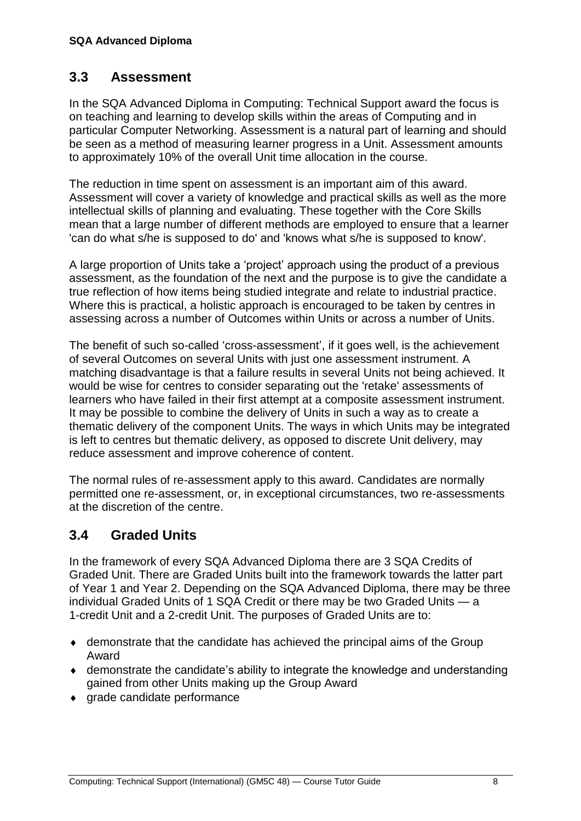### <span id="page-11-0"></span>**3.3 Assessment**

In the SQA Advanced Diploma in Computing: Technical Support award the focus is on teaching and learning to develop skills within the areas of Computing and in particular Computer Networking. Assessment is a natural part of learning and should be seen as a method of measuring learner progress in a Unit. Assessment amounts to approximately 10% of the overall Unit time allocation in the course.

The reduction in time spent on assessment is an important aim of this award. Assessment will cover a variety of knowledge and practical skills as well as the more intellectual skills of planning and evaluating. These together with the Core Skills mean that a large number of different methods are employed to ensure that a learner 'can do what s/he is supposed to do' and 'knows what s/he is supposed to know'.

A large proportion of Units take a 'project' approach using the product of a previous assessment, as the foundation of the next and the purpose is to give the candidate a true reflection of how items being studied integrate and relate to industrial practice. Where this is practical, a holistic approach is encouraged to be taken by centres in assessing across a number of Outcomes within Units or across a number of Units.

The benefit of such so-called 'cross-assessment', if it goes well, is the achievement of several Outcomes on several Units with just one assessment instrument. A matching disadvantage is that a failure results in several Units not being achieved. It would be wise for centres to consider separating out the 'retake' assessments of learners who have failed in their first attempt at a composite assessment instrument. It may be possible to combine the delivery of Units in such a way as to create a thematic delivery of the component Units. The ways in which Units may be integrated is left to centres but thematic delivery, as opposed to discrete Unit delivery, may reduce assessment and improve coherence of content.

The normal rules of re-assessment apply to this award. Candidates are normally permitted one re-assessment, or, in exceptional circumstances, two re-assessments at the discretion of the centre.

### <span id="page-11-1"></span>**3.4 Graded Units**

In the framework of every SQA Advanced Diploma there are 3 SQA Credits of Graded Unit. There are Graded Units built into the framework towards the latter part of Year 1 and Year 2. Depending on the SQA Advanced Diploma, there may be three individual Graded Units of 1 SQA Credit or there may be two Graded Units — a 1-credit Unit and a 2-credit Unit. The purposes of Graded Units are to:

- demonstrate that the candidate has achieved the principal aims of the Group Award
- demonstrate the candidate's ability to integrate the knowledge and understanding gained from other Units making up the Group Award
- grade candidate performance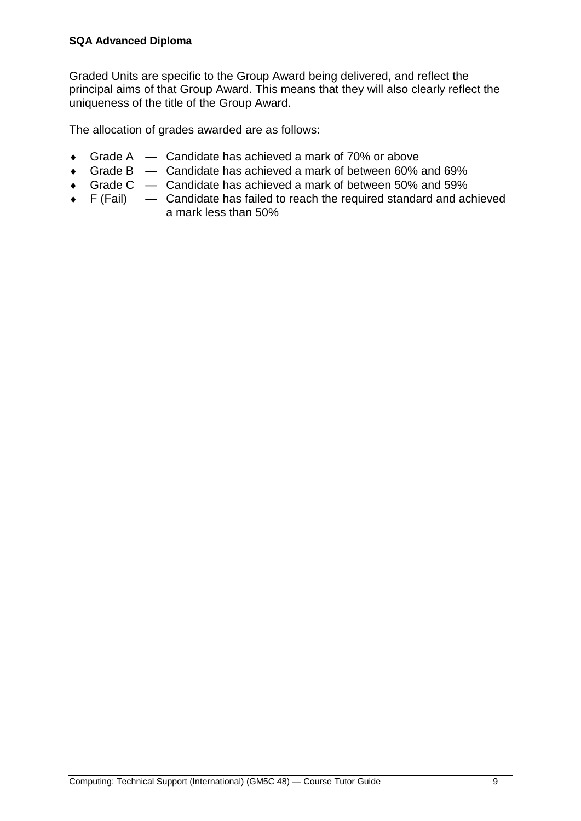Graded Units are specific to the Group Award being delivered, and reflect the principal aims of that Group Award. This means that they will also clearly reflect the uniqueness of the title of the Group Award.

The allocation of grades awarded are as follows:

- ◆ Grade A Candidate has achieved a mark of 70% or above
- Grade B Candidate has achieved a mark of between 60% and 69%
- Grade C Candidate has achieved a mark of between 50% and 59%
- $\bullet$  F (Fail)  $\leftarrow$  Candidate has failed to reach the required standard and achieved a mark less than 50%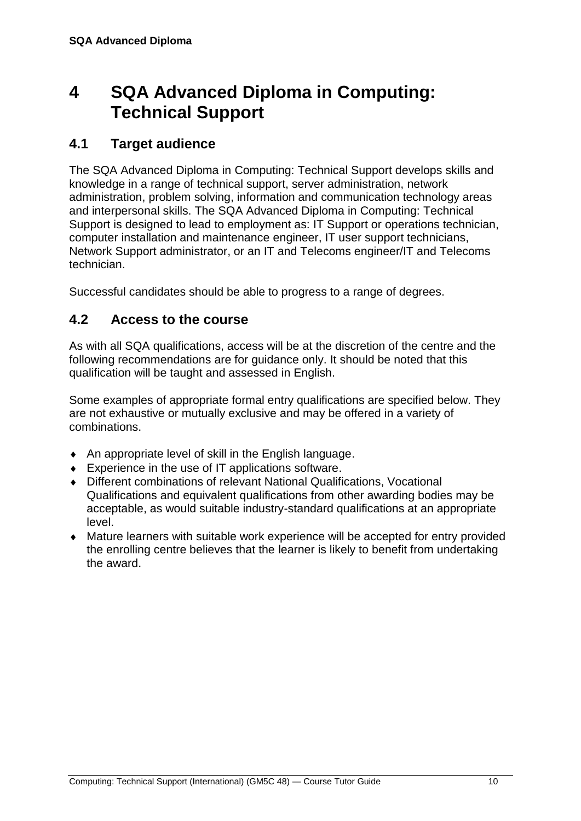## <span id="page-13-0"></span>**4 SQA Advanced Diploma in Computing: Technical Support**

### <span id="page-13-1"></span>**4.1 Target audience**

The SQA Advanced Diploma in Computing: Technical Support develops skills and knowledge in a range of technical support, server administration, network administration, problem solving, information and communication technology areas and interpersonal skills. The SQA Advanced Diploma in Computing: Technical Support is designed to lead to employment as: IT Support or operations technician, computer installation and maintenance engineer, IT user support technicians, Network Support administrator, or an IT and Telecoms engineer/IT and Telecoms technician.

<span id="page-13-2"></span>Successful candidates should be able to progress to a range of degrees.

### **4.2 Access to the course**

As with all SQA qualifications, access will be at the discretion of the centre and the following recommendations are for guidance only. It should be noted that this qualification will be taught and assessed in English.

Some examples of appropriate formal entry qualifications are specified below. They are not exhaustive or mutually exclusive and may be offered in a variety of combinations.

- An appropriate level of skill in the English language.
- ◆ Experience in the use of IT applications software.
- Different combinations of relevant National Qualifications, Vocational Qualifications and equivalent qualifications from other awarding bodies may be acceptable, as would suitable industry-standard qualifications at an appropriate level.
- Mature learners with suitable work experience will be accepted for entry provided the enrolling centre believes that the learner is likely to benefit from undertaking the award.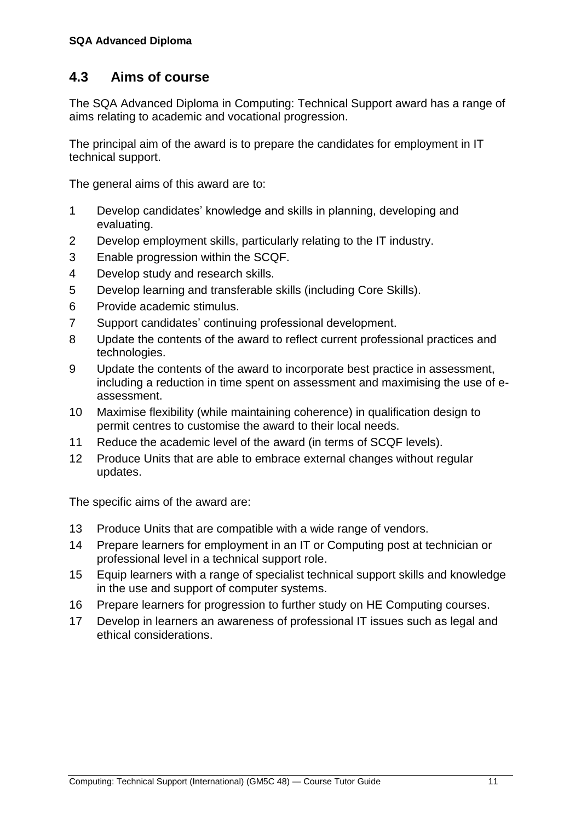### <span id="page-14-0"></span>**4.3 Aims of course**

The SQA Advanced Diploma in Computing: Technical Support award has a range of aims relating to academic and vocational progression.

The principal aim of the award is to prepare the candidates for employment in IT technical support.

The general aims of this award are to:

- 1 Develop candidates' knowledge and skills in planning, developing and evaluating.
- 2 Develop employment skills, particularly relating to the IT industry.
- 3 Enable progression within the SCQF.
- 4 Develop study and research skills.
- 5 Develop learning and transferable skills (including Core Skills).
- 6 Provide academic stimulus.
- 7 Support candidates' continuing professional development.
- 8 Update the contents of the award to reflect current professional practices and technologies.
- 9 Update the contents of the award to incorporate best practice in assessment, including a reduction in time spent on assessment and maximising the use of eassessment.
- 10 Maximise flexibility (while maintaining coherence) in qualification design to permit centres to customise the award to their local needs.
- 11 Reduce the academic level of the award (in terms of SCQF levels).
- 12 Produce Units that are able to embrace external changes without regular updates.

The specific aims of the award are:

- 13 Produce Units that are compatible with a wide range of vendors.
- 14 Prepare learners for employment in an IT or Computing post at technician or professional level in a technical support role.
- 15 Equip learners with a range of specialist technical support skills and knowledge in the use and support of computer systems.
- 16 Prepare learners for progression to further study on HE Computing courses.
- 17 Develop in learners an awareness of professional IT issues such as legal and ethical considerations.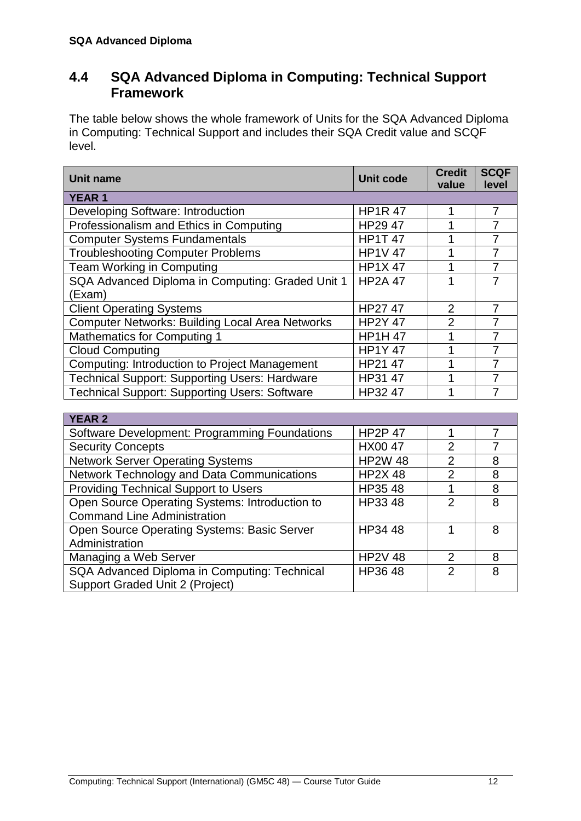### <span id="page-15-0"></span>**4.4 SQA Advanced Diploma in Computing: Technical Support Framework**

The table below shows the whole framework of Units for the SQA Advanced Diploma in Computing: Technical Support and includes their SQA Credit value and SCQF level.

| <b>Unit name</b>                                       | <b>Unit code</b> | <b>Credit</b><br>value | <b>SCQF</b><br>level |
|--------------------------------------------------------|------------------|------------------------|----------------------|
| <b>YEAR1</b>                                           |                  |                        |                      |
| Developing Software: Introduction                      | <b>HP1R47</b>    |                        | 7                    |
| Professionalism and Ethics in Computing                | HP29 47          |                        |                      |
| <b>Computer Systems Fundamentals</b>                   | <b>HP1T 47</b>   |                        |                      |
| <b>Troubleshooting Computer Problems</b>               | <b>HP1V 47</b>   |                        | 7                    |
| Team Working in Computing                              | <b>HP1X47</b>    | 1                      | 7                    |
| SQA Advanced Diploma in Computing: Graded Unit 1       | <b>HP2A 47</b>   | 1                      | 7                    |
| (Exam)                                                 |                  |                        |                      |
| <b>Client Operating Systems</b>                        | HP2747           | $\overline{2}$         | 7                    |
| <b>Computer Networks: Building Local Area Networks</b> | <b>HP2Y 47</b>   | $\overline{2}$         | 7                    |
| <b>Mathematics for Computing 1</b>                     | <b>HP1H47</b>    | 1                      |                      |
| <b>Cloud Computing</b>                                 | <b>HP1Y47</b>    |                        |                      |
| <b>Computing: Introduction to Project Management</b>   | HP21 47          |                        |                      |
| <b>Technical Support: Supporting Users: Hardware</b>   | HP31 47          |                        |                      |
| <b>Technical Support: Supporting Users: Software</b>   | HP32 47          | 1                      |                      |
|                                                        |                  |                        |                      |

| <b>HP2P 47</b> |               |   |
|----------------|---------------|---|
| HX00 47        | 2             |   |
| <b>HP2W 48</b> | $\mathcal{P}$ | 8 |
| <b>HP2X48</b>  | $\mathcal{P}$ | 8 |
| HP35 48        |               | 8 |
| HP33 48        | $\mathcal{P}$ | 8 |
|                |               |   |
| HP34 48        |               | 8 |
|                |               |   |
| <b>HP2V 48</b> | $\mathcal{P}$ | 8 |
| HP3648         | $\mathcal{P}$ | 8 |
|                |               |   |
|                |               |   |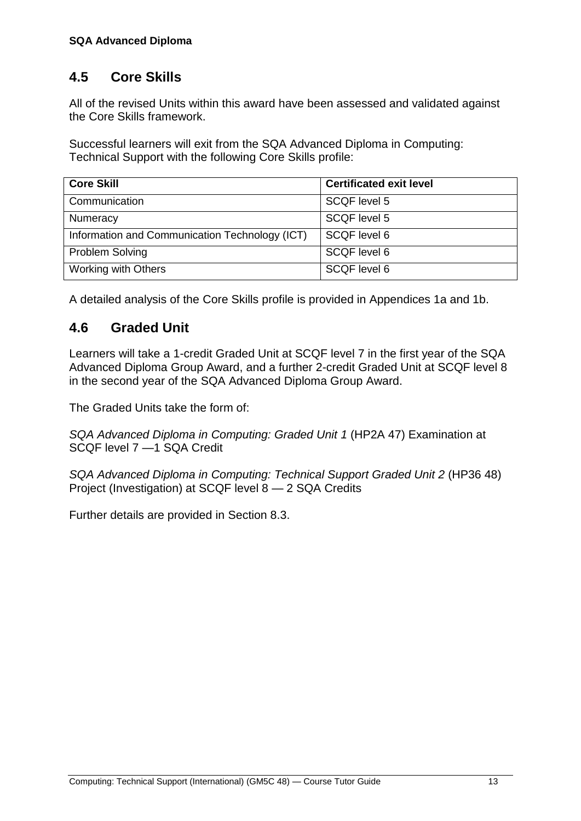### <span id="page-16-0"></span>**4.5 Core Skills**

All of the revised Units within this award have been assessed and validated against the Core Skills framework.

Successful learners will exit from the SQA Advanced Diploma in Computing: Technical Support with the following Core Skills profile:

| <b>Core Skill</b>                              | <b>Certificated exit level</b> |
|------------------------------------------------|--------------------------------|
| Communication                                  | SCQF level 5                   |
| Numeracy                                       | SCQF level 5                   |
| Information and Communication Technology (ICT) | SCQF level 6                   |
| <b>Problem Solving</b>                         | SCQF level 6                   |
| Working with Others                            | SCQF level 6                   |

<span id="page-16-1"></span>A detailed analysis of the Core Skills profile is provided in Appendices 1a and 1b.

### **4.6 Graded Unit**

Learners will take a 1-credit Graded Unit at SCQF level 7 in the first year of the SQA Advanced Diploma Group Award, and a further 2-credit Graded Unit at SCQF level 8 in the second year of the SQA Advanced Diploma Group Award.

The Graded Units take the form of:

*SQA Advanced Diploma in Computing: Graded Unit 1* (HP2A 47) Examination at SCQF level 7 —1 SQA Credit

*SQA Advanced Diploma in Computing: Technical Support Graded Unit 2* (HP36 48) Project (Investigation) at SCQF level 8 — 2 SQA Credits

Further details are provided in Section 8.3.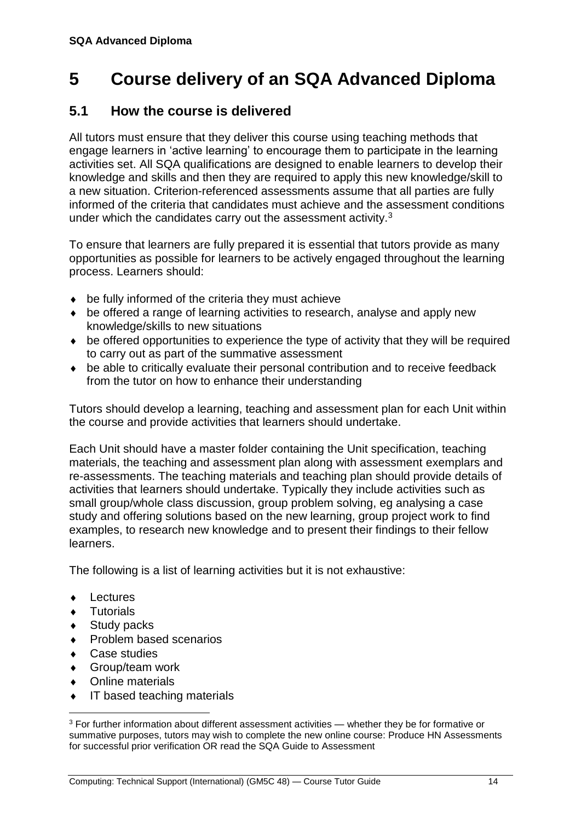## <span id="page-17-0"></span>**5 Course delivery of an SQA Advanced Diploma**

### <span id="page-17-1"></span>**5.1 How the course is delivered**

All tutors must ensure that they deliver this course using teaching methods that engage learners in 'active learning' to encourage them to participate in the learning activities set. All SQA qualifications are designed to enable learners to develop their knowledge and skills and then they are required to apply this new knowledge/skill to a new situation. Criterion-referenced assessments assume that all parties are fully informed of the criteria that candidates must achieve and the assessment conditions under which the candidates carry out the assessment activity.<sup>3</sup>

To ensure that learners are fully prepared it is essential that tutors provide as many opportunities as possible for learners to be actively engaged throughout the learning process. Learners should:

- $\bullet$  be fully informed of the criteria they must achieve
- be offered a range of learning activities to research, analyse and apply new knowledge/skills to new situations
- be offered opportunities to experience the type of activity that they will be required to carry out as part of the summative assessment
- be able to critically evaluate their personal contribution and to receive feedback from the tutor on how to enhance their understanding

Tutors should develop a learning, teaching and assessment plan for each Unit within the course and provide activities that learners should undertake.

Each Unit should have a master folder containing the Unit specification, teaching materials, the teaching and assessment plan along with assessment exemplars and re-assessments. The teaching materials and teaching plan should provide details of activities that learners should undertake. Typically they include activities such as small group/whole class discussion, group problem solving, eg analysing a case study and offering solutions based on the new learning, group project work to find examples, to research new knowledge and to present their findings to their fellow learners.

The following is a list of learning activities but it is not exhaustive:

- **+** Lectures
- **Tutorials**

 $\overline{a}$ 

- ◆ Study packs
- Problem based scenarios
- Case studies
- Group/team work
- Online materials
- IT based teaching materials

<sup>&</sup>lt;sup>3</sup> For further information about different assessment activities — whether they be for formative or summative purposes, tutors may wish to complete the new online course: Produce HN Assessments for successful prior verification OR read the SQA Guide to Assessment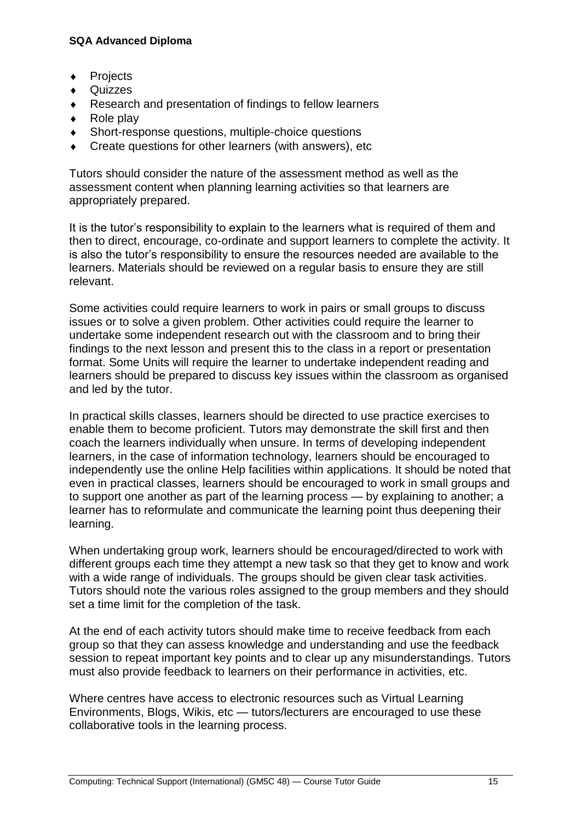- ◆ Projects
- ◆ Quizzes
- ◆ Research and presentation of findings to fellow learners
- $\leftarrow$  Role play
- Short-response questions, multiple-choice questions
- Create questions for other learners (with answers), etc

Tutors should consider the nature of the assessment method as well as the assessment content when planning learning activities so that learners are appropriately prepared.

It is the tutor's responsibility to explain to the learners what is required of them and then to direct, encourage, co-ordinate and support learners to complete the activity. It is also the tutor's responsibility to ensure the resources needed are available to the learners. Materials should be reviewed on a regular basis to ensure they are still relevant.

Some activities could require learners to work in pairs or small groups to discuss issues or to solve a given problem. Other activities could require the learner to undertake some independent research out with the classroom and to bring their findings to the next lesson and present this to the class in a report or presentation format. Some Units will require the learner to undertake independent reading and learners should be prepared to discuss key issues within the classroom as organised and led by the tutor.

In practical skills classes, learners should be directed to use practice exercises to enable them to become proficient. Tutors may demonstrate the skill first and then coach the learners individually when unsure. In terms of developing independent learners, in the case of information technology, learners should be encouraged to independently use the online Help facilities within applications. It should be noted that even in practical classes, learners should be encouraged to work in small groups and to support one another as part of the learning process — by explaining to another; a learner has to reformulate and communicate the learning point thus deepening their learning.

When undertaking group work, learners should be encouraged/directed to work with different groups each time they attempt a new task so that they get to know and work with a wide range of individuals. The groups should be given clear task activities. Tutors should note the various roles assigned to the group members and they should set a time limit for the completion of the task.

At the end of each activity tutors should make time to receive feedback from each group so that they can assess knowledge and understanding and use the feedback session to repeat important key points and to clear up any misunderstandings. Tutors must also provide feedback to learners on their performance in activities, etc.

Where centres have access to electronic resources such as Virtual Learning Environments, Blogs, Wikis, etc — tutors/lecturers are encouraged to use these collaborative tools in the learning process.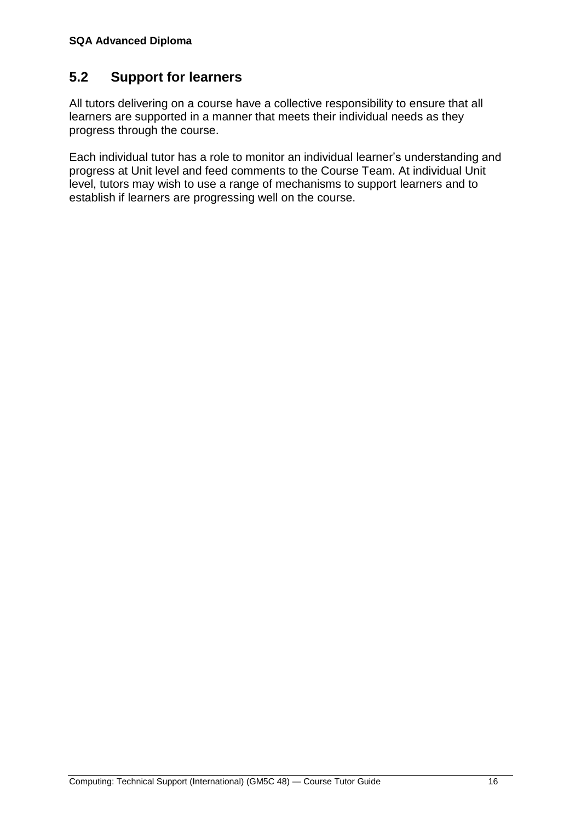### <span id="page-19-0"></span>**5.2 Support for learners**

All tutors delivering on a course have a collective responsibility to ensure that all learners are supported in a manner that meets their individual needs as they progress through the course.

Each individual tutor has a role to monitor an individual learner's understanding and progress at Unit level and feed comments to the Course Team. At individual Unit level, tutors may wish to use a range of mechanisms to support learners and to establish if learners are progressing well on the course.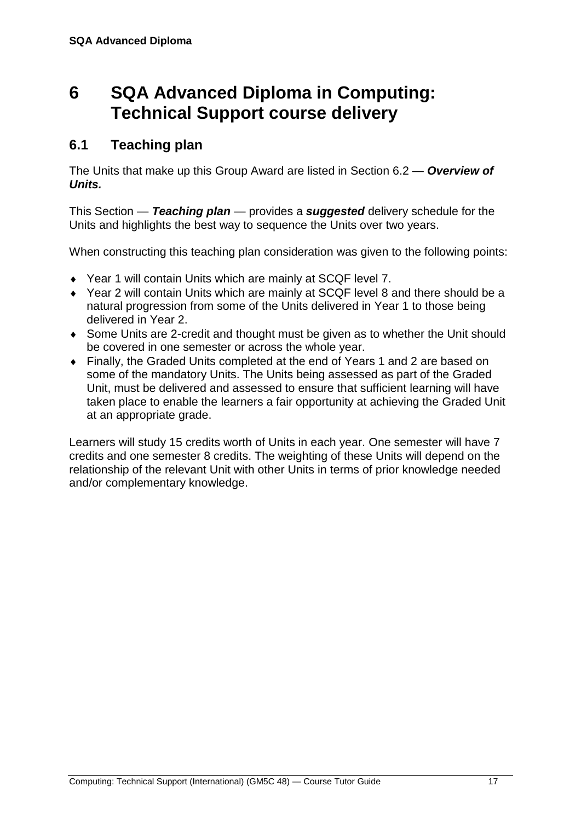## <span id="page-20-0"></span>**6 SQA Advanced Diploma in Computing: Technical Support course delivery**

### <span id="page-20-1"></span>**6.1 Teaching plan**

The Units that make up this Group Award are listed in Section 6.2 — *Overview of Units.*

This Section — *Teaching plan* — provides a *suggested* delivery schedule for the Units and highlights the best way to sequence the Units over two years.

When constructing this teaching plan consideration was given to the following points:

- Year 1 will contain Units which are mainly at SCQF level 7.
- Year 2 will contain Units which are mainly at SCQF level 8 and there should be a natural progression from some of the Units delivered in Year 1 to those being delivered in Year 2.
- Some Units are 2-credit and thought must be given as to whether the Unit should be covered in one semester or across the whole year.
- Finally, the Graded Units completed at the end of Years 1 and 2 are based on some of the mandatory Units. The Units being assessed as part of the Graded Unit, must be delivered and assessed to ensure that sufficient learning will have taken place to enable the learners a fair opportunity at achieving the Graded Unit at an appropriate grade.

Learners will study 15 credits worth of Units in each year. One semester will have 7 credits and one semester 8 credits. The weighting of these Units will depend on the relationship of the relevant Unit with other Units in terms of prior knowledge needed and/or complementary knowledge.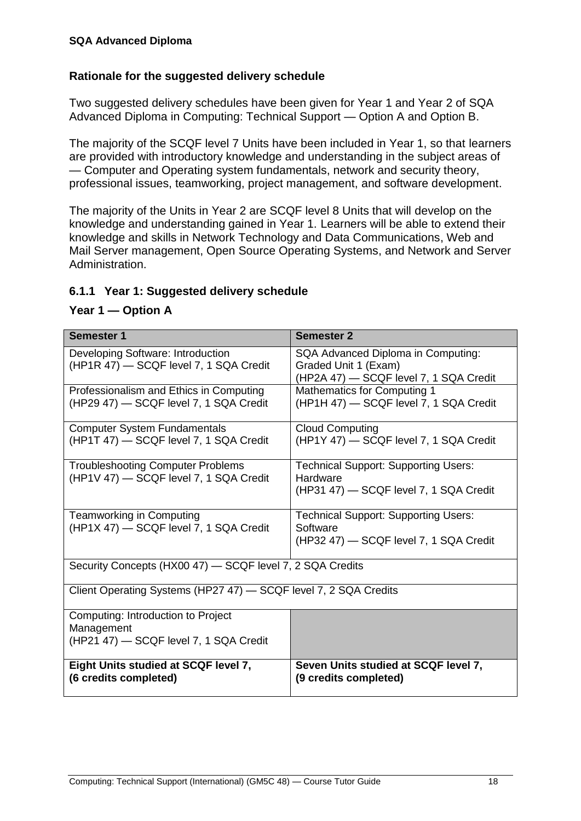#### **Rationale for the suggested delivery schedule**

Two suggested delivery schedules have been given for Year 1 and Year 2 of SQA Advanced Diploma in Computing: Technical Support — Option A and Option B.

The majority of the SCQF level 7 Units have been included in Year 1, so that learners are provided with introductory knowledge and understanding in the subject areas of — Computer and Operating system fundamentals, network and security theory, professional issues, teamworking, project management, and software development.

The majority of the Units in Year 2 are SCQF level 8 Units that will develop on the knowledge and understanding gained in Year 1. Learners will be able to extend their knowledge and skills in Network Technology and Data Communications, Web and Mail Server management, Open Source Operating Systems, and Network and Server Administration.

#### **6.1.1 Year 1: Suggested delivery schedule**

#### **Year 1 — Option A**

| <b>Semester 1</b>                                                                          | <b>Semester 2</b>                                                                                    |
|--------------------------------------------------------------------------------------------|------------------------------------------------------------------------------------------------------|
| Developing Software: Introduction<br>(HP1R 47) - SCQF level 7, 1 SQA Credit                | SQA Advanced Diploma in Computing:<br>Graded Unit 1 (Exam)<br>(HP2A 47) - SCQF level 7, 1 SQA Credit |
| Professionalism and Ethics in Computing<br>(HP29 47) - SCQF level 7, 1 SQA Credit          | <b>Mathematics for Computing 1</b><br>(HP1H 47) - SCQF level 7, 1 SQA Credit                         |
| <b>Computer System Fundamentals</b><br>(HP1T 47) - SCQF level 7, 1 SQA Credit              | <b>Cloud Computing</b><br>(HP1Y 47) - SCQF level 7, 1 SQA Credit                                     |
| <b>Troubleshooting Computer Problems</b><br>(HP1V 47) - SCQF level 7, 1 SQA Credit         | <b>Technical Support: Supporting Users:</b><br>Hardware<br>(HP31 47) - SCQF level 7, 1 SQA Credit    |
| Teamworking in Computing<br>(HP1X 47) - SCQF level 7, 1 SQA Credit                         | Technical Support: Supporting Users:<br>Software<br>(HP32 47) - SCQF level 7, 1 SQA Credit           |
| Security Concepts (HX00 47) - SCQF level 7, 2 SQA Credits                                  |                                                                                                      |
| Client Operating Systems (HP27 47) - SCQF level 7, 2 SQA Credits                           |                                                                                                      |
| Computing: Introduction to Project<br>Management<br>(HP21 47) - SCQF level 7, 1 SQA Credit |                                                                                                      |
| Eight Units studied at SCQF level 7,<br>(6 credits completed)                              | Seven Units studied at SCQF level 7,<br>(9 credits completed)                                        |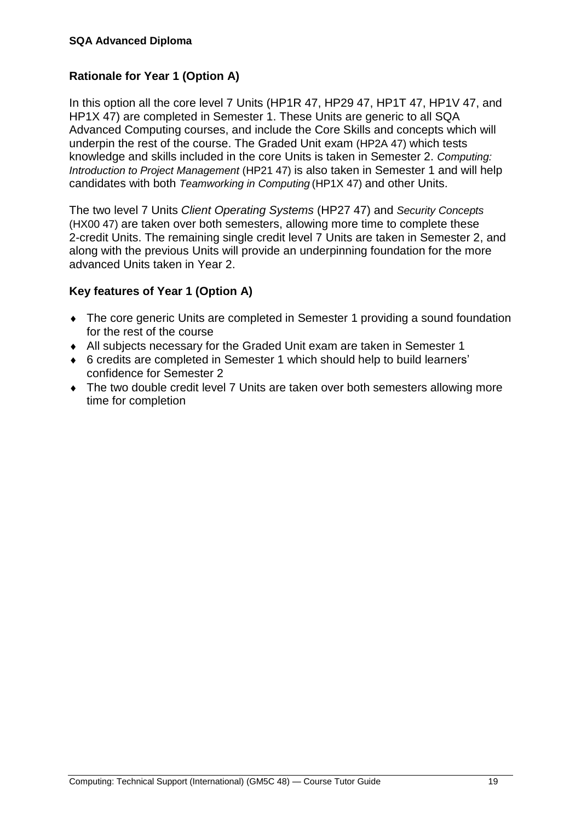#### **Rationale for Year 1 (Option A)**

In this option all the core level 7 Units (HP1R 47, HP29 47, HP1T 47, HP1V 47, and HP1X 47) are completed in Semester 1. These Units are generic to all SQA Advanced Computing courses, and include the Core Skills and concepts which will underpin the rest of the course. The Graded Unit exam (HP2A 47) which tests knowledge and skills included in the core Units is taken in Semester 2. *Computing: Introduction to Project Management* (HP21 47) is also taken in Semester 1 and will help candidates with both *Teamworking in Computing* (HP1X 47) and other Units.

The two level 7 Units *Client Operating Systems* (HP27 47) and *Security Concepts* (HX00 47) are taken over both semesters, allowing more time to complete these 2-credit Units. The remaining single credit level 7 Units are taken in Semester 2, and along with the previous Units will provide an underpinning foundation for the more advanced Units taken in Year 2.

#### **Key features of Year 1 (Option A)**

- The core generic Units are completed in Semester 1 providing a sound foundation for the rest of the course
- All subjects necessary for the Graded Unit exam are taken in Semester 1
- 6 credits are completed in Semester 1 which should help to build learners' confidence for Semester 2
- The two double credit level 7 Units are taken over both semesters allowing more time for completion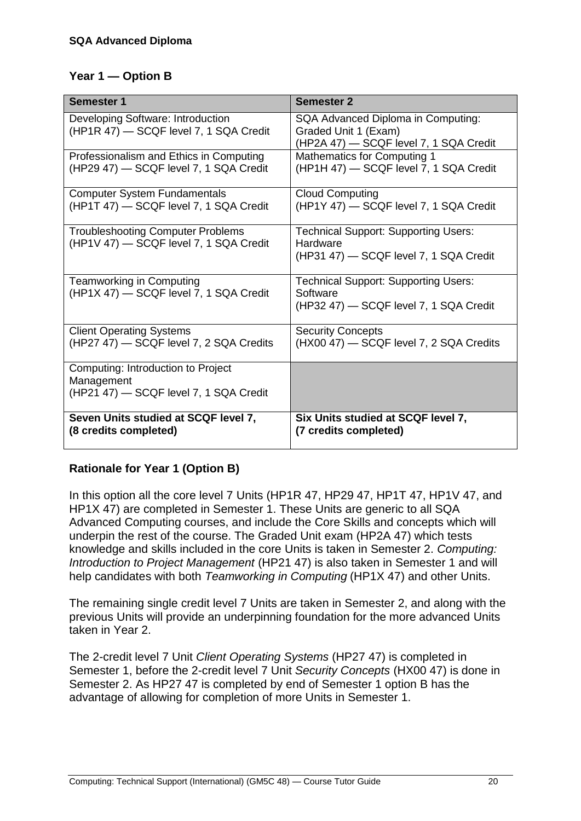#### **Year 1 — Option B**

| <b>Semester 1</b>                                                                          | <b>Semester 2</b>                                                                                    |
|--------------------------------------------------------------------------------------------|------------------------------------------------------------------------------------------------------|
| Developing Software: Introduction<br>(HP1R 47) - SCQF level 7, 1 SQA Credit                | SQA Advanced Diploma in Computing:<br>Graded Unit 1 (Exam)<br>(HP2A 47) - SCQF level 7, 1 SQA Credit |
| Professionalism and Ethics in Computing<br>(HP29 47) - SCQF level 7, 1 SQA Credit          | <b>Mathematics for Computing 1</b><br>(HP1H 47) - SCQF level 7, 1 SQA Credit                         |
| <b>Computer System Fundamentals</b><br>(HP1T 47) - SCQF level 7, 1 SQA Credit              | <b>Cloud Computing</b><br>(HP1Y 47) - SCQF level 7, 1 SQA Credit                                     |
| <b>Troubleshooting Computer Problems</b><br>(HP1V 47) - SCQF level 7, 1 SQA Credit         | <b>Technical Support: Supporting Users:</b><br>Hardware<br>(HP31 47) - SCQF level 7, 1 SQA Credit    |
| Teamworking in Computing<br>(HP1X 47) - SCQF level 7, 1 SQA Credit                         | <b>Technical Support: Supporting Users:</b><br>Software<br>(HP32 47) - SCQF level 7, 1 SQA Credit    |
| <b>Client Operating Systems</b><br>(HP27 47) - SCQF level 7, 2 SQA Credits                 | <b>Security Concepts</b><br>(HX00 47) - SCQF level 7, 2 SQA Credits                                  |
| Computing: Introduction to Project<br>Management<br>(HP21 47) - SCQF level 7, 1 SQA Credit |                                                                                                      |
| Seven Units studied at SCQF level 7,<br>(8 credits completed)                              | Six Units studied at SCQF level 7,<br>(7 credits completed)                                          |

#### **Rationale for Year 1 (Option B)**

In this option all the core level 7 Units (HP1R 47, HP29 47, HP1T 47, HP1V 47, and HP1X 47) are completed in Semester 1. These Units are generic to all SQA Advanced Computing courses, and include the Core Skills and concepts which will underpin the rest of the course. The Graded Unit exam (HP2A 47) which tests knowledge and skills included in the core Units is taken in Semester 2. *Computing: Introduction to Project Management* (HP21 47) is also taken in Semester 1 and will help candidates with both *Teamworking in Computing* (HP1X 47) and other Units.

The remaining single credit level 7 Units are taken in Semester 2, and along with the previous Units will provide an underpinning foundation for the more advanced Units taken in Year 2.

The 2-credit level 7 Unit *Client Operating Systems* (HP27 47) is completed in Semester 1, before the 2-credit level 7 Unit *Security Concepts* (HX00 47) is done in Semester 2. As HP27 47 is completed by end of Semester 1 option B has the advantage of allowing for completion of more Units in Semester 1.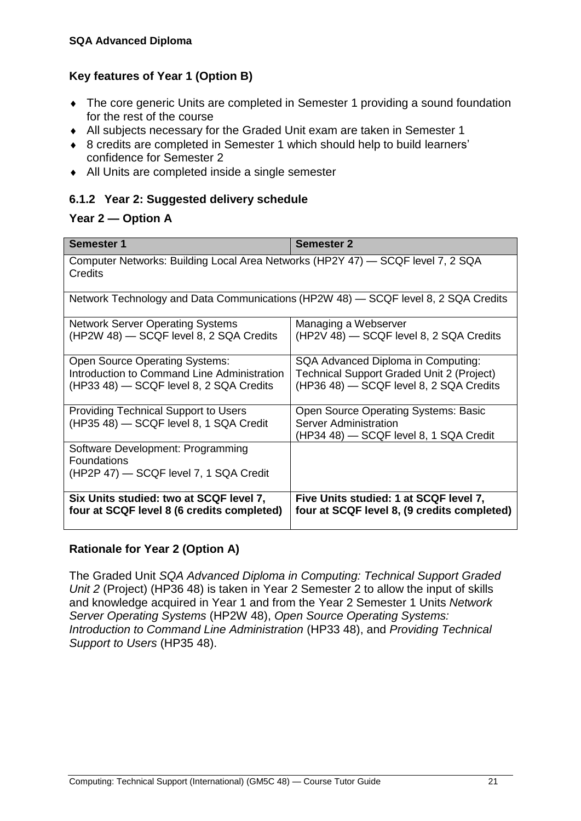#### **Key features of Year 1 (Option B)**

- The core generic Units are completed in Semester 1 providing a sound foundation for the rest of the course
- All subjects necessary for the Graded Unit exam are taken in Semester 1
- 8 credits are completed in Semester 1 which should help to build learners' confidence for Semester 2
- All Units are completed inside a single semester

#### **6.1.2 Year 2: Suggested delivery schedule**

#### **Year 2 — Option A**

| <b>Semester 1</b>                                                                          | <b>Semester 2</b>                                |  |
|--------------------------------------------------------------------------------------------|--------------------------------------------------|--|
| Computer Networks: Building Local Area Networks (HP2Y 47) — SCQF level 7, 2 SQA<br>Credits |                                                  |  |
| Network Technology and Data Communications (HP2W 48) — SCQF level 8, 2 SQA Credits         |                                                  |  |
| <b>Network Server Operating Systems</b>                                                    | Managing a Webserver                             |  |
| (HP2W 48) - SCQF level 8, 2 SQA Credits                                                    | (HP2V 48) - SCQF level 8, 2 SQA Credits          |  |
| <b>Open Source Operating Systems:</b>                                                      | SQA Advanced Diploma in Computing:               |  |
| Introduction to Command Line Administration                                                | <b>Technical Support Graded Unit 2 (Project)</b> |  |
| (HP33 48) - SCQF level 8, 2 SQA Credits                                                    | (HP36 48) - SCQF level 8, 2 SQA Credits          |  |
| <b>Providing Technical Support to Users</b>                                                | <b>Open Source Operating Systems: Basic</b>      |  |
| (HP35 48) - SCQF level 8, 1 SQA Credit                                                     | <b>Server Administration</b>                     |  |
|                                                                                            | (HP34 48) — SCQF level 8, 1 SQA Credit           |  |
| Software Development: Programming                                                          |                                                  |  |
| <b>Foundations</b>                                                                         |                                                  |  |
| (HP2P 47) - SCQF level 7, 1 SQA Credit                                                     |                                                  |  |
|                                                                                            |                                                  |  |
| Six Units studied: two at SCQF level 7,                                                    | Five Units studied: 1 at SCQF level 7,           |  |
| four at SCQF level 8 (6 credits completed)                                                 | four at SCQF level 8, (9 credits completed)      |  |

#### **Rationale for Year 2 (Option A)**

The Graded Unit *SQA Advanced Diploma in Computing: Technical Support Graded Unit 2* (Project) (HP36 48) is taken in Year 2 Semester 2 to allow the input of skills and knowledge acquired in Year 1 and from the Year 2 Semester 1 Units *Network Server Operating Systems* (HP2W 48), *Open Source Operating Systems: Introduction to Command Line Administration* (HP33 48), and *Providing Technical Support to Users* (HP35 48).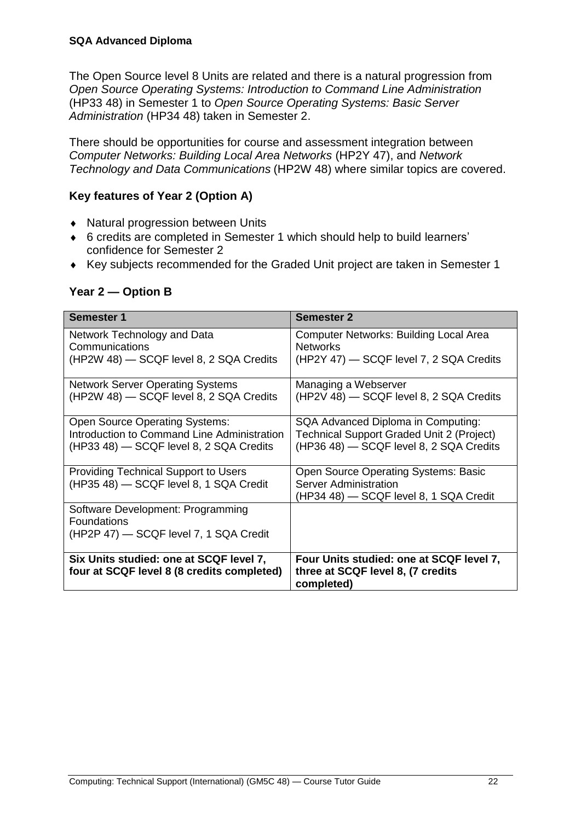The Open Source level 8 Units are related and there is a natural progression from *Open Source Operating Systems: Introduction to Command Line Administration* (HP33 48) in Semester 1 to *Open Source Operating Systems: Basic Server Administration* (HP34 48) taken in Semester 2.

There should be opportunities for course and assessment integration between *Computer Networks: Building Local Area Networks* (HP2Y 47), and *Network Technology and Data Communications* (HP2W 48) where similar topics are covered.

#### **Key features of Year 2 (Option A)**

- ◆ Natural progression between Units
- 6 credits are completed in Semester 1 which should help to build learners' confidence for Semester 2
- Key subjects recommended for the Graded Unit project are taken in Semester 1

| Year 2 – Option B |  |
|-------------------|--|
|-------------------|--|

| Semester 1                                                                                                                      | <b>Semester 2</b>                                                                                                                 |
|---------------------------------------------------------------------------------------------------------------------------------|-----------------------------------------------------------------------------------------------------------------------------------|
| Network Technology and Data<br>Communications<br>(HP2W 48) - SCQF level 8, 2 SQA Credits                                        | Computer Networks: Building Local Area<br><b>Networks</b><br>(HP2Y 47) - SCQF level 7, 2 SQA Credits                              |
| <b>Network Server Operating Systems</b><br>(HP2W 48) - SCQF level 8, 2 SQA Credits                                              | Managing a Webserver<br>(HP2V 48) - SCQF level 8, 2 SQA Credits                                                                   |
| <b>Open Source Operating Systems:</b><br>Introduction to Command Line Administration<br>(HP33 48) - SCQF level 8, 2 SQA Credits | SQA Advanced Diploma in Computing:<br><b>Technical Support Graded Unit 2 (Project)</b><br>(HP36 48) - SCQF level 8, 2 SQA Credits |
| <b>Providing Technical Support to Users</b><br>(HP35 48) - SCQF level 8, 1 SQA Credit                                           | <b>Open Source Operating Systems: Basic</b><br>Server Administration<br>(HP34 48) - SCQF level 8, 1 SQA Credit                    |
| Software Development: Programming<br><b>Foundations</b><br>(HP2P 47) - SCQF level 7, 1 SQA Credit                               |                                                                                                                                   |
| Six Units studied: one at SCQF level 7,<br>four at SCQF level 8 (8 credits completed)                                           | Four Units studied: one at SCQF level 7,<br>three at SCQF level 8, (7 credits<br>completed)                                       |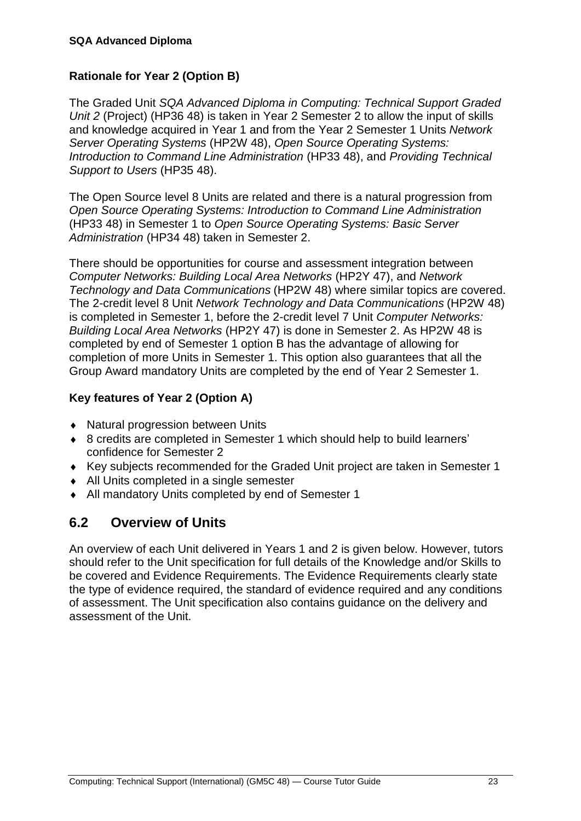#### **Rationale for Year 2 (Option B)**

The Graded Unit *SQA Advanced Diploma in Computing: Technical Support Graded Unit 2* (Project) (HP36 48) is taken in Year 2 Semester 2 to allow the input of skills and knowledge acquired in Year 1 and from the Year 2 Semester 1 Units *Network Server Operating Systems* (HP2W 48), *Open Source Operating Systems: Introduction to Command Line Administration* (HP33 48), and *Providing Technical Support to Users* (HP35 48).

The Open Source level 8 Units are related and there is a natural progression from *Open Source Operating Systems: Introduction to Command Line Administration* (HP33 48) in Semester 1 to *Open Source Operating Systems: Basic Server Administration* (HP34 48) taken in Semester 2.

There should be opportunities for course and assessment integration between *Computer Networks: Building Local Area Networks* (HP2Y 47), and *Network Technology and Data Communications* (HP2W 48) where similar topics are covered. The 2-credit level 8 Unit *Network Technology and Data Communications* (HP2W 48) is completed in Semester 1, before the 2-credit level 7 Unit *Computer Networks: Building Local Area Networks* (HP2Y 47) is done in Semester 2. As HP2W 48 is completed by end of Semester 1 option B has the advantage of allowing for completion of more Units in Semester 1. This option also guarantees that all the Group Award mandatory Units are completed by the end of Year 2 Semester 1.

#### **Key features of Year 2 (Option A)**

- ◆ Natural progression between Units
- 8 credits are completed in Semester 1 which should help to build learners' confidence for Semester 2
- Key subjects recommended for the Graded Unit project are taken in Semester 1
- All Units completed in a single semester
- All mandatory Units completed by end of Semester 1

### <span id="page-26-0"></span>**6.2 Overview of Units**

An overview of each Unit delivered in Years 1 and 2 is given below. However, tutors should refer to the Unit specification for full details of the Knowledge and/or Skills to be covered and Evidence Requirements. The Evidence Requirements clearly state the type of evidence required, the standard of evidence required and any conditions of assessment. The Unit specification also contains guidance on the delivery and assessment of the Unit.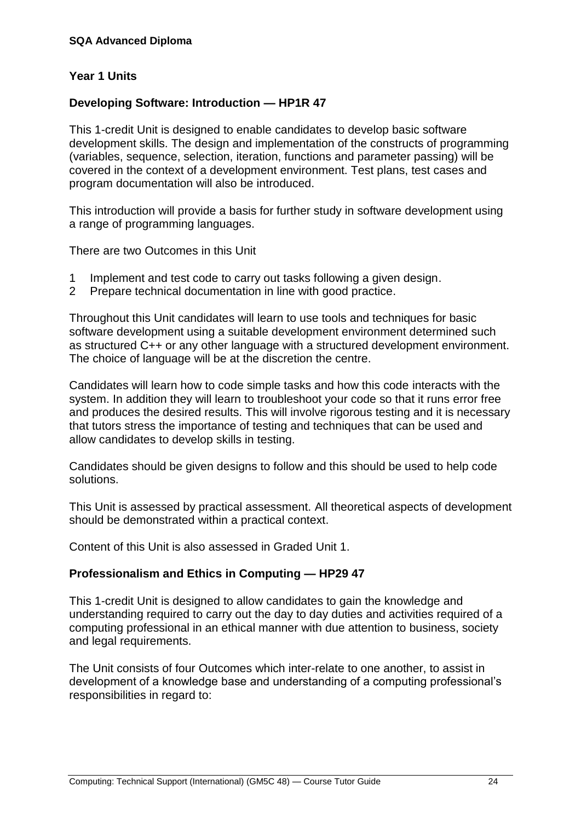#### **Year 1 Units**

#### **Developing Software: Introduction — HP1R 47**

This 1-credit Unit is designed to enable candidates to develop basic software development skills. The design and implementation of the constructs of programming (variables, sequence, selection, iteration, functions and parameter passing) will be covered in the context of a development environment. Test plans, test cases and program documentation will also be introduced.

This introduction will provide a basis for further study in software development using a range of programming languages.

There are two Outcomes in this Unit

- 1 Implement and test code to carry out tasks following a given design.
- 2 Prepare technical documentation in line with good practice.

Throughout this Unit candidates will learn to use tools and techniques for basic software development using a suitable development environment determined such as structured C++ or any other language with a structured development environment. The choice of language will be at the discretion the centre.

Candidates will learn how to code simple tasks and how this code interacts with the system. In addition they will learn to troubleshoot your code so that it runs error free and produces the desired results. This will involve rigorous testing and it is necessary that tutors stress the importance of testing and techniques that can be used and allow candidates to develop skills in testing.

Candidates should be given designs to follow and this should be used to help code solutions.

This Unit is assessed by practical assessment. All theoretical aspects of development should be demonstrated within a practical context.

Content of this Unit is also assessed in Graded Unit 1.

#### **Professionalism and Ethics in Computing — HP29 47**

This 1-credit Unit is designed to allow candidates to gain the knowledge and understanding required to carry out the day to day duties and activities required of a computing professional in an ethical manner with due attention to business, society and legal requirements.

The Unit consists of four Outcomes which inter-relate to one another, to assist in development of a knowledge base and understanding of a computing professional's responsibilities in regard to: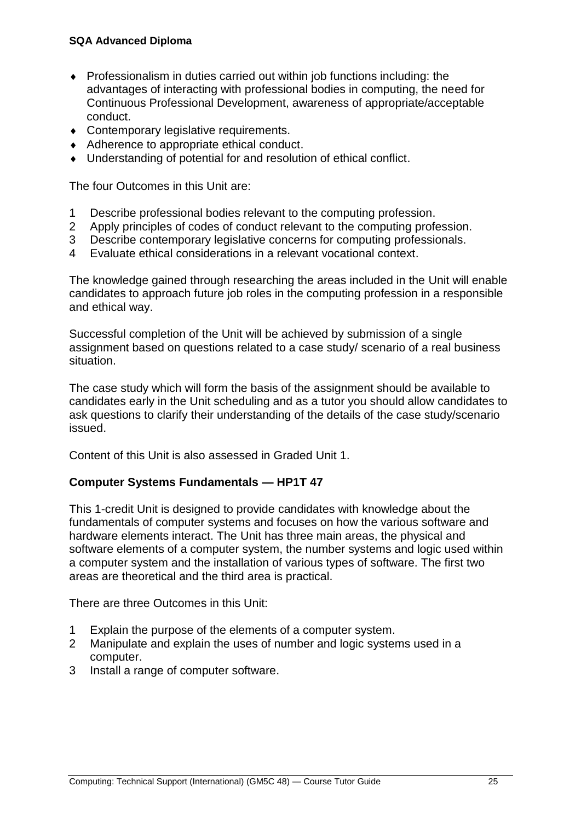#### **SQA Advanced Diploma**

- Professionalism in duties carried out within job functions including: the advantages of interacting with professional bodies in computing, the need for Continuous Professional Development, awareness of appropriate/acceptable conduct.
- Contemporary legislative requirements.
- ◆ Adherence to appropriate ethical conduct.
- Understanding of potential for and resolution of ethical conflict.

The four Outcomes in this Unit are:

- 1 Describe professional bodies relevant to the computing profession.
- 2 Apply principles of codes of conduct relevant to the computing profession.
- 3 Describe contemporary legislative concerns for computing professionals.
- 4 Evaluate ethical considerations in a relevant vocational context.

The knowledge gained through researching the areas included in the Unit will enable candidates to approach future job roles in the computing profession in a responsible and ethical way.

Successful completion of the Unit will be achieved by submission of a single assignment based on questions related to a case study/ scenario of a real business situation.

The case study which will form the basis of the assignment should be available to candidates early in the Unit scheduling and as a tutor you should allow candidates to ask questions to clarify their understanding of the details of the case study/scenario issued.

Content of this Unit is also assessed in Graded Unit 1.

#### **Computer Systems Fundamentals — HP1T 47**

This 1-credit Unit is designed to provide candidates with knowledge about the fundamentals of computer systems and focuses on how the various software and hardware elements interact. The Unit has three main areas, the physical and software elements of a computer system, the number systems and logic used within a computer system and the installation of various types of software. The first two areas are theoretical and the third area is practical.

There are three Outcomes in this Unit:

- 1 Explain the purpose of the elements of a computer system.
- 2 Manipulate and explain the uses of number and logic systems used in a computer.
- 3 Install a range of computer software.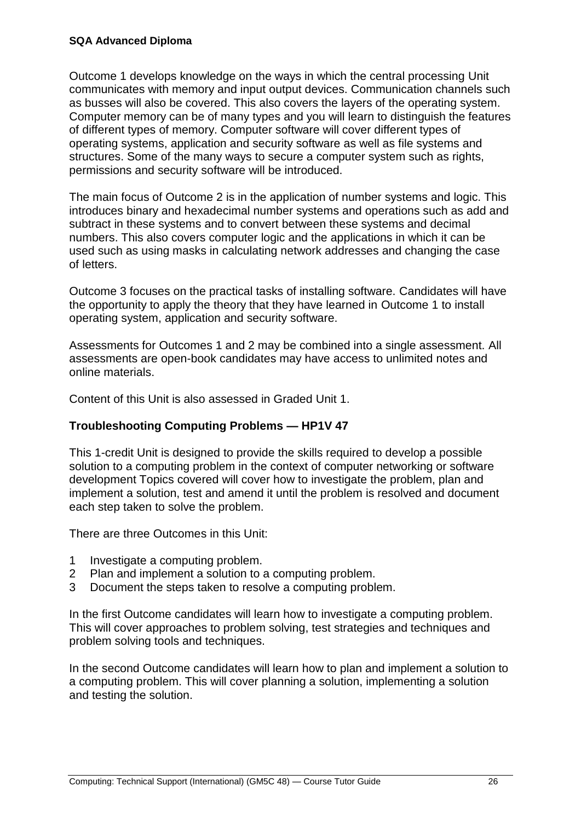Outcome 1 develops knowledge on the ways in which the central processing Unit communicates with memory and input output devices. Communication channels such as busses will also be covered. This also covers the layers of the operating system. Computer memory can be of many types and you will learn to distinguish the features of different types of memory. Computer software will cover different types of operating systems, application and security software as well as file systems and structures. Some of the many ways to secure a computer system such as rights, permissions and security software will be introduced.

The main focus of Outcome 2 is in the application of number systems and logic. This introduces binary and hexadecimal number systems and operations such as add and subtract in these systems and to convert between these systems and decimal numbers. This also covers computer logic and the applications in which it can be used such as using masks in calculating network addresses and changing the case of letters.

Outcome 3 focuses on the practical tasks of installing software. Candidates will have the opportunity to apply the theory that they have learned in Outcome 1 to install operating system, application and security software.

Assessments for Outcomes 1 and 2 may be combined into a single assessment. All assessments are open-book candidates may have access to unlimited notes and online materials.

Content of this Unit is also assessed in Graded Unit 1.

#### **Troubleshooting Computing Problems — HP1V 47**

This 1-credit Unit is designed to provide the skills required to develop a possible solution to a computing problem in the context of computer networking or software development Topics covered will cover how to investigate the problem, plan and implement a solution, test and amend it until the problem is resolved and document each step taken to solve the problem.

There are three Outcomes in this Unit:

- 1 Investigate a computing problem.
- 2 Plan and implement a solution to a computing problem.
- 3 Document the steps taken to resolve a computing problem.

In the first Outcome candidates will learn how to investigate a computing problem. This will cover approaches to problem solving, test strategies and techniques and problem solving tools and techniques.

In the second Outcome candidates will learn how to plan and implement a solution to a computing problem. This will cover planning a solution, implementing a solution and testing the solution.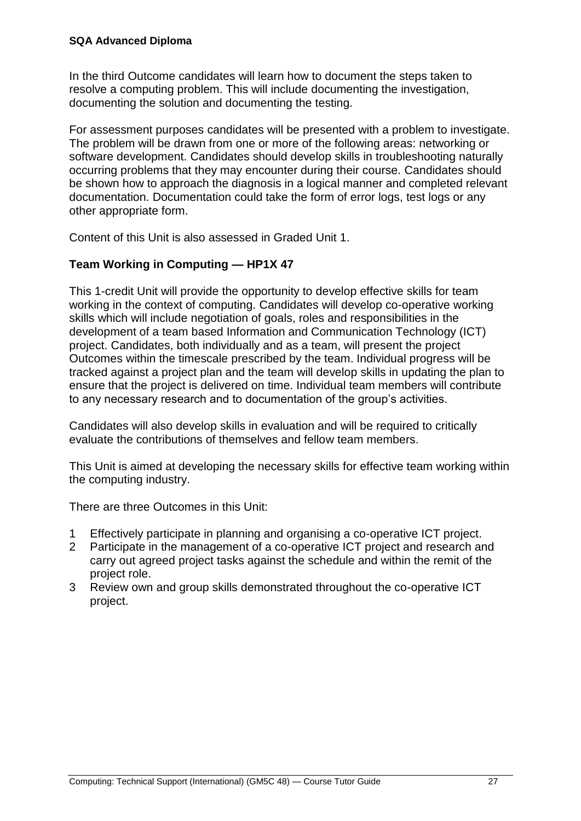In the third Outcome candidates will learn how to document the steps taken to resolve a computing problem. This will include documenting the investigation, documenting the solution and documenting the testing.

For assessment purposes candidates will be presented with a problem to investigate. The problem will be drawn from one or more of the following areas: networking or software development. Candidates should develop skills in troubleshooting naturally occurring problems that they may encounter during their course. Candidates should be shown how to approach the diagnosis in a logical manner and completed relevant documentation. Documentation could take the form of error logs, test logs or any other appropriate form.

Content of this Unit is also assessed in Graded Unit 1.

#### **Team Working in Computing — HP1X 47**

This 1-credit Unit will provide the opportunity to develop effective skills for team working in the context of computing. Candidates will develop co-operative working skills which will include negotiation of goals, roles and responsibilities in the development of a team based Information and Communication Technology (ICT) project. Candidates, both individually and as a team, will present the project Outcomes within the timescale prescribed by the team. Individual progress will be tracked against a project plan and the team will develop skills in updating the plan to ensure that the project is delivered on time. Individual team members will contribute to any necessary research and to documentation of the group's activities.

Candidates will also develop skills in evaluation and will be required to critically evaluate the contributions of themselves and fellow team members.

This Unit is aimed at developing the necessary skills for effective team working within the computing industry.

There are three Outcomes in this Unit:

- 1 Effectively participate in planning and organising a co-operative ICT project.
- 2 Participate in the management of a co-operative ICT project and research and carry out agreed project tasks against the schedule and within the remit of the project role.
- 3 Review own and group skills demonstrated throughout the co-operative ICT project.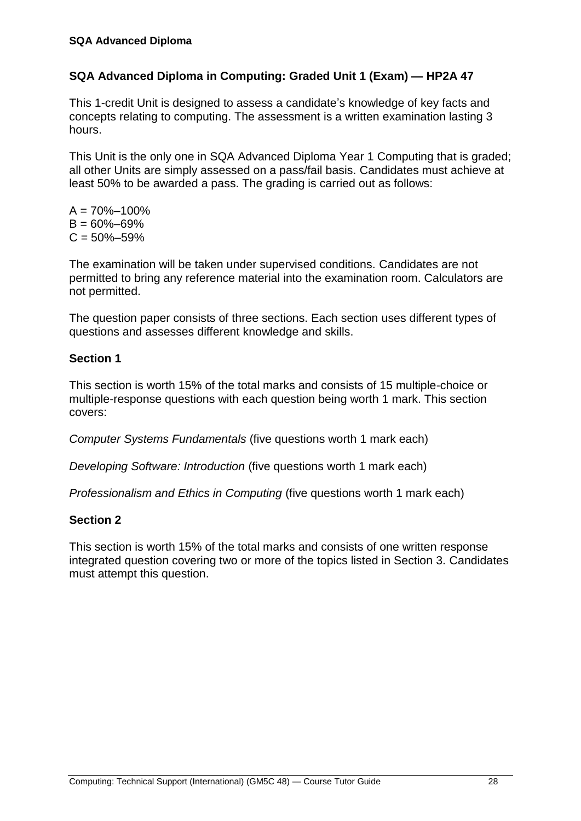#### **SQA Advanced Diploma in Computing: Graded Unit 1 (Exam) — HP2A 47**

This 1-credit Unit is designed to assess a candidate's knowledge of key facts and concepts relating to computing. The assessment is a written examination lasting 3 hours.

This Unit is the only one in SQA Advanced Diploma Year 1 Computing that is graded; all other Units are simply assessed on a pass/fail basis. Candidates must achieve at least 50% to be awarded a pass. The grading is carried out as follows:

 $A = 70\% - 100\%$  $B = 60\% - 69\%$  $C = 50\% - 59\%$ 

The examination will be taken under supervised conditions. Candidates are not permitted to bring any reference material into the examination room. Calculators are not permitted.

The question paper consists of three sections. Each section uses different types of questions and assesses different knowledge and skills.

#### **Section 1**

This section is worth 15% of the total marks and consists of 15 multiple-choice or multiple-response questions with each question being worth 1 mark. This section covers:

*Computer Systems Fundamentals* (five questions worth 1 mark each)

*Developing Software: Introduction* (five questions worth 1 mark each)

*Professionalism and Ethics in Computing* (five questions worth 1 mark each)

#### **Section 2**

This section is worth 15% of the total marks and consists of one written response integrated question covering two or more of the topics listed in Section 3. Candidates must attempt this question.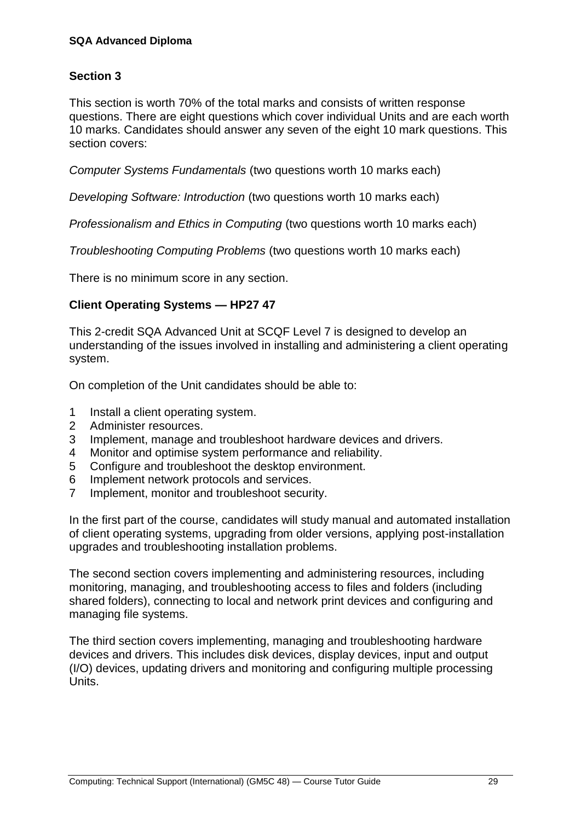#### **Section 3**

This section is worth 70% of the total marks and consists of written response questions. There are eight questions which cover individual Units and are each worth 10 marks. Candidates should answer any seven of the eight 10 mark questions. This section covers:

*Computer Systems Fundamentals* (two questions worth 10 marks each)

*Developing Software: Introduction* (two questions worth 10 marks each)

*Professionalism and Ethics in Computing* (two questions worth 10 marks each)

*Troubleshooting Computing Problems* (two questions worth 10 marks each)

There is no minimum score in any section.

#### **Client Operating Systems — HP27 47**

This 2-credit SQA Advanced Unit at SCQF Level 7 is designed to develop an understanding of the issues involved in installing and administering a client operating system.

On completion of the Unit candidates should be able to:

- 1 Install a client operating system.
- 2 Administer resources.
- 3 Implement, manage and troubleshoot hardware devices and drivers.
- 4 Monitor and optimise system performance and reliability.
- 5 Configure and troubleshoot the desktop environment.
- 6 Implement network protocols and services.
- 7 Implement, monitor and troubleshoot security.

In the first part of the course, candidates will study manual and automated installation of client operating systems, upgrading from older versions, applying post-installation upgrades and troubleshooting installation problems.

The second section covers implementing and administering resources, including monitoring, managing, and troubleshooting access to files and folders (including shared folders), connecting to local and network print devices and configuring and managing file systems.

The third section covers implementing, managing and troubleshooting hardware devices and drivers. This includes disk devices, display devices, input and output (I/O) devices, updating drivers and monitoring and configuring multiple processing Units.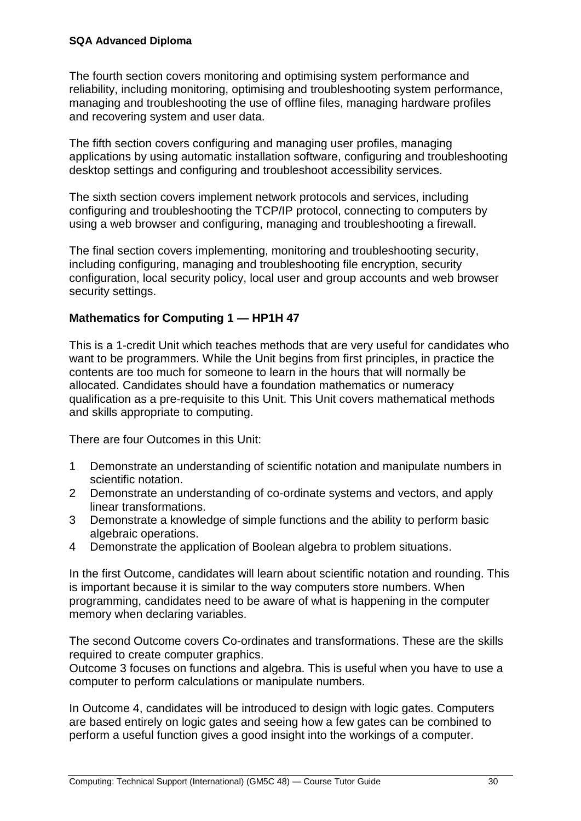The fourth section covers monitoring and optimising system performance and reliability, including monitoring, optimising and troubleshooting system performance, managing and troubleshooting the use of offline files, managing hardware profiles and recovering system and user data.

The fifth section covers configuring and managing user profiles, managing applications by using automatic installation software, configuring and troubleshooting desktop settings and configuring and troubleshoot accessibility services.

The sixth section covers implement network protocols and services, including configuring and troubleshooting the TCP/IP protocol, connecting to computers by using a web browser and configuring, managing and troubleshooting a firewall.

The final section covers implementing, monitoring and troubleshooting security, including configuring, managing and troubleshooting file encryption, security configuration, local security policy, local user and group accounts and web browser security settings.

#### **Mathematics for Computing 1 — HP1H 47**

This is a 1-credit Unit which teaches methods that are very useful for candidates who want to be programmers. While the Unit begins from first principles, in practice the contents are too much for someone to learn in the hours that will normally be allocated. Candidates should have a foundation mathematics or numeracy qualification as a pre-requisite to this Unit. This Unit covers mathematical methods and skills appropriate to computing.

There are four Outcomes in this Unit:

- 1 Demonstrate an understanding of scientific notation and manipulate numbers in scientific notation.
- 2 Demonstrate an understanding of co-ordinate systems and vectors, and apply linear transformations.
- 3 Demonstrate a knowledge of simple functions and the ability to perform basic algebraic operations.
- 4 Demonstrate the application of Boolean algebra to problem situations.

In the first Outcome, candidates will learn about scientific notation and rounding. This is important because it is similar to the way computers store numbers. When programming, candidates need to be aware of what is happening in the computer memory when declaring variables.

The second Outcome covers Co-ordinates and transformations. These are the skills required to create computer graphics.

Outcome 3 focuses on functions and algebra. This is useful when you have to use a computer to perform calculations or manipulate numbers.

In Outcome 4, candidates will be introduced to design with logic gates. Computers are based entirely on logic gates and seeing how a few gates can be combined to perform a useful function gives a good insight into the workings of a computer.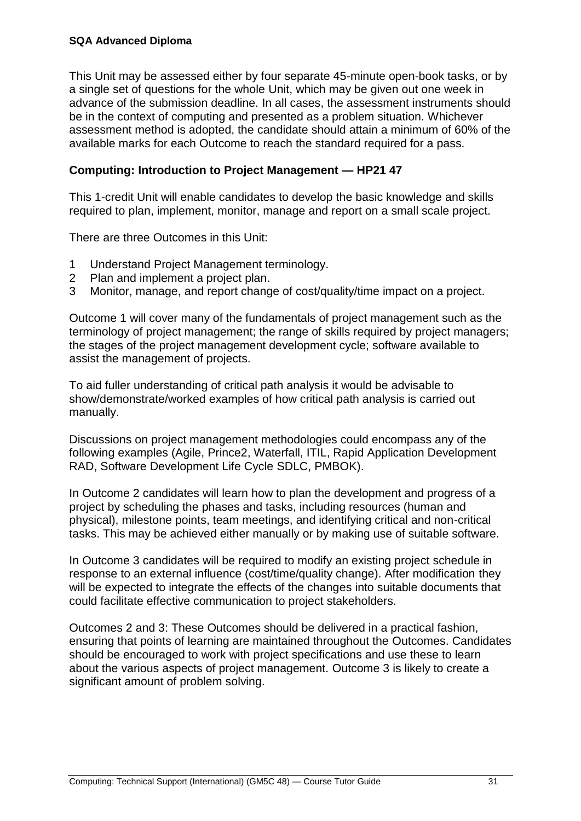This Unit may be assessed either by four separate 45-minute open-book tasks, or by a single set of questions for the whole Unit, which may be given out one week in advance of the submission deadline. In all cases, the assessment instruments should be in the context of computing and presented as a problem situation. Whichever assessment method is adopted, the candidate should attain a minimum of 60% of the available marks for each Outcome to reach the standard required for a pass.

#### **Computing: Introduction to Project Management — HP21 47**

This 1-credit Unit will enable candidates to develop the basic knowledge and skills required to plan, implement, monitor, manage and report on a small scale project.

There are three Outcomes in this Unit:

- 1 Understand Project Management terminology.
- 2 Plan and implement a project plan.
- 3 Monitor, manage, and report change of cost/quality/time impact on a project.

Outcome 1 will cover many of the fundamentals of project management such as the terminology of project management; the range of skills required by project managers; the stages of the project management development cycle; software available to assist the management of projects.

To aid fuller understanding of critical path analysis it would be advisable to show/demonstrate/worked examples of how critical path analysis is carried out manually.

Discussions on project management methodologies could encompass any of the following examples (Agile, Prince2, Waterfall, ITIL, Rapid Application Development RAD, Software Development Life Cycle SDLC, PMBOK).

In Outcome 2 candidates will learn how to plan the development and progress of a project by scheduling the phases and tasks, including resources (human and physical), milestone points, team meetings, and identifying critical and non-critical tasks. This may be achieved either manually or by making use of suitable software.

In Outcome 3 candidates will be required to modify an existing project schedule in response to an external influence (cost/time/quality change). After modification they will be expected to integrate the effects of the changes into suitable documents that could facilitate effective communication to project stakeholders.

Outcomes 2 and 3: These Outcomes should be delivered in a practical fashion, ensuring that points of learning are maintained throughout the Outcomes. Candidates should be encouraged to work with project specifications and use these to learn about the various aspects of project management. Outcome 3 is likely to create a significant amount of problem solving.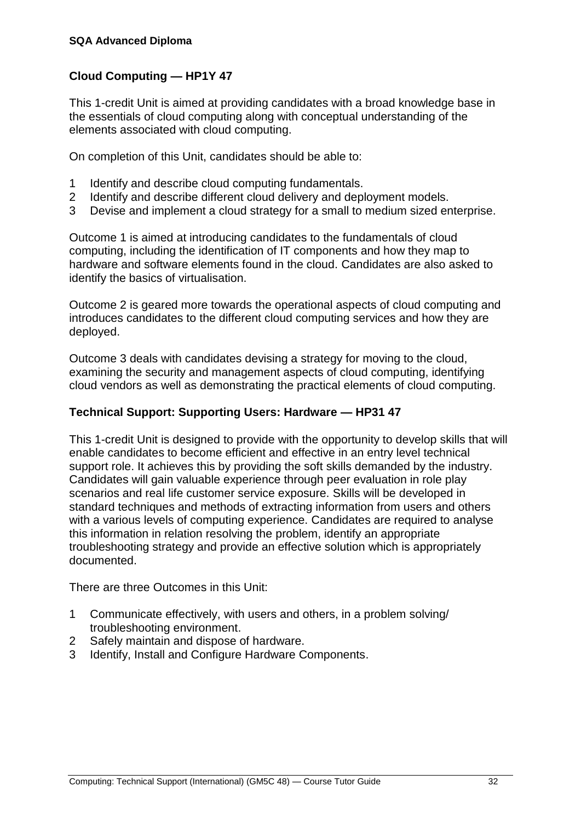#### **Cloud Computing — HP1Y 47**

This 1-credit Unit is aimed at providing candidates with a broad knowledge base in the essentials of cloud computing along with conceptual understanding of the elements associated with cloud computing.

On completion of this Unit, candidates should be able to:

- 1 Identify and describe cloud computing fundamentals.
- 2 Identify and describe different cloud delivery and deployment models.
- 3 Devise and implement a cloud strategy for a small to medium sized enterprise.

Outcome 1 is aimed at introducing candidates to the fundamentals of cloud computing, including the identification of IT components and how they map to hardware and software elements found in the cloud. Candidates are also asked to identify the basics of virtualisation.

Outcome 2 is geared more towards the operational aspects of cloud computing and introduces candidates to the different cloud computing services and how they are deployed.

Outcome 3 deals with candidates devising a strategy for moving to the cloud, examining the security and management aspects of cloud computing, identifying cloud vendors as well as demonstrating the practical elements of cloud computing.

#### **Technical Support: Supporting Users: Hardware — HP31 47**

This 1-credit Unit is designed to provide with the opportunity to develop skills that will enable candidates to become efficient and effective in an entry level technical support role. It achieves this by providing the soft skills demanded by the industry. Candidates will gain valuable experience through peer evaluation in role play scenarios and real life customer service exposure. Skills will be developed in standard techniques and methods of extracting information from users and others with a various levels of computing experience. Candidates are required to analyse this information in relation resolving the problem, identify an appropriate troubleshooting strategy and provide an effective solution which is appropriately documented.

There are three Outcomes in this Unit:

- 1 Communicate effectively, with users and others, in a problem solving/ troubleshooting environment.
- 2 Safely maintain and dispose of hardware.
- 3 Identify, Install and Configure Hardware Components.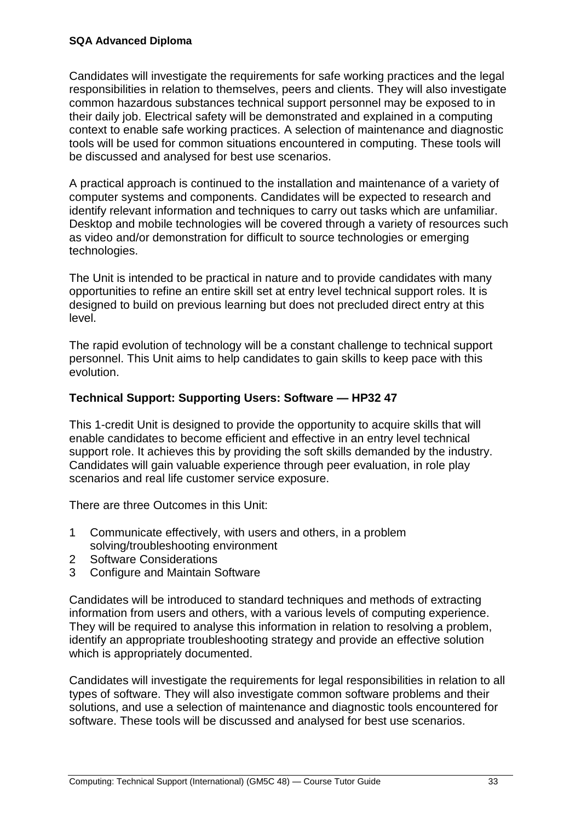Candidates will investigate the requirements for safe working practices and the legal responsibilities in relation to themselves, peers and clients. They will also investigate common hazardous substances technical support personnel may be exposed to in their daily job. Electrical safety will be demonstrated and explained in a computing context to enable safe working practices. A selection of maintenance and diagnostic tools will be used for common situations encountered in computing. These tools will be discussed and analysed for best use scenarios.

A practical approach is continued to the installation and maintenance of a variety of computer systems and components. Candidates will be expected to research and identify relevant information and techniques to carry out tasks which are unfamiliar. Desktop and mobile technologies will be covered through a variety of resources such as video and/or demonstration for difficult to source technologies or emerging technologies.

The Unit is intended to be practical in nature and to provide candidates with many opportunities to refine an entire skill set at entry level technical support roles. It is designed to build on previous learning but does not precluded direct entry at this level.

The rapid evolution of technology will be a constant challenge to technical support personnel. This Unit aims to help candidates to gain skills to keep pace with this evolution.

#### **Technical Support: Supporting Users: Software — HP32 47**

This 1-credit Unit is designed to provide the opportunity to acquire skills that will enable candidates to become efficient and effective in an entry level technical support role. It achieves this by providing the soft skills demanded by the industry. Candidates will gain valuable experience through peer evaluation, in role play scenarios and real life customer service exposure.

There are three Outcomes in this Unit:

- 1 Communicate effectively, with users and others, in a problem solving/troubleshooting environment
- 2 Software Considerations
- 3 Configure and Maintain Software

Candidates will be introduced to standard techniques and methods of extracting information from users and others, with a various levels of computing experience. They will be required to analyse this information in relation to resolving a problem, identify an appropriate troubleshooting strategy and provide an effective solution which is appropriately documented.

Candidates will investigate the requirements for legal responsibilities in relation to all types of software. They will also investigate common software problems and their solutions, and use a selection of maintenance and diagnostic tools encountered for software. These tools will be discussed and analysed for best use scenarios.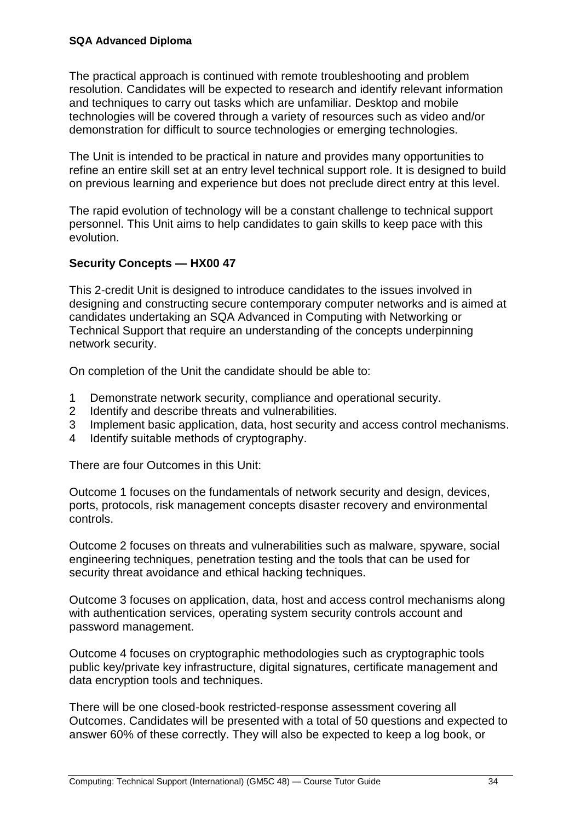The practical approach is continued with remote troubleshooting and problem resolution. Candidates will be expected to research and identify relevant information and techniques to carry out tasks which are unfamiliar. Desktop and mobile technologies will be covered through a variety of resources such as video and/or demonstration for difficult to source technologies or emerging technologies.

The Unit is intended to be practical in nature and provides many opportunities to refine an entire skill set at an entry level technical support role. It is designed to build on previous learning and experience but does not preclude direct entry at this level.

The rapid evolution of technology will be a constant challenge to technical support personnel. This Unit aims to help candidates to gain skills to keep pace with this evolution.

#### **Security Concepts — HX00 47**

This 2-credit Unit is designed to introduce candidates to the issues involved in designing and constructing secure contemporary computer networks and is aimed at candidates undertaking an SQA Advanced in Computing with Networking or Technical Support that require an understanding of the concepts underpinning network security.

On completion of the Unit the candidate should be able to:

- 1 Demonstrate network security, compliance and operational security.
- 2 Identify and describe threats and vulnerabilities.
- 3 Implement basic application, data, host security and access control mechanisms.
- 4 Identify suitable methods of cryptography.

There are four Outcomes in this Unit:

Outcome 1 focuses on the fundamentals of network security and design, devices, ports, protocols, risk management concepts disaster recovery and environmental controls.

Outcome 2 focuses on threats and vulnerabilities such as malware, spyware, social engineering techniques, penetration testing and the tools that can be used for security threat avoidance and ethical hacking techniques.

Outcome 3 focuses on application, data, host and access control mechanisms along with authentication services, operating system security controls account and password management.

Outcome 4 focuses on cryptographic methodologies such as cryptographic tools public key/private key infrastructure, digital signatures, certificate management and data encryption tools and techniques.

There will be one closed-book restricted-response assessment covering all Outcomes. Candidates will be presented with a total of 50 questions and expected to answer 60% of these correctly. They will also be expected to keep a log book, or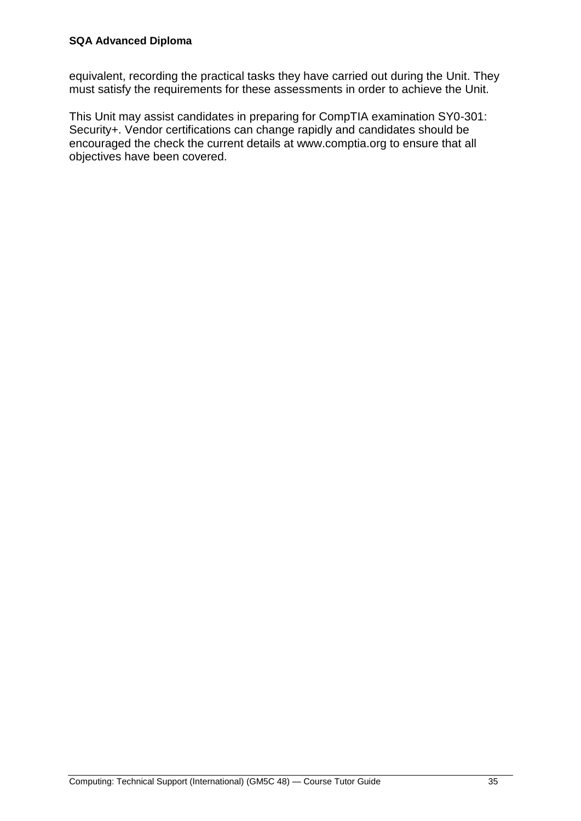equivalent, recording the practical tasks they have carried out during the Unit. They must satisfy the requirements for these assessments in order to achieve the Unit.

This Unit may assist candidates in preparing for CompTIA examination SY0-301: Security+. Vendor certifications can change rapidly and candidates should be encouraged the check the current details at www.comptia.org to ensure that all objectives have been covered.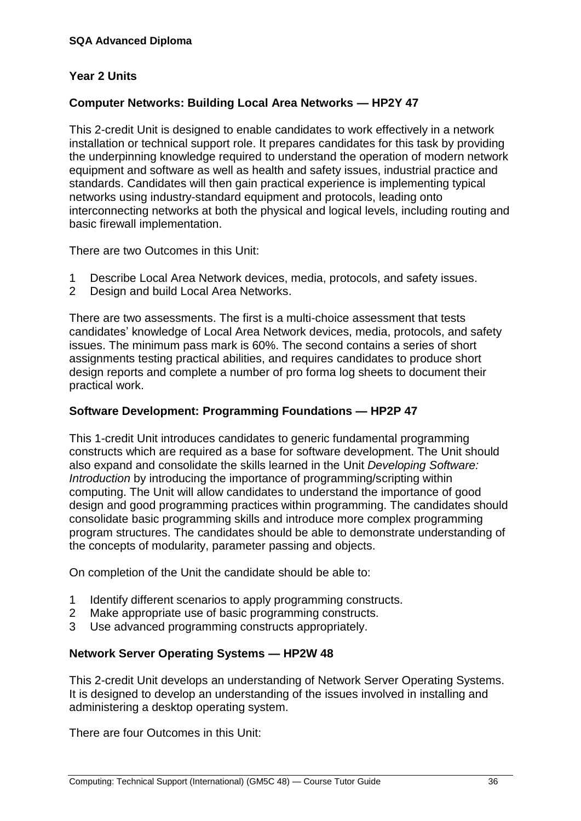#### **Year 2 Units**

#### **Computer Networks: Building Local Area Networks — HP2Y 47**

This 2-credit Unit is designed to enable candidates to work effectively in a network installation or technical support role. It prepares candidates for this task by providing the underpinning knowledge required to understand the operation of modern network equipment and software as well as health and safety issues, industrial practice and standards. Candidates will then gain practical experience is implementing typical networks using industry-standard equipment and protocols, leading onto interconnecting networks at both the physical and logical levels, including routing and basic firewall implementation.

There are two Outcomes in this Unit:

- 1 Describe Local Area Network devices, media, protocols, and safety issues.
- 2 Design and build Local Area Networks.

There are two assessments. The first is a multi-choice assessment that tests candidates' knowledge of Local Area Network devices, media, protocols, and safety issues. The minimum pass mark is 60%. The second contains a series of short assignments testing practical abilities, and requires candidates to produce short design reports and complete a number of pro forma log sheets to document their practical work.

#### **Software Development: Programming Foundations — HP2P 47**

This 1-credit Unit introduces candidates to generic fundamental programming constructs which are required as a base for software development. The Unit should also expand and consolidate the skills learned in the Unit *Developing Software: Introduction* by introducing the importance of programming/scripting within computing. The Unit will allow candidates to understand the importance of good design and good programming practices within programming. The candidates should consolidate basic programming skills and introduce more complex programming program structures. The candidates should be able to demonstrate understanding of the concepts of modularity, parameter passing and objects.

On completion of the Unit the candidate should be able to:

- 1 Identify different scenarios to apply programming constructs.
- 2 Make appropriate use of basic programming constructs.
- 3 Use advanced programming constructs appropriately.

#### **Network Server Operating Systems — HP2W 48**

This 2-credit Unit develops an understanding of Network Server Operating Systems. It is designed to develop an understanding of the issues involved in installing and administering a desktop operating system.

There are four Outcomes in this Unit: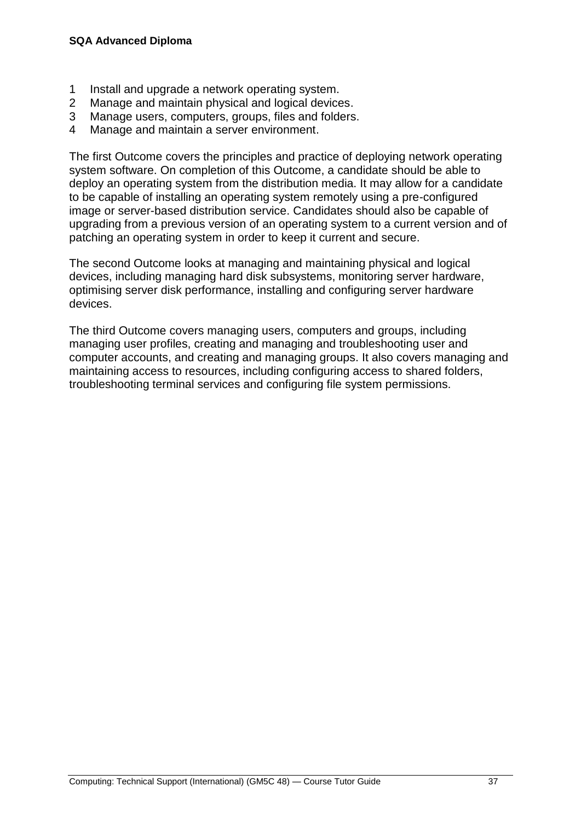- 1 Install and upgrade a network operating system.
- 2 Manage and maintain physical and logical devices.
- 3 Manage users, computers, groups, files and folders.
- 4 Manage and maintain a server environment.

The first Outcome covers the principles and practice of deploying network operating system software. On completion of this Outcome, a candidate should be able to deploy an operating system from the distribution media. It may allow for a candidate to be capable of installing an operating system remotely using a pre-configured image or server-based distribution service. Candidates should also be capable of upgrading from a previous version of an operating system to a current version and of patching an operating system in order to keep it current and secure.

The second Outcome looks at managing and maintaining physical and logical devices, including managing hard disk subsystems, monitoring server hardware, optimising server disk performance, installing and configuring server hardware devices.

The third Outcome covers managing users, computers and groups, including managing user profiles, creating and managing and troubleshooting user and computer accounts, and creating and managing groups. It also covers managing and maintaining access to resources, including configuring access to shared folders, troubleshooting terminal services and configuring file system permissions.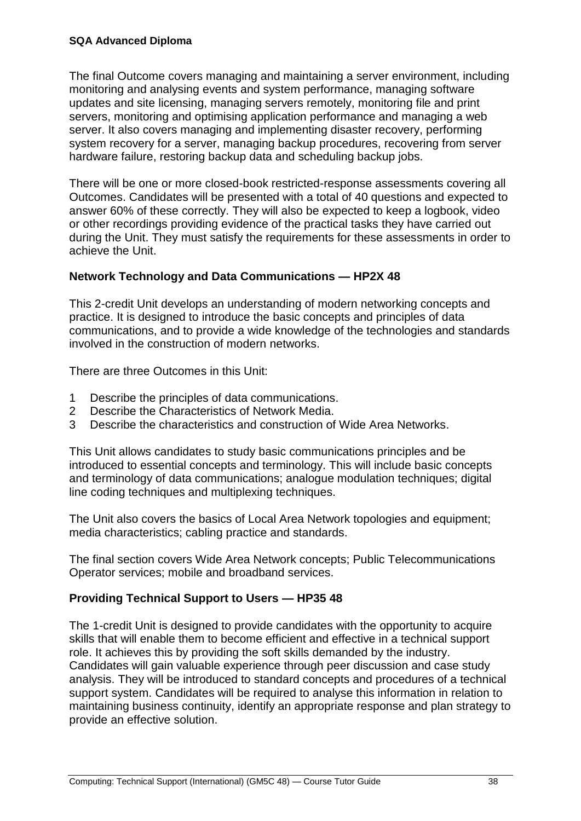The final Outcome covers managing and maintaining a server environment, including monitoring and analysing events and system performance, managing software updates and site licensing, managing servers remotely, monitoring file and print servers, monitoring and optimising application performance and managing a web server. It also covers managing and implementing disaster recovery, performing system recovery for a server, managing backup procedures, recovering from server hardware failure, restoring backup data and scheduling backup jobs.

There will be one or more closed-book restricted-response assessments covering all Outcomes. Candidates will be presented with a total of 40 questions and expected to answer 60% of these correctly. They will also be expected to keep a logbook, video or other recordings providing evidence of the practical tasks they have carried out during the Unit. They must satisfy the requirements for these assessments in order to achieve the Unit.

#### **Network Technology and Data Communications — HP2X 48**

This 2-credit Unit develops an understanding of modern networking concepts and practice. It is designed to introduce the basic concepts and principles of data communications, and to provide a wide knowledge of the technologies and standards involved in the construction of modern networks.

There are three Outcomes in this Unit:

- 1 Describe the principles of data communications.
- 2 Describe the Characteristics of Network Media.
- 3 Describe the characteristics and construction of Wide Area Networks.

This Unit allows candidates to study basic communications principles and be introduced to essential concepts and terminology. This will include basic concepts and terminology of data communications; analogue modulation techniques; digital line coding techniques and multiplexing techniques.

The Unit also covers the basics of Local Area Network topologies and equipment; media characteristics; cabling practice and standards.

The final section covers Wide Area Network concepts; Public Telecommunications Operator services; mobile and broadband services.

#### **Providing Technical Support to Users — HP35 48**

The 1-credit Unit is designed to provide candidates with the opportunity to acquire skills that will enable them to become efficient and effective in a technical support role. It achieves this by providing the soft skills demanded by the industry. Candidates will gain valuable experience through peer discussion and case study analysis. They will be introduced to standard concepts and procedures of a technical support system. Candidates will be required to analyse this information in relation to maintaining business continuity, identify an appropriate response and plan strategy to provide an effective solution.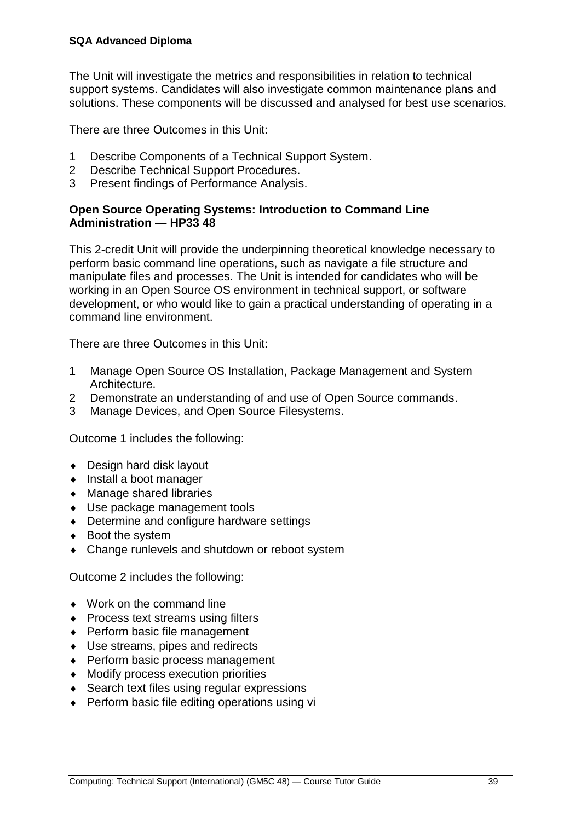The Unit will investigate the metrics and responsibilities in relation to technical support systems. Candidates will also investigate common maintenance plans and solutions. These components will be discussed and analysed for best use scenarios.

There are three Outcomes in this Unit:

- 1 Describe Components of a Technical Support System.
- 2 Describe Technical Support Procedures.
- 3 Present findings of Performance Analysis.

#### **Open Source Operating Systems: Introduction to Command Line Administration — HP33 48**

This 2-credit Unit will provide the underpinning theoretical knowledge necessary to perform basic command line operations, such as navigate a file structure and manipulate files and processes. The Unit is intended for candidates who will be working in an Open Source OS environment in technical support, or software development, or who would like to gain a practical understanding of operating in a command line environment.

There are three Outcomes in this Unit:

- 1 Manage Open Source OS Installation, Package Management and System Architecture.
- 2 Demonstrate an understanding of and use of Open Source commands.
- 3 Manage Devices, and Open Source Filesystems.

Outcome 1 includes the following:

- ◆ Design hard disk layout
- ◆ Install a boot manager
- ◆ Manage shared libraries
- Use package management tools
- ◆ Determine and configure hardware settings
- ◆ Boot the system
- Change runlevels and shutdown or reboot system

Outcome 2 includes the following:

- ◆ Work on the command line
- Process text streams using filters
- ◆ Perform basic file management
- ◆ Use streams, pipes and redirects
- ◆ Perform basic process management
- Modify process execution priorities
- ◆ Search text files using regular expressions
- ◆ Perform basic file editing operations using vi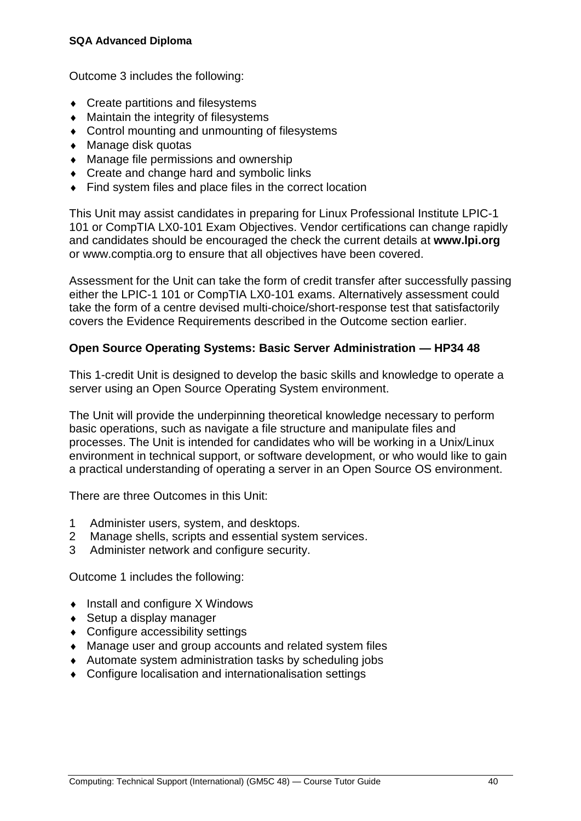Outcome 3 includes the following:

- ◆ Create partitions and filesystems
- Maintain the integrity of filesystems
- Control mounting and unmounting of filesystems
- ◆ Manage disk quotas
- Manage file permissions and ownership
- Create and change hard and symbolic links
- Find system files and place files in the correct location

This Unit may assist candidates in preparing for Linux Professional Institute LPIC-1 101 or CompTIA LX0-101 Exam Objectives. Vendor certifications can change rapidly and candidates should be encouraged the check the current details at **[www.lpi.org](http://www.lpi.org/)** or www.comptia.org to ensure that all objectives have been covered.

Assessment for the Unit can take the form of credit transfer after successfully passing either the LPIC-1 101 or CompTIA LX0-101 exams. Alternatively assessment could take the form of a centre devised multi-choice/short-response test that satisfactorily covers the Evidence Requirements described in the Outcome section earlier.

#### **Open Source Operating Systems: Basic Server Administration — HP34 48**

This 1-credit Unit is designed to develop the basic skills and knowledge to operate a server using an Open Source Operating System environment.

The Unit will provide the underpinning theoretical knowledge necessary to perform basic operations, such as navigate a file structure and manipulate files and processes. The Unit is intended for candidates who will be working in a Unix/Linux environment in technical support, or software development, or who would like to gain a practical understanding of operating a server in an Open Source OS environment.

There are three Outcomes in this Unit:

- 1 Administer users, system, and desktops.
- 2 Manage shells, scripts and essential system services.
- 3 Administer network and configure security.

Outcome 1 includes the following:

- $\bullet$  Install and configure X Windows
- ◆ Setup a display manager
- Configure accessibility settings
- Manage user and group accounts and related system files
- Automate system administration tasks by scheduling jobs
- Configure localisation and internationalisation settings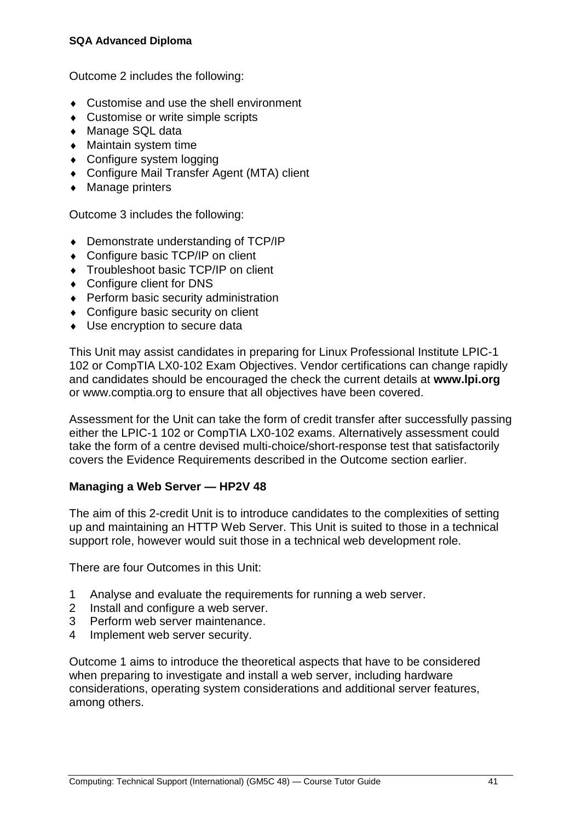#### **SQA Advanced Diploma**

Outcome 2 includes the following:

- ◆ Customise and use the shell environment
- ◆ Customise or write simple scripts
- ◆ Manage SQL data
- Maintain system time
- Configure system logging
- Configure Mail Transfer Agent (MTA) client
- Manage printers

Outcome 3 includes the following:

- ◆ Demonstrate understanding of TCP/IP
- ◆ Configure basic TCP/IP on client
- ◆ Troubleshoot basic TCP/IP on client
- Configure client for DNS
- ◆ Perform basic security administration
- ◆ Configure basic security on client
- Use encryption to secure data

This Unit may assist candidates in preparing for Linux Professional Institute LPIC-1 102 or CompTIA LX0-102 Exam Objectives. Vendor certifications can change rapidly and candidates should be encouraged the check the current details at **[www.lpi.org](http://www.lpi.org/)** or www.comptia.org to ensure that all objectives have been covered.

Assessment for the Unit can take the form of credit transfer after successfully passing either the LPIC-1 102 or CompTIA LX0-102 exams. Alternatively assessment could take the form of a centre devised multi-choice/short-response test that satisfactorily covers the Evidence Requirements described in the Outcome section earlier.

#### **Managing a Web Server — HP2V 48**

The aim of this 2-credit Unit is to introduce candidates to the complexities of setting up and maintaining an HTTP Web Server. This Unit is suited to those in a technical support role, however would suit those in a technical web development role.

There are four Outcomes in this Unit:

- 1 Analyse and evaluate the requirements for running a web server.
- 2 Install and configure a web server.
- 3 Perform web server maintenance.
- 4 Implement web server security.

Outcome 1 aims to introduce the theoretical aspects that have to be considered when preparing to investigate and install a web server, including hardware considerations, operating system considerations and additional server features, among others.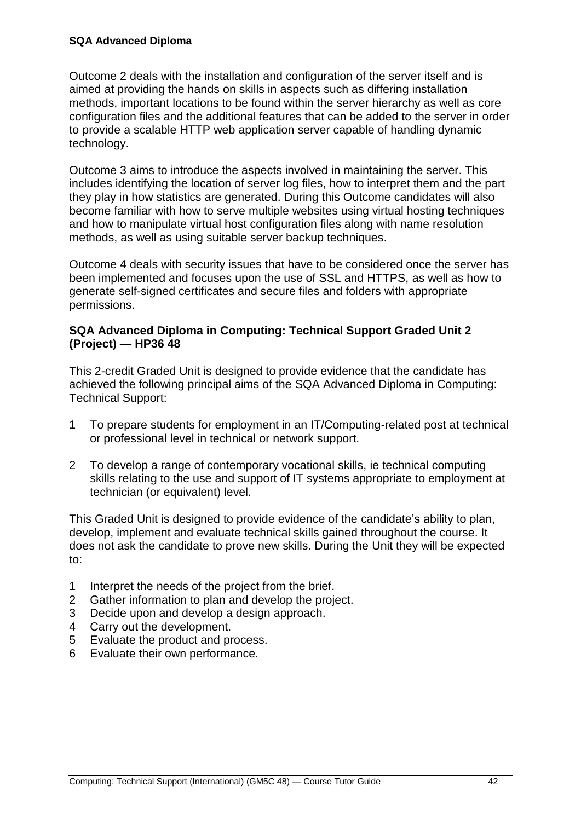Outcome 2 deals with the installation and configuration of the server itself and is aimed at providing the hands on skills in aspects such as differing installation methods, important locations to be found within the server hierarchy as well as core configuration files and the additional features that can be added to the server in order to provide a scalable HTTP web application server capable of handling dynamic technology.

Outcome 3 aims to introduce the aspects involved in maintaining the server. This includes identifying the location of server log files, how to interpret them and the part they play in how statistics are generated. During this Outcome candidates will also become familiar with how to serve multiple websites using virtual hosting techniques and how to manipulate virtual host configuration files along with name resolution methods, as well as using suitable server backup techniques.

Outcome 4 deals with security issues that have to be considered once the server has been implemented and focuses upon the use of SSL and HTTPS, as well as how to generate self-signed certificates and secure files and folders with appropriate permissions.

#### **SQA Advanced Diploma in Computing: Technical Support Graded Unit 2 (Project) — HP36 48**

This 2-credit Graded Unit is designed to provide evidence that the candidate has achieved the following principal aims of the SQA Advanced Diploma in Computing: Technical Support:

- 1 To prepare students for employment in an IT/Computing-related post at technical or professional level in technical or network support.
- 2 To develop a range of contemporary vocational skills, ie technical computing skills relating to the use and support of IT systems appropriate to employment at technician (or equivalent) level.

This Graded Unit is designed to provide evidence of the candidate's ability to plan, develop, implement and evaluate technical skills gained throughout the course. It does not ask the candidate to prove new skills. During the Unit they will be expected to:

- 1 Interpret the needs of the project from the brief.
- 2 Gather information to plan and develop the project.
- 3 Decide upon and develop a design approach.
- 4 Carry out the development.
- 5 Evaluate the product and process.
- 6 Evaluate their own performance.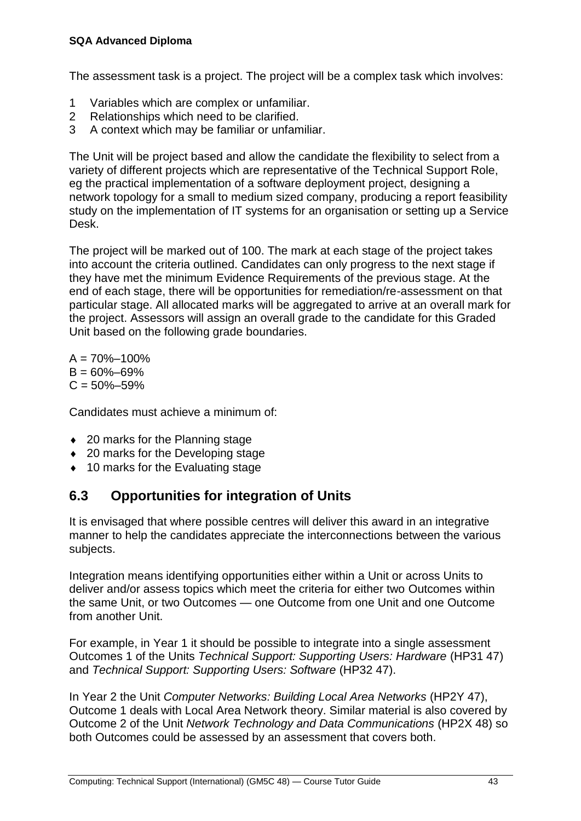#### **SQA Advanced Diploma**

The assessment task is a project. The project will be a complex task which involves:

- 1 Variables which are complex or unfamiliar.
- 2 Relationships which need to be clarified.
- 3 A context which may be familiar or unfamiliar.

The Unit will be project based and allow the candidate the flexibility to select from a variety of different projects which are representative of the Technical Support Role, eg the practical implementation of a software deployment project, designing a network topology for a small to medium sized company, producing a report feasibility study on the implementation of IT systems for an organisation or setting up a Service Desk.

The project will be marked out of 100. The mark at each stage of the project takes into account the criteria outlined. Candidates can only progress to the next stage if they have met the minimum Evidence Requirements of the previous stage. At the end of each stage, there will be opportunities for remediation/re-assessment on that particular stage. All allocated marks will be aggregated to arrive at an overall mark for the project. Assessors will assign an overall grade to the candidate for this Graded Unit based on the following grade boundaries.

 $A = 70\% - 100\%$  $B = 60\% - 69\%$  $C = 50\% - 59\%$ 

Candidates must achieve a minimum of:

- ◆ 20 marks for the Planning stage
- ◆ 20 marks for the Developing stage
- <span id="page-46-0"></span>◆ 10 marks for the Evaluating stage

### **6.3 Opportunities for integration of Units**

It is envisaged that where possible centres will deliver this award in an integrative manner to help the candidates appreciate the interconnections between the various subjects.

Integration means identifying opportunities either within a Unit or across Units to deliver and/or assess topics which meet the criteria for either two Outcomes within the same Unit, or two Outcomes — one Outcome from one Unit and one Outcome from another Unit.

For example, in Year 1 it should be possible to integrate into a single assessment Outcomes 1 of the Units *Technical Support: Supporting Users: Hardware* (HP31 47) and *Technical Support: Supporting Users: Software* (HP32 47).

In Year 2 the Unit *Computer Networks: Building Local Area Networks* (HP2Y 47), Outcome 1 deals with Local Area Network theory. Similar material is also covered by Outcome 2 of the Unit *Network Technology and Data Communications* (HP2X 48) so both Outcomes could be assessed by an assessment that covers both.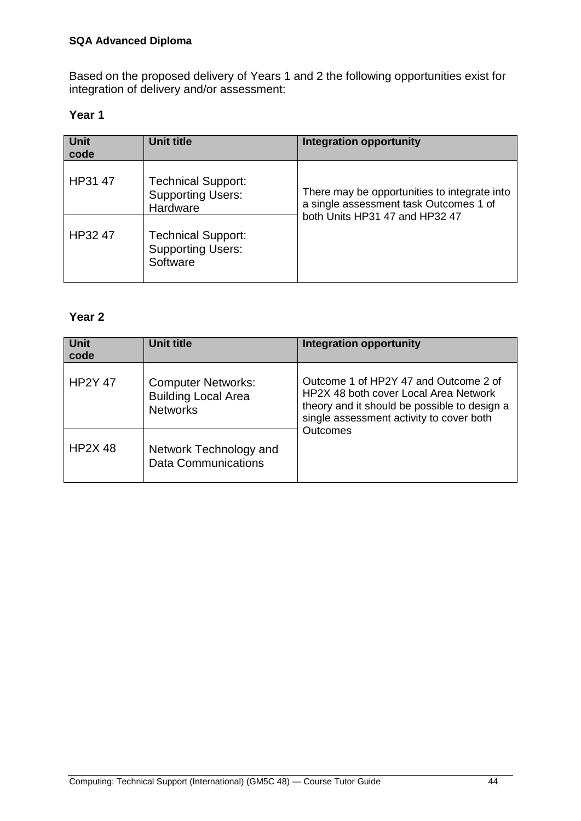Based on the proposed delivery of Years 1 and 2 the following opportunities exist for integration of delivery and/or assessment:

#### **Year 1**

| Unit<br>code | <b>Unit title</b>                                                 | <b>Integration opportunity</b>                                                                                           |
|--------------|-------------------------------------------------------------------|--------------------------------------------------------------------------------------------------------------------------|
| HP31 47      | <b>Technical Support:</b><br><b>Supporting Users:</b><br>Hardware | There may be opportunities to integrate into<br>a single assessment task Outcomes 1 of<br>both Units HP31 47 and HP32 47 |
| HP32 47      | <b>Technical Support:</b><br><b>Supporting Users:</b><br>Software |                                                                                                                          |

#### **Year 2**

| Unit<br>code   | Unit title                                                                 | <b>Integration opportunity</b>                                                                                                                                             |
|----------------|----------------------------------------------------------------------------|----------------------------------------------------------------------------------------------------------------------------------------------------------------------------|
| <b>HP2Y 47</b> | <b>Computer Networks:</b><br><b>Building Local Area</b><br><b>Networks</b> | Outcome 1 of HP2Y 47 and Outcome 2 of<br>HP2X 48 both cover Local Area Network<br>theory and it should be possible to design a<br>single assessment activity to cover both |
| <b>HP2X 48</b> | Network Technology and<br>Data Communications                              | Outcomes                                                                                                                                                                   |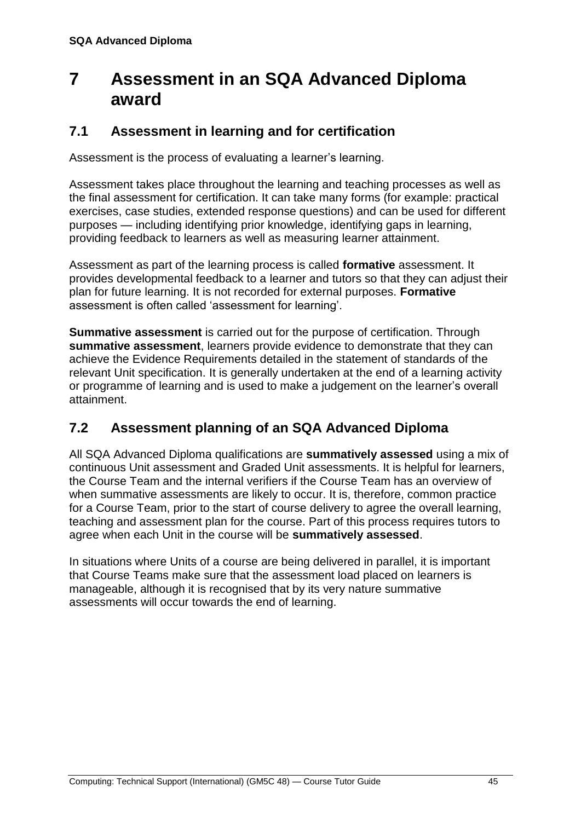## <span id="page-48-0"></span>**7 Assessment in an SQA Advanced Diploma award**

### <span id="page-48-1"></span>**7.1 Assessment in learning and for certification**

Assessment is the process of evaluating a learner's learning.

Assessment takes place throughout the learning and teaching processes as well as the final assessment for certification. It can take many forms (for example: practical exercises, case studies, extended response questions) and can be used for different purposes — including identifying prior knowledge, identifying gaps in learning, providing feedback to learners as well as measuring learner attainment.

Assessment as part of the learning process is called **formative** assessment. It provides developmental feedback to a learner and tutors so that they can adjust their plan for future learning. It is not recorded for external purposes. **Formative** assessment is often called 'assessment for learning'.

**Summative assessment** is carried out for the purpose of certification. Through **summative assessment**, learners provide evidence to demonstrate that they can achieve the Evidence Requirements detailed in the statement of standards of the relevant Unit specification. It is generally undertaken at the end of a learning activity or programme of learning and is used to make a judgement on the learner's overall attainment.

### <span id="page-48-2"></span>**7.2 Assessment planning of an SQA Advanced Diploma**

All SQA Advanced Diploma qualifications are **summatively assessed** using a mix of continuous Unit assessment and Graded Unit assessments. It is helpful for learners, the Course Team and the internal verifiers if the Course Team has an overview of when summative assessments are likely to occur. It is, therefore, common practice for a Course Team, prior to the start of course delivery to agree the overall learning, teaching and assessment plan for the course. Part of this process requires tutors to agree when each Unit in the course will be **summatively assessed**.

In situations where Units of a course are being delivered in parallel, it is important that Course Teams make sure that the assessment load placed on learners is manageable, although it is recognised that by its very nature summative assessments will occur towards the end of learning.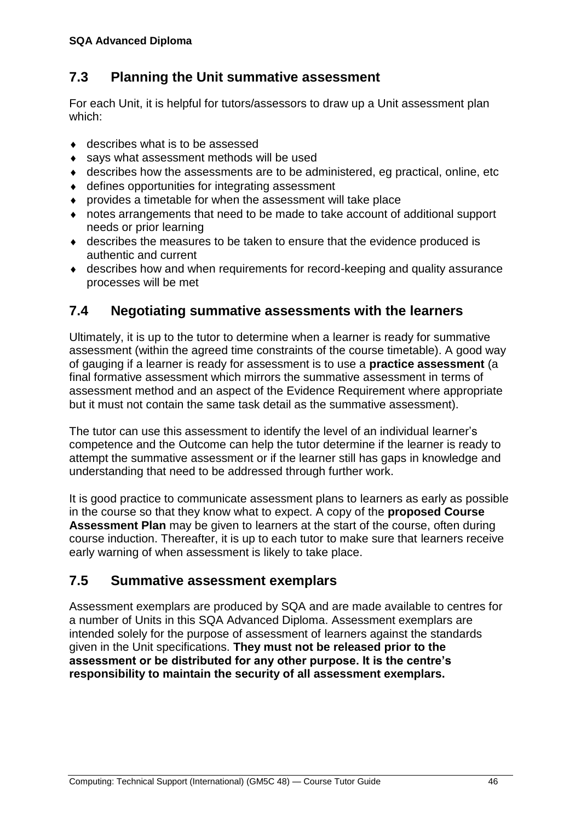### <span id="page-49-0"></span>**7.3 Planning the Unit summative assessment**

For each Unit, it is helpful for tutors/assessors to draw up a Unit assessment plan which:

- ◆ describes what is to be assessed
- says what assessment methods will be used
- describes how the assessments are to be administered, eg practical, online, etc
- defines opportunities for integrating assessment
- provides a timetable for when the assessment will take place
- notes arrangements that need to be made to take account of additional support needs or prior learning
- describes the measures to be taken to ensure that the evidence produced is authentic and current
- describes how and when requirements for record-keeping and quality assurance processes will be met

### <span id="page-49-1"></span>**7.4 Negotiating summative assessments with the learners**

Ultimately, it is up to the tutor to determine when a learner is ready for summative assessment (within the agreed time constraints of the course timetable). A good way of gauging if a learner is ready for assessment is to use a **practice assessment** (a final formative assessment which mirrors the summative assessment in terms of assessment method and an aspect of the Evidence Requirement where appropriate but it must not contain the same task detail as the summative assessment).

The tutor can use this assessment to identify the level of an individual learner's competence and the Outcome can help the tutor determine if the learner is ready to attempt the summative assessment or if the learner still has gaps in knowledge and understanding that need to be addressed through further work.

It is good practice to communicate assessment plans to learners as early as possible in the course so that they know what to expect. A copy of the **proposed Course Assessment Plan** may be given to learners at the start of the course, often during course induction. Thereafter, it is up to each tutor to make sure that learners receive early warning of when assessment is likely to take place.

### <span id="page-49-2"></span>**7.5 Summative assessment exemplars**

Assessment exemplars are produced by SQA and are made available to centres for a number of Units in this SQA Advanced Diploma. Assessment exemplars are intended solely for the purpose of assessment of learners against the standards given in the Unit specifications. **They must not be released prior to the assessment or be distributed for any other purpose. It is the centre's responsibility to maintain the security of all assessment exemplars.**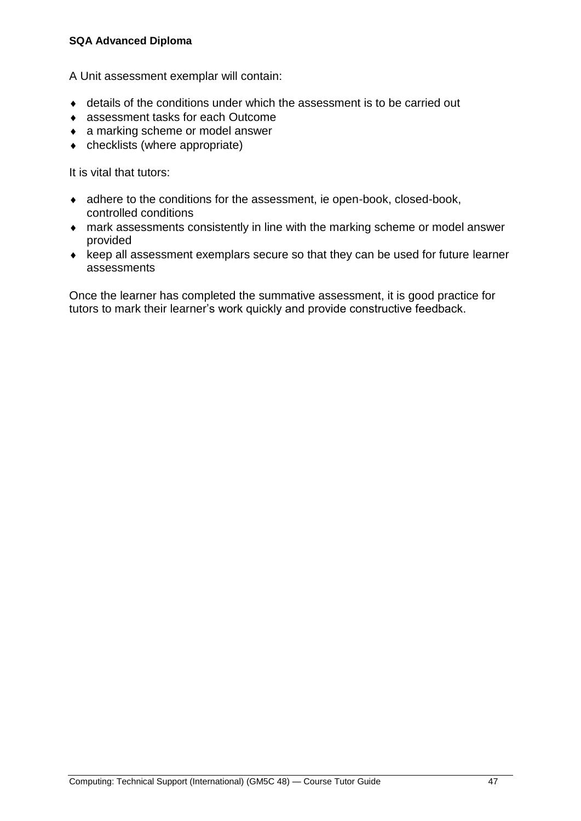#### **SQA Advanced Diploma**

A Unit assessment exemplar will contain:

- details of the conditions under which the assessment is to be carried out
- assessment tasks for each Outcome
- ◆ a marking scheme or model answer
- checklists (where appropriate)

It is vital that tutors:

- adhere to the conditions for the assessment, ie open-book, closed-book, controlled conditions
- mark assessments consistently in line with the marking scheme or model answer provided
- $\bullet$  keep all assessment exemplars secure so that they can be used for future learner assessments

Once the learner has completed the summative assessment, it is good practice for tutors to mark their learner's work quickly and provide constructive feedback.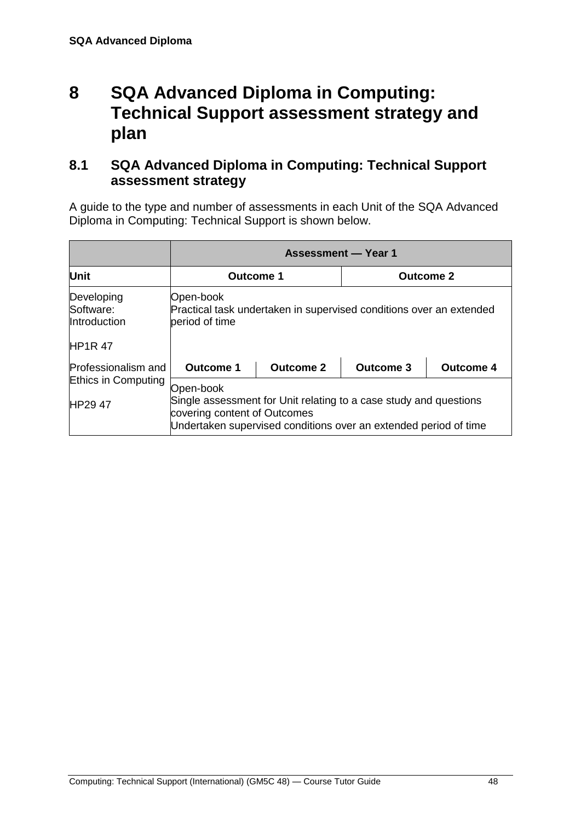## <span id="page-51-0"></span>**8 SQA Advanced Diploma in Computing: Technical Support assessment strategy and plan**

### <span id="page-51-1"></span>**8.1 SQA Advanced Diploma in Computing: Technical Support assessment strategy**

A guide to the type and number of assessments in each Unit of the SQA Advanced Diploma in Computing: Technical Support is shown below.

|                                                          | <b>Assessment — Year 1</b>                                                                                                                                                         |                  |                  |                  |  |
|----------------------------------------------------------|------------------------------------------------------------------------------------------------------------------------------------------------------------------------------------|------------------|------------------|------------------|--|
| <b>Unit</b>                                              | Outcome 1                                                                                                                                                                          |                  | <b>Outcome 2</b> |                  |  |
| Developing<br>Software:<br>Introduction<br><b>HP1R47</b> | Open-book<br>Practical task undertaken in supervised conditions over an extended<br>period of time                                                                                 |                  |                  |                  |  |
| Professionalism and                                      | <b>Outcome 1</b>                                                                                                                                                                   | <b>Outcome 2</b> | <b>Outcome 3</b> | <b>Outcome 4</b> |  |
| Ethics in Computing<br>HP29 47                           | Open-book<br>Single assessment for Unit relating to a case study and questions<br>covering content of Outcomes<br>Undertaken supervised conditions over an extended period of time |                  |                  |                  |  |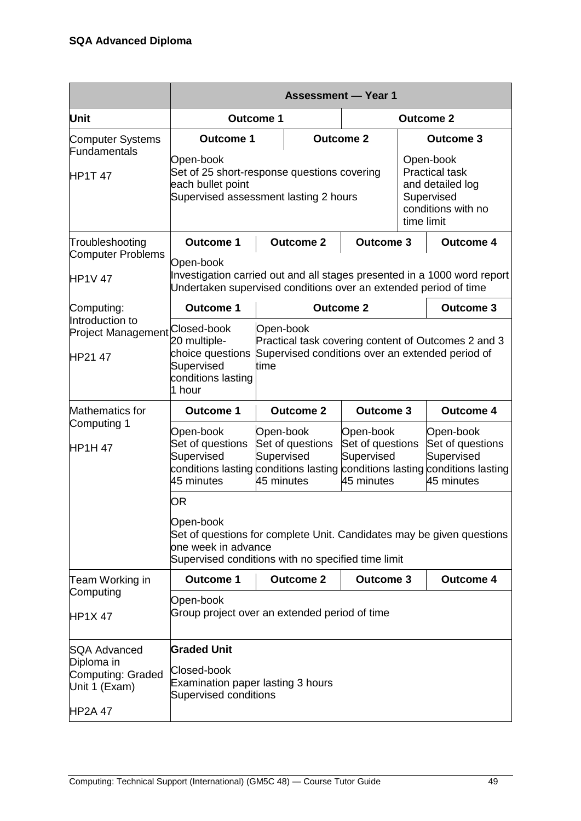|                                                                    | <b>Assessment - Year 1</b>                                                                                                                                                                                                         |                                                                                                                              |                                                           |                  |                                                                                                    |                  |  |
|--------------------------------------------------------------------|------------------------------------------------------------------------------------------------------------------------------------------------------------------------------------------------------------------------------------|------------------------------------------------------------------------------------------------------------------------------|-----------------------------------------------------------|------------------|----------------------------------------------------------------------------------------------------|------------------|--|
| <b>Unit</b>                                                        |                                                                                                                                                                                                                                    | <b>Outcome 1</b>                                                                                                             |                                                           | <b>Outcome 2</b> |                                                                                                    |                  |  |
| Computer Systems                                                   | <b>Outcome 1</b>                                                                                                                                                                                                                   |                                                                                                                              |                                                           | <b>Outcome 2</b> | <b>Outcome 3</b>                                                                                   |                  |  |
| Fundamentals<br><b>HP1T 47</b>                                     | Open-book<br>Open-book<br><b>Practical task</b><br>Set of 25 short-response questions covering<br>each bullet point<br>and detailed log<br>Supervised assessment lasting 2 hours<br>Supervised<br>conditions with no<br>time limit |                                                                                                                              |                                                           |                  |                                                                                                    |                  |  |
| Troubleshooting                                                    | <b>Outcome 1</b>                                                                                                                                                                                                                   |                                                                                                                              | <b>Outcome 2</b>                                          | <b>Outcome 3</b> |                                                                                                    | <b>Outcome 4</b> |  |
| Computer Problems<br><b>HP1V 47</b>                                | Open-book<br>Investigation carried out and all stages presented in a 1000 word report<br>Undertaken supervised conditions over an extended period of time                                                                          |                                                                                                                              |                                                           |                  |                                                                                                    |                  |  |
| Computing:                                                         | <b>Outcome 1</b>                                                                                                                                                                                                                   | <b>Outcome 2</b>                                                                                                             |                                                           |                  | <b>Outcome 3</b>                                                                                   |                  |  |
| Introduction to<br><b>Project Management</b><br>HP21 47            | Closed-book<br>20 multiple-<br>choice questions<br>Supervised<br>conditions lasting<br>1 hour                                                                                                                                      | Open-book<br>Practical task covering content of Outcomes 2 and 3<br>Supervised conditions over an extended period of<br>time |                                                           |                  |                                                                                                    |                  |  |
| Mathematics for                                                    | <b>Outcome 1</b>                                                                                                                                                                                                                   |                                                                                                                              | <b>Outcome 2</b>                                          | <b>Outcome 3</b> |                                                                                                    | <b>Outcome 4</b> |  |
| Computing 1<br><b>HP1H 47</b>                                      | Open-book<br>Open-book<br>Set of questions<br>Set of questions<br>Supervised<br>Supervised<br>conditions lasting conditions lasting<br>45 minutes<br>45 minutes                                                                    |                                                                                                                              | Open-book<br>Set of questions<br>Supervised<br>45 minutes |                  | Open-book<br>Set of questions<br>Supervised<br>conditions lasting conditions lasting<br>45 minutes |                  |  |
|                                                                    | OR                                                                                                                                                                                                                                 |                                                                                                                              |                                                           |                  |                                                                                                    |                  |  |
|                                                                    | Open-book<br>Set of questions for complete Unit. Candidates may be given questions<br>one week in advance<br>Supervised conditions with no specified time limit                                                                    |                                                                                                                              |                                                           |                  |                                                                                                    |                  |  |
| Team Working in                                                    | <b>Outcome 1</b>                                                                                                                                                                                                                   |                                                                                                                              | <b>Outcome 2</b>                                          | <b>Outcome 3</b> |                                                                                                    | <b>Outcome 4</b> |  |
| Computing<br><b>HP1X47</b>                                         | Open-book<br>Group project over an extended period of time                                                                                                                                                                         |                                                                                                                              |                                                           |                  |                                                                                                    |                  |  |
| <b>SQA Advanced</b>                                                | <b>Graded Unit</b>                                                                                                                                                                                                                 |                                                                                                                              |                                                           |                  |                                                                                                    |                  |  |
| Diploma in<br>Computing: Graded<br>Unit 1 (Exam)<br><b>HP2A 47</b> | Closed-book<br>Examination paper lasting 3 hours<br><b>Supervised conditions</b>                                                                                                                                                   |                                                                                                                              |                                                           |                  |                                                                                                    |                  |  |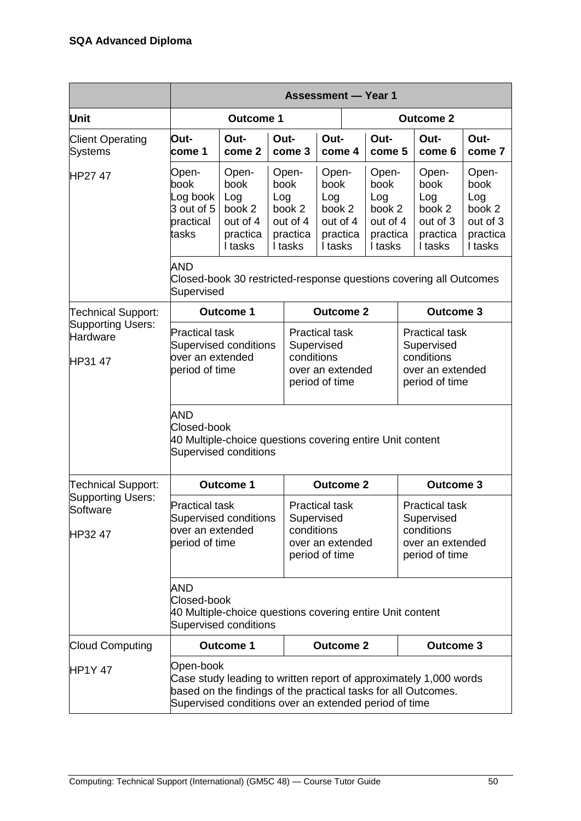|                                                                                                          | <b>Assessment - Year 1</b>                                                                                      |                                                                                                                                                                                                           |                                                                                         |                                                                                                                                                                                    |                  |                                                                                         |                |                                                                   |                                                                   |                |
|----------------------------------------------------------------------------------------------------------|-----------------------------------------------------------------------------------------------------------------|-----------------------------------------------------------------------------------------------------------------------------------------------------------------------------------------------------------|-----------------------------------------------------------------------------------------|------------------------------------------------------------------------------------------------------------------------------------------------------------------------------------|------------------|-----------------------------------------------------------------------------------------|----------------|-------------------------------------------------------------------|-------------------------------------------------------------------|----------------|
| Unit                                                                                                     |                                                                                                                 | <b>Outcome 1</b>                                                                                                                                                                                          |                                                                                         |                                                                                                                                                                                    |                  | <b>Outcome 2</b>                                                                        |                |                                                                   |                                                                   |                |
| <b>Client Operating</b><br><b>Systems</b>                                                                | Out-<br>come 1                                                                                                  | Out-<br>come 2                                                                                                                                                                                            | Out-                                                                                    | come 3                                                                                                                                                                             | Out-<br>come 4   |                                                                                         | Out-<br>come 5 |                                                                   | Out-<br>come 6                                                    | Out-<br>come 7 |
| HP27 47                                                                                                  | Open-<br>book<br>Log book<br>3 out of 5<br>practical<br>tasks                                                   | Open-<br>Open-<br>book<br>book<br>Log<br>Log<br>book 2<br>book 2<br>out of 4<br>out of 4<br>practica<br>practica<br>I tasks<br>I tasks                                                                    |                                                                                         | Open-<br>book<br>Log<br>book 2<br>out of 4<br>practica<br>I tasks                                                                                                                  |                  | Open-<br>book<br>Log<br>book 2<br>out of 4<br>practica<br>I tasks                       |                | Open-<br>book<br>Log<br>book 2<br>out of 3<br>practica<br>I tasks | Open-<br>book<br>Log<br>book 2<br>out of 3<br>practica<br>I tasks |                |
|                                                                                                          | AND<br>Supervised                                                                                               | Closed-book 30 restricted-response questions covering all Outcomes                                                                                                                                        |                                                                                         |                                                                                                                                                                                    |                  |                                                                                         |                |                                                                   |                                                                   |                |
| <b>Technical Support:</b>                                                                                |                                                                                                                 | <b>Outcome 1</b>                                                                                                                                                                                          |                                                                                         |                                                                                                                                                                                    | <b>Outcome 2</b> |                                                                                         |                |                                                                   | <b>Outcome 3</b>                                                  |                |
| Supporting Users:<br>Hardware<br>HP31 47                                                                 | <b>Practical task</b><br>Supervised conditions<br>over an extended<br>period of time                            |                                                                                                                                                                                                           | <b>Practical task</b><br>Supervised<br>conditions<br>over an extended<br>period of time |                                                                                                                                                                                    |                  | <b>Practical task</b><br>Supervised<br>conditions<br>over an extended<br>period of time |                |                                                                   |                                                                   |                |
|                                                                                                          | AND<br>Closed-book<br>40 Multiple-choice questions covering entire Unit content<br><b>Supervised conditions</b> |                                                                                                                                                                                                           |                                                                                         |                                                                                                                                                                                    |                  |                                                                                         |                |                                                                   |                                                                   |                |
| Technical Support:                                                                                       |                                                                                                                 | <b>Outcome 1</b>                                                                                                                                                                                          |                                                                                         |                                                                                                                                                                                    | <b>Outcome 2</b> |                                                                                         |                |                                                                   | <b>Outcome 3</b>                                                  |                |
| <b>Supporting Users:</b><br>Software<br>HP32 47                                                          | <b>Practical task</b><br>Supervised conditions<br>over an extended<br>period of time                            |                                                                                                                                                                                                           |                                                                                         | <b>Practical task</b><br><b>Practical task</b><br>Supervised<br>Supervised<br>conditions<br>conditions<br>over an extended<br>over an extended<br>period of time<br>period of time |                  |                                                                                         |                |                                                                   |                                                                   |                |
| AND<br>Closed-book<br>40 Multiple-choice questions covering entire Unit content<br>Supervised conditions |                                                                                                                 |                                                                                                                                                                                                           |                                                                                         |                                                                                                                                                                                    |                  |                                                                                         |                |                                                                   |                                                                   |                |
| <b>Cloud Computing</b>                                                                                   |                                                                                                                 | <b>Outcome 1</b>                                                                                                                                                                                          |                                                                                         |                                                                                                                                                                                    | <b>Outcome 2</b> |                                                                                         |                |                                                                   | <b>Outcome 3</b>                                                  |                |
| <b>HP1Y 47</b>                                                                                           |                                                                                                                 | Open-book<br>Case study leading to written report of approximately 1,000 words<br>based on the findings of the practical tasks for all Outcomes.<br>Supervised conditions over an extended period of time |                                                                                         |                                                                                                                                                                                    |                  |                                                                                         |                |                                                                   |                                                                   |                |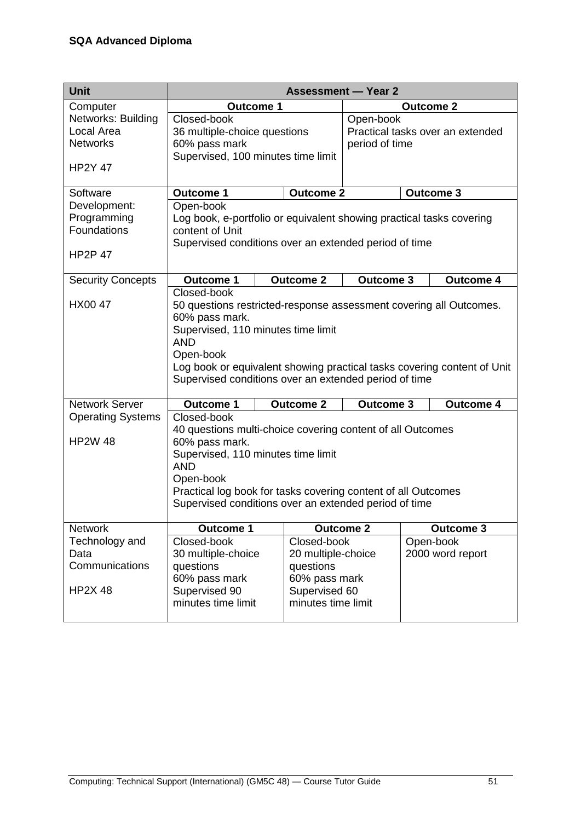| <b>Unit</b>                                                           |                                                                                                                                                                                                                                                                                                          |                                                                                                        | <b>Assessment - Year 2</b> |  |                               |
|-----------------------------------------------------------------------|----------------------------------------------------------------------------------------------------------------------------------------------------------------------------------------------------------------------------------------------------------------------------------------------------------|--------------------------------------------------------------------------------------------------------|----------------------------|--|-------------------------------|
| Computer                                                              | <b>Outcome 1</b>                                                                                                                                                                                                                                                                                         |                                                                                                        | <b>Outcome 2</b>           |  |                               |
| Networks: Building<br>Local Area<br><b>Networks</b><br><b>HP2Y 47</b> | Closed-book<br>36 multiple-choice questions<br>60% pass mark<br>Supervised, 100 minutes time limit                                                                                                                                                                                                       | Open-book<br>Practical tasks over an extended<br>period of time                                        |                            |  |                               |
| Software                                                              | <b>Outcome 1</b>                                                                                                                                                                                                                                                                                         | <b>Outcome 2</b>                                                                                       |                            |  | <b>Outcome 3</b>              |
| Development:<br>Programming<br>Foundations<br><b>HP2P 47</b>          | Open-book<br>Log book, e-portfolio or equivalent showing practical tasks covering<br>content of Unit<br>Supervised conditions over an extended period of time                                                                                                                                            |                                                                                                        |                            |  |                               |
| <b>Security Concepts</b>                                              | <b>Outcome 1</b>                                                                                                                                                                                                                                                                                         | <b>Outcome 2</b>                                                                                       | <b>Outcome 3</b>           |  | <b>Outcome 4</b>              |
| HX00 47                                                               | Closed-book<br>50 questions restricted-response assessment covering all Outcomes.<br>60% pass mark.<br>Supervised, 110 minutes time limit<br><b>AND</b><br>Open-book<br>Log book or equivalent showing practical tasks covering content of Unit<br>Supervised conditions over an extended period of time |                                                                                                        |                            |  |                               |
| <b>Network Server</b>                                                 | <b>Outcome 1</b>                                                                                                                                                                                                                                                                                         | <b>Outcome 2</b>                                                                                       | <b>Outcome 3</b>           |  | <b>Outcome 4</b>              |
| <b>Operating Systems</b><br><b>HP2W 48</b>                            | Closed-book<br>40 questions multi-choice covering content of all Outcomes<br>60% pass mark.<br>Supervised, 110 minutes time limit<br><b>AND</b><br>Open-book<br>Practical log book for tasks covering content of all Outcomes<br>Supervised conditions over an extended period of time                   |                                                                                                        |                            |  |                               |
| <b>Network</b>                                                        | <b>Outcome 1</b>                                                                                                                                                                                                                                                                                         |                                                                                                        | Outcome <sub>2</sub>       |  | <b>Outcome 3</b>              |
| Technology and<br>Data<br>Communications<br><b>HP2X 48</b>            | Closed-book<br>30 multiple-choice<br>questions<br>60% pass mark<br>Supervised 90<br>minutes time limit                                                                                                                                                                                                   | Closed-book<br>20 multiple-choice<br>questions<br>60% pass mark<br>Supervised 60<br>minutes time limit |                            |  | Open-book<br>2000 word report |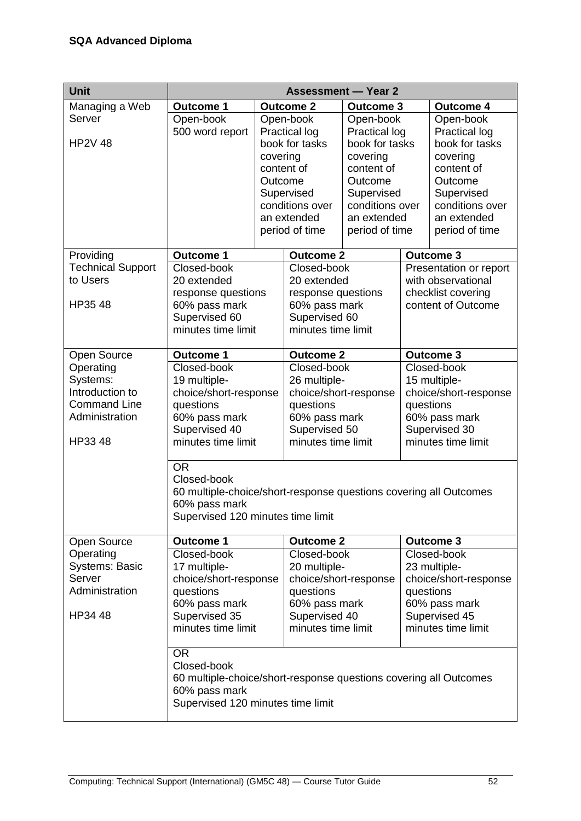| <b>Unit</b>                                                                                  | <b>Assessment - Year 2</b>                                                                                                                            |                                   |                                                                                                                                                                                                |                                                                                                                                                            |                                                                                                                           |                                                                                                                                                                                                          |  |
|----------------------------------------------------------------------------------------------|-------------------------------------------------------------------------------------------------------------------------------------------------------|-----------------------------------|------------------------------------------------------------------------------------------------------------------------------------------------------------------------------------------------|------------------------------------------------------------------------------------------------------------------------------------------------------------|---------------------------------------------------------------------------------------------------------------------------|----------------------------------------------------------------------------------------------------------------------------------------------------------------------------------------------------------|--|
|                                                                                              | <b>Outcome 1</b>                                                                                                                                      |                                   | <b>Outcome 2</b>                                                                                                                                                                               | <b>Outcome 3</b>                                                                                                                                           |                                                                                                                           | <b>Outcome 4</b>                                                                                                                                                                                         |  |
| Managing a Web<br>Server<br><b>HP2V 48</b><br>Providing<br><b>Technical Support</b>          | Open-book<br>500 word report<br><b>Outcome 1</b><br>Closed-book                                                                                       | covering<br>content of<br>Outcome | Open-book<br><b>Practical log</b><br>book for tasks<br>Supervised<br>conditions over<br>an extended<br>period of time<br>Outcome <sub>2</sub><br>Closed-book                                   | Open-book<br><b>Practical log</b><br>book for tasks<br>covering<br>content of<br>Outcome<br>Supervised<br>conditions over<br>an extended<br>period of time |                                                                                                                           | Open-book<br><b>Practical log</b><br>book for tasks<br>covering<br>content of<br>Outcome<br>Supervised<br>conditions over<br>an extended<br>period of time<br><b>Outcome 3</b><br>Presentation or report |  |
| to Users<br>HP35 48                                                                          | 20 extended<br>response questions<br>60% pass mark<br>Supervised 60<br>minutes time limit                                                             |                                   |                                                                                                                                                                                                | 20 extended<br>response questions<br>60% pass mark<br>Supervised 60<br>minutes time limit                                                                  |                                                                                                                           | with observational<br>checklist covering<br>content of Outcome                                                                                                                                           |  |
| Open Source                                                                                  | <b>Outcome 1</b>                                                                                                                                      |                                   | <b>Outcome 2</b>                                                                                                                                                                               |                                                                                                                                                            |                                                                                                                           | <b>Outcome 3</b>                                                                                                                                                                                         |  |
| Operating<br>Systems:<br>Introduction to<br><b>Command Line</b><br>Administration<br>HP33 48 | Closed-book<br>19 multiple-<br>choice/short-response<br>questions<br>60% pass mark<br>Supervised 40<br>minutes time limit<br><b>OR</b><br>Closed-book |                                   | Closed-book<br>26 multiple-<br>choice/short-response<br>questions<br>60% pass mark<br>Supervised 50<br>minutes time limit<br>60 multiple-choice/short-response questions covering all Outcomes |                                                                                                                                                            | Closed-book<br>15 multiple-<br>choice/short-response<br>questions<br>60% pass mark<br>Supervised 30<br>minutes time limit |                                                                                                                                                                                                          |  |
|                                                                                              | 60% pass mark<br>Supervised 120 minutes time limit                                                                                                    |                                   |                                                                                                                                                                                                |                                                                                                                                                            |                                                                                                                           |                                                                                                                                                                                                          |  |
| Open Source                                                                                  | <b>Outcome 1</b>                                                                                                                                      |                                   | <b>Outcome 2</b>                                                                                                                                                                               |                                                                                                                                                            |                                                                                                                           | <b>Outcome 3</b>                                                                                                                                                                                         |  |
| Operating<br><b>Systems: Basic</b><br>Server<br>Administration<br>HP34 48                    | Closed-book<br>17 multiple-<br>choice/short-response<br>questions<br>60% pass mark<br>Supervised 35<br>minutes time limit                             |                                   | Closed-book<br>20 multiple-<br>questions<br>60% pass mark<br>Supervised 40<br>minutes time limit                                                                                               | choice/short-response                                                                                                                                      |                                                                                                                           | Closed-book<br>23 multiple-<br>choice/short-response<br>questions<br>60% pass mark<br>Supervised 45<br>minutes time limit                                                                                |  |
|                                                                                              | <b>OR</b><br>Closed-book<br>60 multiple-choice/short-response questions covering all Outcomes<br>60% pass mark<br>Supervised 120 minutes time limit   |                                   |                                                                                                                                                                                                |                                                                                                                                                            |                                                                                                                           |                                                                                                                                                                                                          |  |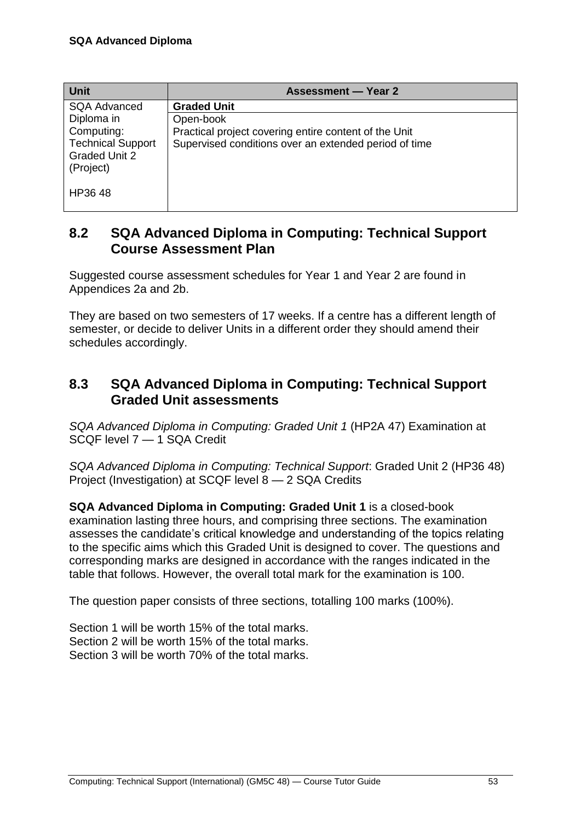| <b>Unit</b>              | <b>Assessment — Year 2</b>                            |
|--------------------------|-------------------------------------------------------|
| <b>SQA Advanced</b>      | <b>Graded Unit</b>                                    |
| Diploma in               | Open-book                                             |
| Computing:               | Practical project covering entire content of the Unit |
| <b>Technical Support</b> | Supervised conditions over an extended period of time |
| <b>Graded Unit 2</b>     |                                                       |
| (Project)                |                                                       |
|                          |                                                       |
| HP3648                   |                                                       |
|                          |                                                       |

### <span id="page-56-0"></span>**8.2 SQA Advanced Diploma in Computing: Technical Support Course Assessment Plan**

Suggested course assessment schedules for Year 1 and Year 2 are found in Appendices 2a and 2b.

They are based on two semesters of 17 weeks. If a centre has a different length of semester, or decide to deliver Units in a different order they should amend their schedules accordingly.

### <span id="page-56-1"></span>**8.3 SQA Advanced Diploma in Computing: Technical Support Graded Unit assessments**

*SQA Advanced Diploma in Computing: Graded Unit 1* (HP2A 47) Examination at SCQF level 7 — 1 SQA Credit

*SQA Advanced Diploma in Computing: Technical Support*: Graded Unit 2 (HP36 48) Project (Investigation) at SCQF level 8 — 2 SQA Credits

**SQA Advanced Diploma in Computing: Graded Unit 1** is a closed-book examination lasting three hours, and comprising three sections. The examination assesses the candidate's critical knowledge and understanding of the topics relating to the specific aims which this Graded Unit is designed to cover. The questions and corresponding marks are designed in accordance with the ranges indicated in the table that follows. However, the overall total mark for the examination is 100.

The question paper consists of three sections, totalling 100 marks (100%).

Section 1 will be worth 15% of the total marks. Section 2 will be worth 15% of the total marks. Section 3 will be worth 70% of the total marks.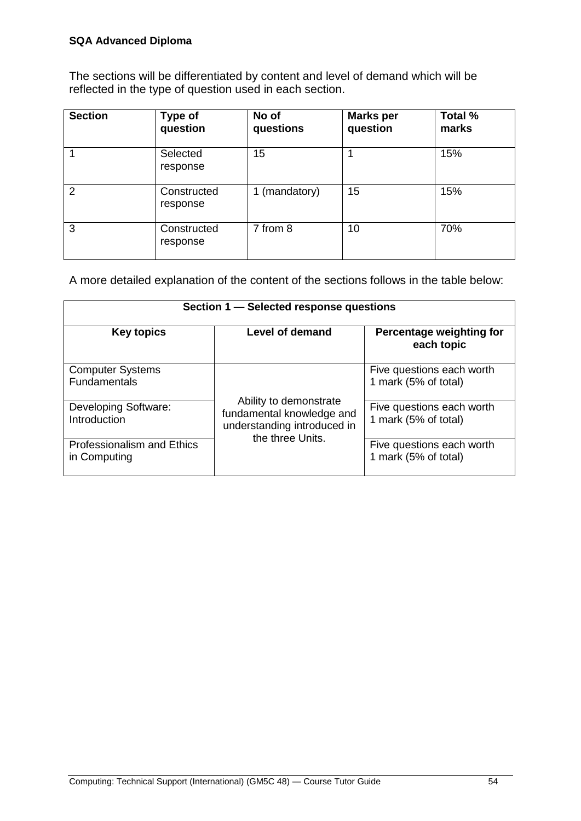#### **SQA Advanced Diploma**

The sections will be differentiated by content and level of demand which will be reflected in the type of question used in each section.

| <b>Section</b> | Type of<br>question     | No of<br>questions | <b>Marks per</b><br>question | <b>Total %</b><br>marks |
|----------------|-------------------------|--------------------|------------------------------|-------------------------|
|                | Selected<br>response    | 15                 |                              | 15%                     |
| 2              | Constructed<br>response | 1 (mandatory)      | 15                           | 15%                     |
| 3              | Constructed<br>response | 7 from 8           | 10                           | 70%                     |

A more detailed explanation of the content of the sections follows in the table below:

| Section 1 - Selected response questions        |                                                                                                        |                                                   |  |  |  |
|------------------------------------------------|--------------------------------------------------------------------------------------------------------|---------------------------------------------------|--|--|--|
| <b>Key topics</b>                              | <b>Level of demand</b>                                                                                 | Percentage weighting for<br>each topic            |  |  |  |
| <b>Computer Systems</b><br><b>Fundamentals</b> |                                                                                                        | Five questions each worth<br>1 mark (5% of total) |  |  |  |
| <b>Developing Software:</b><br>Introduction    | Ability to demonstrate<br>fundamental knowledge and<br>understanding introduced in<br>the three Units. | Five questions each worth<br>1 mark (5% of total) |  |  |  |
| Professionalism and Ethics<br>in Computing     |                                                                                                        | Five questions each worth<br>1 mark (5% of total) |  |  |  |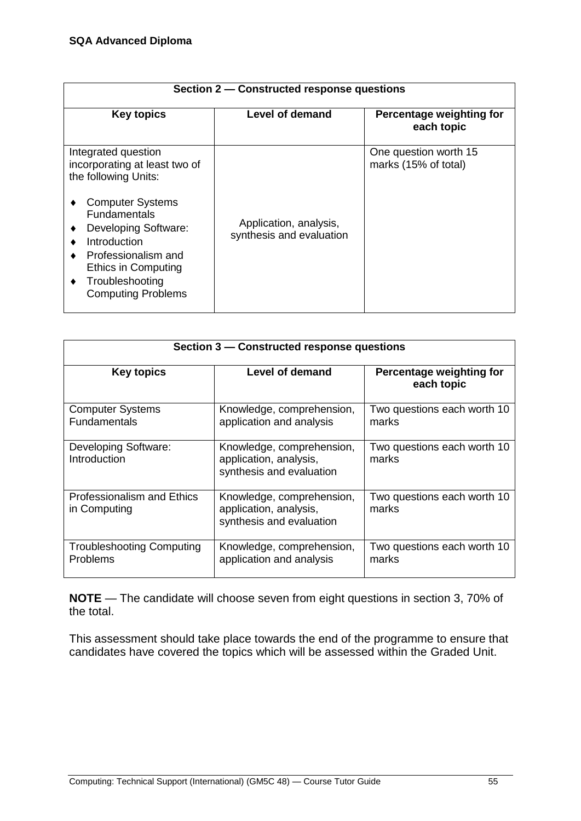| Section 2 – Constructed response questions                                                                                                                                                                                                                                       |                                                    |                                               |  |  |  |
|----------------------------------------------------------------------------------------------------------------------------------------------------------------------------------------------------------------------------------------------------------------------------------|----------------------------------------------------|-----------------------------------------------|--|--|--|
| <b>Key topics</b>                                                                                                                                                                                                                                                                | Level of demand                                    | Percentage weighting for<br>each topic        |  |  |  |
| Integrated question<br>incorporating at least two of<br>the following Units:<br><b>Computer Systems</b><br><b>Fundamentals</b><br>Developing Software:<br><b>Introduction</b><br>Professionalism and<br>Ethics in Computing<br>Troubleshooting<br>٠<br><b>Computing Problems</b> | Application, analysis,<br>synthesis and evaluation | One question worth 15<br>marks (15% of total) |  |  |  |

| Section 3 – Constructed response questions          |                                                                                 |                                        |  |  |
|-----------------------------------------------------|---------------------------------------------------------------------------------|----------------------------------------|--|--|
| <b>Key topics</b>                                   | Level of demand                                                                 | Percentage weighting for<br>each topic |  |  |
| <b>Computer Systems</b><br><b>Fundamentals</b>      | Knowledge, comprehension,<br>application and analysis                           | Two questions each worth 10<br>marks   |  |  |
| Developing Software:<br>Introduction                | Knowledge, comprehension,<br>application, analysis,<br>synthesis and evaluation | Two questions each worth 10<br>marks   |  |  |
| <b>Professionalism and Ethics</b><br>in Computing   | Knowledge, comprehension,<br>application, analysis,<br>synthesis and evaluation | Two questions each worth 10<br>marks   |  |  |
| <b>Troubleshooting Computing</b><br><b>Problems</b> | Knowledge, comprehension,<br>application and analysis                           | Two questions each worth 10<br>marks   |  |  |

**NOTE** — The candidate will choose seven from eight questions in section 3, 70% of the total.

This assessment should take place towards the end of the programme to ensure that candidates have covered the topics which will be assessed within the Graded Unit.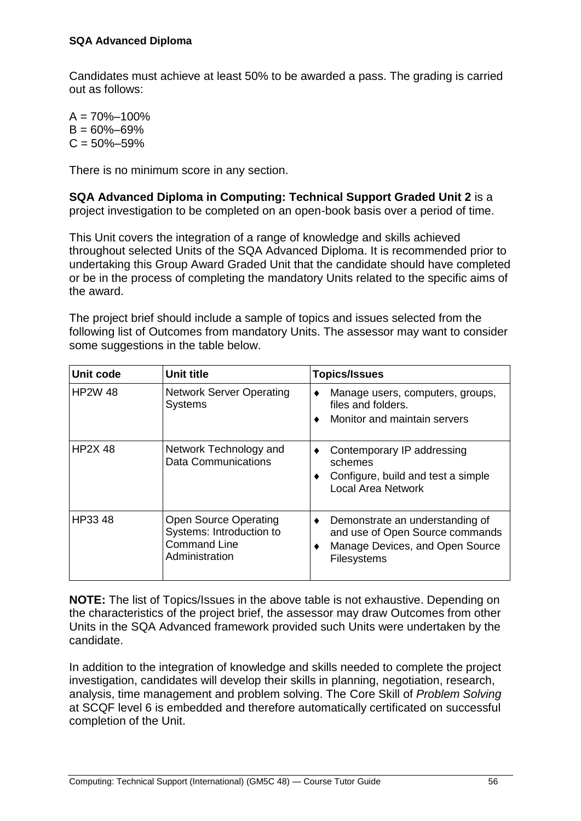Candidates must achieve at least 50% to be awarded a pass. The grading is carried out as follows:

 $A = 70\% - 100\%$  $B = 60\% - 69\%$  $C = 50\% - 59\%$ 

There is no minimum score in any section.

**SQA Advanced Diploma in Computing: Technical Support Graded Unit 2** is a project investigation to be completed on an open-book basis over a period of time.

This Unit covers the integration of a range of knowledge and skills achieved throughout selected Units of the SQA Advanced Diploma. It is recommended prior to undertaking this Group Award Graded Unit that the candidate should have completed or be in the process of completing the mandatory Units related to the specific aims of the award.

The project brief should include a sample of topics and issues selected from the following list of Outcomes from mandatory Units. The assessor may want to consider some suggestions in the table below.

| Unit code      | Unit title                                                                                        | <b>Topics/Issues</b>                                                                                                           |
|----------------|---------------------------------------------------------------------------------------------------|--------------------------------------------------------------------------------------------------------------------------------|
| <b>HP2W 48</b> | <b>Network Server Operating</b><br><b>Systems</b>                                                 | Manage users, computers, groups,<br>٠<br>files and folders.<br>Monitor and maintain servers                                    |
| <b>HP2X 48</b> | Network Technology and<br><b>Data Communications</b>                                              | Contemporary IP addressing<br>٠<br>schemes<br>Configure, build and test a simple<br>٠<br><b>Local Area Network</b>             |
| HP33 48        | <b>Open Source Operating</b><br>Systems: Introduction to<br><b>Command Line</b><br>Administration | Demonstrate an understanding of<br>٠<br>and use of Open Source commands<br>Manage Devices, and Open Source<br>٠<br>Filesystems |

**NOTE:** The list of Topics/Issues in the above table is not exhaustive. Depending on the characteristics of the project brief, the assessor may draw Outcomes from other Units in the SQA Advanced framework provided such Units were undertaken by the candidate.

In addition to the integration of knowledge and skills needed to complete the project investigation, candidates will develop their skills in planning, negotiation, research, analysis, time management and problem solving. The Core Skill of *Problem Solving*  at SCQF level 6 is embedded and therefore automatically certificated on successful completion of the Unit.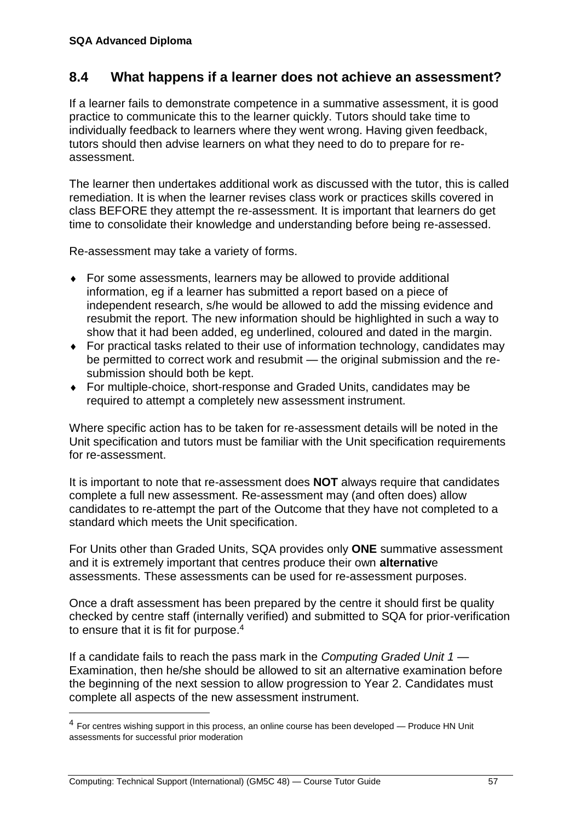### <span id="page-60-0"></span>**8.4 What happens if a learner does not achieve an assessment?**

If a learner fails to demonstrate competence in a summative assessment, it is good practice to communicate this to the learner quickly. Tutors should take time to individually feedback to learners where they went wrong. Having given feedback, tutors should then advise learners on what they need to do to prepare for reassessment.

The learner then undertakes additional work as discussed with the tutor, this is called remediation. It is when the learner revises class work or practices skills covered in class BEFORE they attempt the re-assessment. It is important that learners do get time to consolidate their knowledge and understanding before being re-assessed.

Re-assessment may take a variety of forms.

- For some assessments, learners may be allowed to provide additional information, eg if a learner has submitted a report based on a piece of independent research, s/he would be allowed to add the missing evidence and resubmit the report. The new information should be highlighted in such a way to show that it had been added, eg underlined, coloured and dated in the margin.
- For practical tasks related to their use of information technology, candidates may be permitted to correct work and resubmit — the original submission and the resubmission should both be kept.
- For multiple-choice, short-response and Graded Units, candidates may be required to attempt a completely new assessment instrument.

Where specific action has to be taken for re-assessment details will be noted in the Unit specification and tutors must be familiar with the Unit specification requirements for re-assessment.

It is important to note that re-assessment does **NOT** always require that candidates complete a full new assessment. Re-assessment may (and often does) allow candidates to re-attempt the part of the Outcome that they have not completed to a standard which meets the Unit specification.

For Units other than Graded Units, SQA provides only **ONE** summative assessment and it is extremely important that centres produce their own **alternativ**e assessments. These assessments can be used for re-assessment purposes.

Once a draft assessment has been prepared by the centre it should first be quality checked by centre staff (internally verified) and submitted to SQA for prior-verification to ensure that it is fit for purpose.<sup>4</sup>

If a candidate fails to reach the pass mark in the *Computing Graded Unit 1* — Examination, then he/she should be allowed to sit an alternative examination before the beginning of the next session to allow progression to Year 2. Candidates must complete all aspects of the new assessment instrument.

 $\overline{a}$ 

 $<sup>4</sup>$  For centres wishing support in this process, an online course has been developed — Produce HN Unit</sup> assessments for successful prior moderation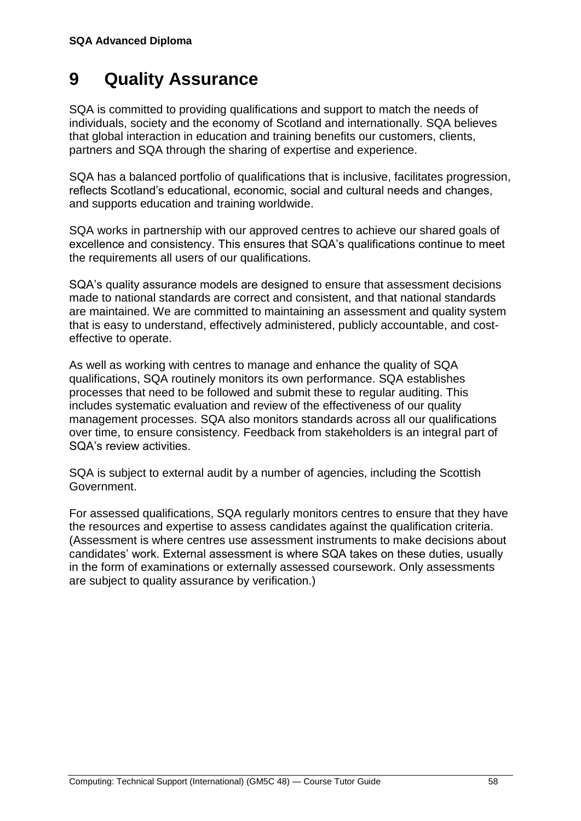## **9 Quality Assurance**

SQA is committed to providing qualifications and support to match the needs of individuals, society and the economy of Scotland and internationally. SQA believes that global interaction in education and training benefits our customers, clients, partners and SQA through the sharing of expertise and experience.

SQA has a balanced portfolio of qualifications that is inclusive, facilitates progression, reflects Scotland's educational, economic, social and cultural needs and changes, and supports education and training worldwide.

SQA works in partnership with our approved centres to achieve our shared goals of excellence and consistency. This ensures that SQA's qualifications continue to meet the requirements all users of our qualifications.

SQA's quality assurance models are designed to ensure that assessment decisions made to national standards are correct and consistent, and that national standards are maintained. We are committed to maintaining an assessment and quality system that is easy to understand, effectively administered, publicly accountable, and costeffective to operate.

As well as working with centres to manage and enhance the quality of SQA qualifications, SQA routinely monitors its own performance. SQA establishes processes that need to be followed and submit these to regular auditing. This includes systematic evaluation and review of the effectiveness of our quality management processes. SQA also monitors standards across all our qualifications over time, to ensure consistency. Feedback from stakeholders is an integral part of SQA's review activities.

SQA is subject to external audit by a number of agencies, including the Scottish Government.

For assessed qualifications, SQA regularly monitors centres to ensure that they have the resources and expertise to assess candidates against the qualification criteria. (Assessment is where centres use assessment instruments to make decisions about candidates' work. External assessment is where SQA takes on these duties, usually in the form of examinations or externally assessed coursework. Only assessments are subject to quality assurance by verification.)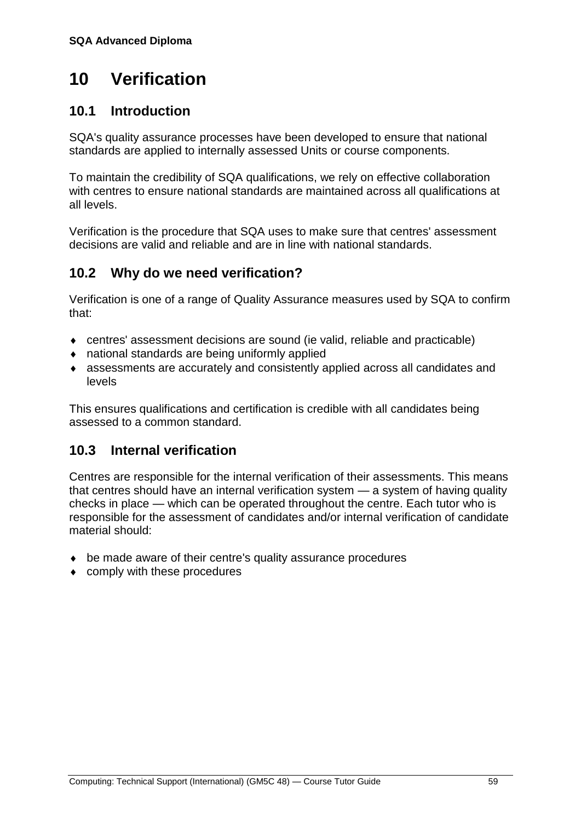## <span id="page-62-0"></span>**10 Verification**

### <span id="page-62-1"></span>**10.1 Introduction**

SQA's quality assurance processes have been developed to ensure that national standards are applied to internally assessed Units or course components.

To maintain the credibility of SQA qualifications, we rely on effective collaboration with centres to ensure national standards are maintained across all qualifications at all levels.

Verification is the procedure that SQA uses to make sure that centres' assessment decisions are valid and reliable and are in line with national standards.

### <span id="page-62-2"></span>**10.2 Why do we need verification?**

Verification is one of a range of Quality Assurance measures used by SQA to confirm that:

- centres' assessment decisions are sound (ie valid, reliable and practicable)
- national standards are being uniformly applied
- assessments are accurately and consistently applied across all candidates and levels

This ensures qualifications and certification is credible with all candidates being assessed to a common standard.

### <span id="page-62-3"></span>**10.3 Internal verification**

Centres are responsible for the internal verification of their assessments. This means that centres should have an internal verification system — a system of having quality checks in place — which can be operated throughout the centre. Each tutor who is responsible for the assessment of candidates and/or internal verification of candidate material should:

- be made aware of their centre's quality assurance procedures
- comply with these procedures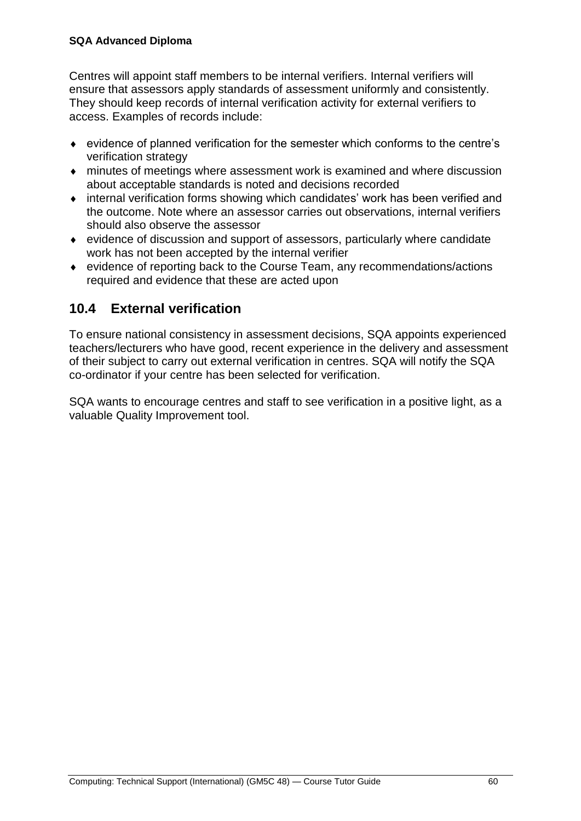#### **SQA Advanced Diploma**

Centres will appoint staff members to be internal verifiers. Internal verifiers will ensure that assessors apply standards of assessment uniformly and consistently. They should keep records of internal verification activity for external verifiers to access. Examples of records include:

- evidence of planned verification for the semester which conforms to the centre's verification strategy
- minutes of meetings where assessment work is examined and where discussion about acceptable standards is noted and decisions recorded
- internal verification forms showing which candidates' work has been verified and the outcome. Note where an assessor carries out observations, internal verifiers should also observe the assessor
- evidence of discussion and support of assessors, particularly where candidate work has not been accepted by the internal verifier
- evidence of reporting back to the Course Team, any recommendations/actions required and evidence that these are acted upon

### <span id="page-63-0"></span>**10.4 External verification**

To ensure national consistency in assessment decisions, SQA appoints experienced teachers/lecturers who have good, recent experience in the delivery and assessment of their subject to carry out external verification in centres. SQA will notify the SQA co-ordinator if your centre has been selected for verification.

SQA wants to encourage centres and staff to see verification in a positive light, as a valuable Quality Improvement tool.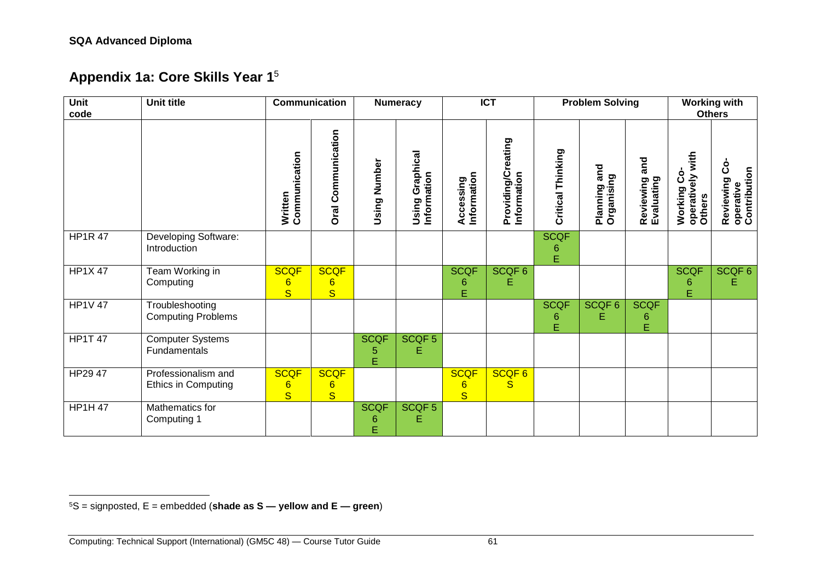<span id="page-64-0"></span>l

### **Appendix 1a: Core Skills Year 1**<sup>5</sup>

| <b>Unit</b><br>code | <b>Unit title</b>                                 |                                                           | <b>Communication</b>                                     |                       | <b>Numeracy</b>                |                                     | <b>ICT</b>                        |                       | <b>Problem Solving</b>        |                                | <b>Working with</b><br><b>Others</b>                  |                                                |  |
|---------------------|---------------------------------------------------|-----------------------------------------------------------|----------------------------------------------------------|-----------------------|--------------------------------|-------------------------------------|-----------------------------------|-----------------------|-------------------------------|--------------------------------|-------------------------------------------------------|------------------------------------------------|--|
|                     |                                                   | Communication<br>Written                                  | Communication<br><b>Oral</b>                             | Number<br>Using       | Using Graphical<br>Information | Information<br>Accessing            | Providing/Creating<br>Information | Critical Thinking     | and<br>Organising<br>Planning | and<br>Reviewing<br>Evaluating | with<br><u>ဝံ</u><br>operatively<br>Working<br>Others | င္ပံ<br>operative<br>Contribution<br>Reviewing |  |
| <b>HP1R 47</b>      | Developing Software:<br>Introduction              |                                                           |                                                          |                       |                                |                                     |                                   | <b>SCQF</b><br>6<br>E |                               |                                |                                                       |                                                |  |
| <b>HP1X 47</b>      | Team Working in<br>Computing                      | <b>SCQF</b><br>6<br>$\overline{\mathbf{s}}$               | <b>SCQF</b><br>$6\phantom{1}$<br>$\overline{\mathbf{S}}$ |                       |                                | <b>SCQF</b><br>6<br>Ė               | SCQF6<br>Е                        |                       |                               |                                | <b>SCQF</b><br>6<br>Е                                 | SCQF6<br>Е                                     |  |
| <b>HP1V 47</b>      | Troubleshooting<br><b>Computing Problems</b>      |                                                           |                                                          |                       |                                |                                     |                                   | <b>SCQF</b><br>6<br>E | SCQF <sub>6</sub><br>E        | <b>SCQF</b><br>6<br>Ė          |                                                       |                                                |  |
| <b>HP1T 47</b>      | <b>Computer Systems</b><br>Fundamentals           |                                                           |                                                          | <b>SCQF</b><br>5<br>Ė | SCQF <sub>5</sub><br>Е         |                                     |                                   |                       |                               |                                |                                                       |                                                |  |
| HP29 47             | Professionalism and<br><b>Ethics in Computing</b> | <b>SCQF</b><br>$6\phantom{1}6$<br>$\overline{\mathbf{s}}$ | <b>SCQF</b><br>$6\phantom{a}$<br>$\overline{\mathbf{s}}$ |                       |                                | <b>SCQF</b><br>$6\phantom{1}6$<br>S | SCQF6<br>S                        |                       |                               |                                |                                                       |                                                |  |
| <b>HP1H 47</b>      | Mathematics for<br>Computing 1                    |                                                           |                                                          | <b>SCQF</b><br>6<br>Ė | SCQF <sub>5</sub><br>Е         |                                     |                                   |                       |                               |                                |                                                       |                                                |  |

<sup>5</sup>S = signposted, E = embedded (**shade as S — yellow and E — green**)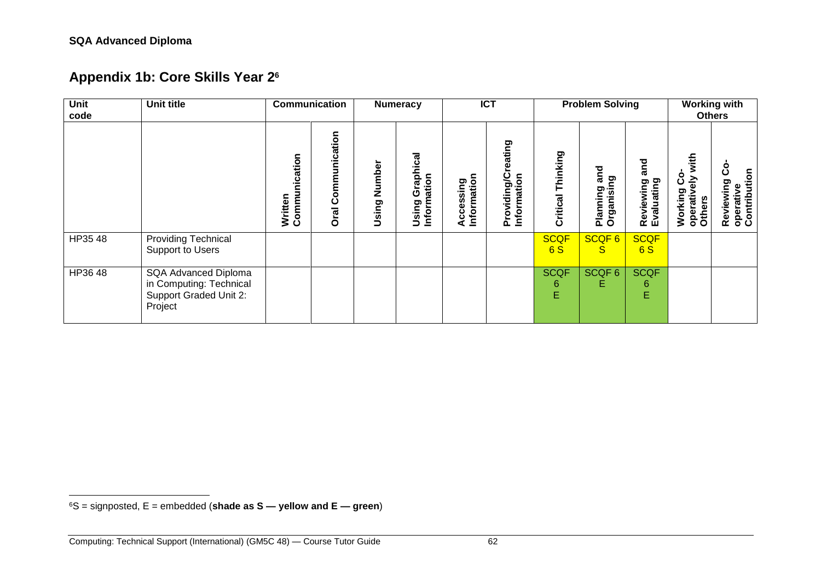<span id="page-65-0"></span>l

### **Appendix 1b: Core Skills Year 2<sup>6</sup>**

| Unit<br>code | Unit title                                                                           | Communication                |                                          |                 | <b>Numeracy</b>                   |                              | <b>ICT</b>                        |                       | <b>Problem Solving</b>        | <b>Working with</b><br><b>Others</b> |                                                      |                                                 |
|--------------|--------------------------------------------------------------------------------------|------------------------------|------------------------------------------|-----------------|-----------------------------------|------------------------------|-----------------------------------|-----------------------|-------------------------------|--------------------------------------|------------------------------------------------------|-------------------------------------------------|
|              |                                                                                      | nication<br>Commu<br>Written | ation<br><u>ت</u><br>آ<br>٥<br>ပ<br>Oral | Number<br>Using | Graphical<br>Information<br>Using | Information<br>ccessing<br>⋖ | Providing/Creating<br>Information | Thinking<br>Critical  | and<br>Organising<br>Planning | and<br>Reviewing<br>Evaluating       | with<br>۰<br>즣<br>ပ<br>Working<br>operativ<br>Others | ပိ<br>Reviewing Cc<br>operative<br>Contribution |
| HP35 48      | <b>Providing Technical</b><br>Support to Users                                       |                              |                                          |                 |                                   |                              |                                   | <b>SCQF</b><br>6S     | SCQF6<br><sub>S</sub>         | <b>SCQF</b><br>6S                    |                                                      |                                                 |
| HP36 48      | SQA Advanced Diploma<br>in Computing: Technical<br>Support Graded Unit 2:<br>Project |                              |                                          |                 |                                   |                              |                                   | <b>SCQF</b><br>6<br>E | SCQF <sub>6</sub><br>Е        | <b>SCQF</b><br>6<br>E                |                                                      |                                                 |

<sup>6</sup>S = signposted, E = embedded (**shade as S — yellow and E — green**)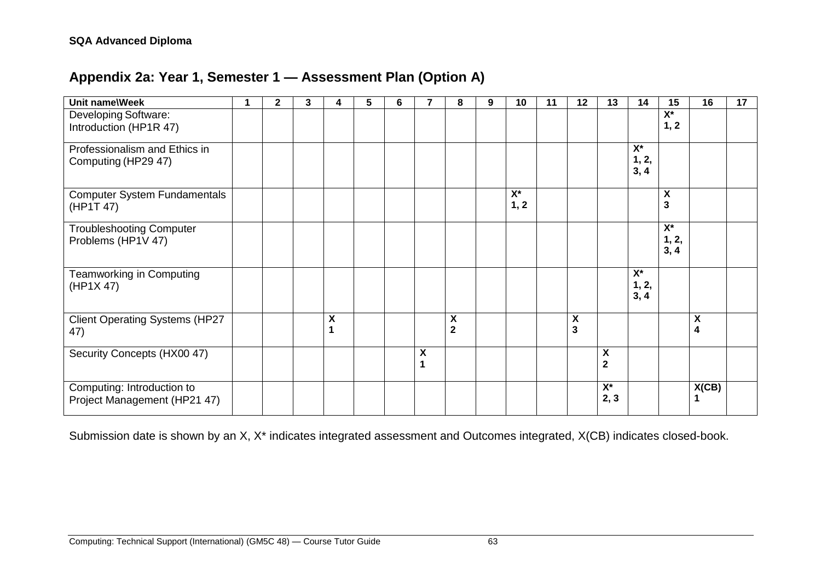### **Appendix 2a: Year 1, Semester 1 — Assessment Plan (Option A)**

<span id="page-66-0"></span>

| <b>Unit name\Week</b>                          | $\mathbf{2}$ | 3 | 4 | 5 | 6 |                    | 8                         | 9 | 10               | 11 | 12                        | 13                      | 14                 | 15                        | 16    | 17 |
|------------------------------------------------|--------------|---|---|---|---|--------------------|---------------------------|---|------------------|----|---------------------------|-------------------------|--------------------|---------------------------|-------|----|
| Developing Software:<br>Introduction (HP1R 47) |              |   |   |   |   |                    |                           |   |                  |    |                           |                         |                    | X*<br>1, 2                |       |    |
|                                                |              |   |   |   |   |                    |                           |   |                  |    |                           |                         |                    |                           |       |    |
| Professionalism and Ethics in                  |              |   |   |   |   |                    |                           |   |                  |    |                           |                         | $\mathsf{X}^\star$ |                           |       |    |
| Computing (HP29 47)                            |              |   |   |   |   |                    |                           |   |                  |    |                           |                         | 1, 2,<br>3, 4      |                           |       |    |
| <b>Computer System Fundamentals</b>            |              |   |   |   |   |                    |                           |   | $\overline{X^*}$ |    |                           |                         |                    | $\boldsymbol{\mathsf{X}}$ |       |    |
| (HP1T 47)                                      |              |   |   |   |   |                    |                           |   | 1, 2             |    |                           |                         |                    | $\mathbf{3}$              |       |    |
| <b>Troubleshooting Computer</b>                |              |   |   |   |   |                    |                           |   |                  |    |                           |                         |                    | $\overline{X^*}$          |       |    |
| Problems (HP1V 47)                             |              |   |   |   |   |                    |                           |   |                  |    |                           |                         |                    | 1, 2,<br>3, 4             |       |    |
| <b>Teamworking in Computing</b>                |              |   |   |   |   |                    |                           |   |                  |    |                           |                         | $X^*$              |                           |       |    |
| (HP1X 47)                                      |              |   |   |   |   |                    |                           |   |                  |    |                           |                         | 1, 2,              |                           |       |    |
|                                                |              |   |   |   |   |                    |                           |   |                  |    |                           |                         | 3, 4               |                           |       |    |
| <b>Client Operating Systems (HP27</b>          |              |   | X |   |   |                    | $\boldsymbol{\mathsf{X}}$ |   |                  |    | $\boldsymbol{\mathsf{X}}$ |                         |                    |                           | X     |    |
| 47)                                            |              |   | 1 |   |   |                    | $\overline{\mathbf{2}}$   |   |                  |    | $\overline{3}$            |                         |                    |                           | 4     |    |
| Security Concepts (HX00 47)                    |              |   |   |   |   | $\pmb{\mathsf{X}}$ |                           |   |                  |    |                           | X                       |                    |                           |       |    |
|                                                |              |   |   |   |   | 1                  |                           |   |                  |    |                           | $\overline{\mathbf{2}}$ |                    |                           |       |    |
| Computing: Introduction to                     |              |   |   |   |   |                    |                           |   |                  |    |                           | $\mathsf{X}^\star$      |                    |                           | X(CB) |    |
| Project Management (HP21 47)                   |              |   |   |   |   |                    |                           |   |                  |    |                           | 2, 3                    |                    |                           | 1     |    |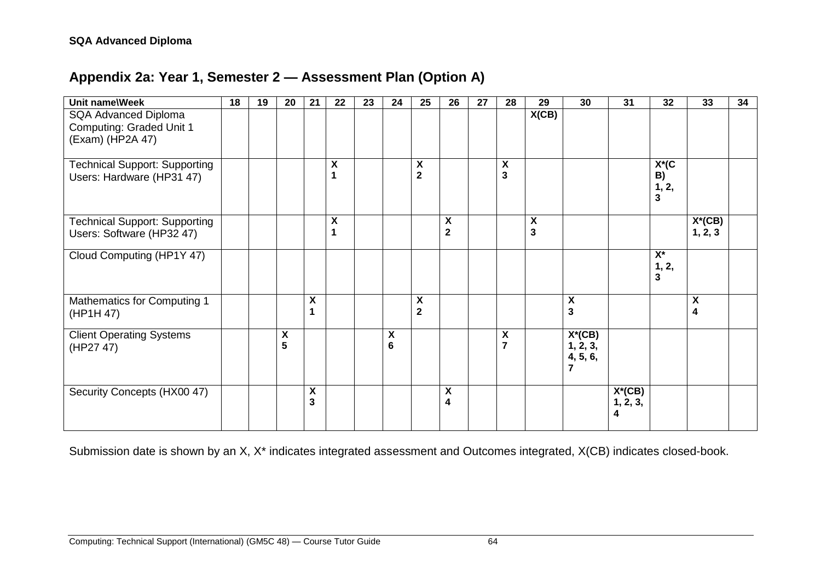### **Appendix 2a: Year 1, Semester 2 — Assessment Plan (Option A)**

| Unit name\Week                                                              | $\overline{18}$ | 19 | 20                      | 21                      | 22                      | 23 | 24     | 25                                | 26                                 | 27 | 28                                          | 29                             | $\overline{30}$                        | 31                         | 32                                                 | 33                                                   | 34 |
|-----------------------------------------------------------------------------|-----------------|----|-------------------------|-------------------------|-------------------------|----|--------|-----------------------------------|------------------------------------|----|---------------------------------------------|--------------------------------|----------------------------------------|----------------------------|----------------------------------------------------|------------------------------------------------------|----|
| SQA Advanced Diploma<br><b>Computing: Graded Unit 1</b><br>(Exam) (HP2A 47) |                 |    |                         |                         |                         |    |        |                                   |                                    |    |                                             | X(CB)                          |                                        |                            |                                                    |                                                      |    |
| <b>Technical Support: Supporting</b><br>Users: Hardware (HP31 47)           |                 |    |                         |                         | X<br>1                  |    |        | $\pmb{\mathsf{X}}$<br>$\mathbf 2$ |                                    |    | $\boldsymbol{\mathsf{X}}$<br>$\overline{3}$ |                                |                                        |                            | $X^*(C)$<br>B)<br>1, 2,<br>$\overline{\mathbf{3}}$ |                                                      |    |
| <b>Technical Support: Supporting</b><br>Users: Software (HP32 47)           |                 |    |                         |                         | $\pmb{\mathsf{X}}$<br>1 |    |        |                                   | $\pmb{\mathsf{X}}$<br>$\mathbf{2}$ |    |                                             | $\boldsymbol{\mathsf{X}}$<br>3 |                                        |                            |                                                    | $X^*(CB)$<br>1, 2, 3                                 |    |
| Cloud Computing (HP1Y 47)                                                   |                 |    |                         |                         |                         |    |        |                                   |                                    |    |                                             |                                |                                        |                            | $X^*$<br>1, 2,<br>3                                |                                                      |    |
| Mathematics for Computing 1<br>(HP1H 47)                                    |                 |    |                         | χ<br>1                  |                         |    |        | X<br>$\overline{\mathbf{2}}$      |                                    |    |                                             |                                | $\pmb{\mathsf{X}}$<br>3                |                            |                                                    | $\boldsymbol{\mathsf{X}}$<br>$\overline{\mathbf{4}}$ |    |
| <b>Client Operating Systems</b><br>(HP27 47)                                |                 |    | $\pmb{\mathsf{X}}$<br>5 |                         |                         |    | X<br>6 |                                   |                                    |    | $\boldsymbol{\mathsf{X}}$<br>$\overline{7}$ |                                | $X^*(CB)$<br>1, 2, 3,<br>4, 5, 6,<br>7 |                            |                                                    |                                                      |    |
| Security Concepts (HX00 47)                                                 |                 |    |                         | $\pmb{\mathsf{X}}$<br>3 |                         |    |        |                                   | χ<br>4                             |    |                                             |                                |                                        | $X^*(CB)$<br>1, 2, 3,<br>4 |                                                    |                                                      |    |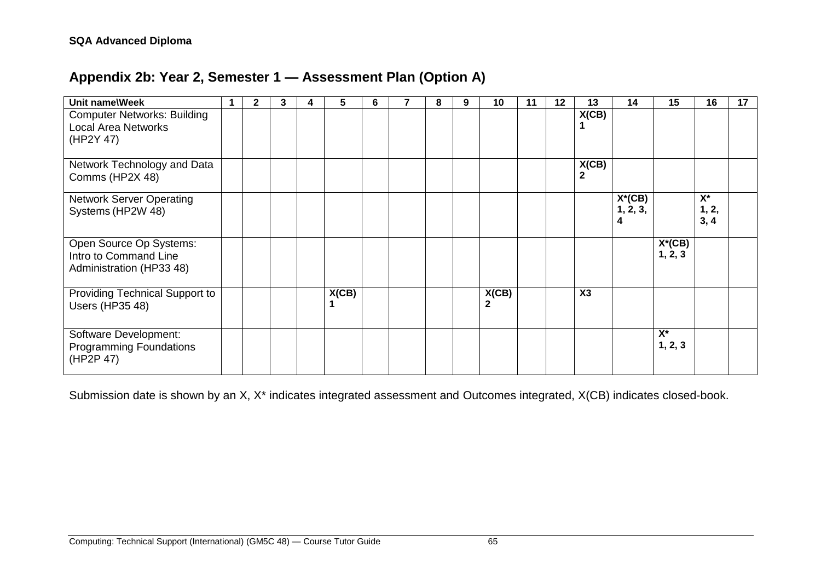### **Appendix 2b: Year 2, Semester 1 — Assessment Plan (Option A)**

<span id="page-68-0"></span>

| Unit name\Week                     | $\mathbf{2}$ | 3 | 4 | 5.    | 6 | 8 | 9 | 10           | 11 | $12 \,$ | 13             | 14        | 15        | 16    | 17 |
|------------------------------------|--------------|---|---|-------|---|---|---|--------------|----|---------|----------------|-----------|-----------|-------|----|
| <b>Computer Networks: Building</b> |              |   |   |       |   |   |   |              |    |         | X(CB)          |           |           |       |    |
| <b>Local Area Networks</b>         |              |   |   |       |   |   |   |              |    |         |                |           |           |       |    |
| (HP2Y 47)                          |              |   |   |       |   |   |   |              |    |         |                |           |           |       |    |
|                                    |              |   |   |       |   |   |   |              |    |         |                |           |           |       |    |
| Network Technology and Data        |              |   |   |       |   |   |   |              |    |         | X(CB)          |           |           |       |    |
| Comms (HP2X 48)                    |              |   |   |       |   |   |   |              |    |         | 2              |           |           |       |    |
| <b>Network Server Operating</b>    |              |   |   |       |   |   |   |              |    |         |                | $X^*(CB)$ |           | $X^*$ |    |
| Systems (HP2W 48)                  |              |   |   |       |   |   |   |              |    |         |                | 1, 2, 3,  |           | 1, 2, |    |
|                                    |              |   |   |       |   |   |   |              |    |         |                | 4         |           | 3, 4  |    |
| Open Source Op Systems:            |              |   |   |       |   |   |   |              |    |         |                |           | $X^*(CB)$ |       |    |
| Intro to Command Line              |              |   |   |       |   |   |   |              |    |         |                |           | 1, 2, 3   |       |    |
| Administration (HP33 48)           |              |   |   |       |   |   |   |              |    |         |                |           |           |       |    |
|                                    |              |   |   |       |   |   |   |              |    |         |                |           |           |       |    |
| Providing Technical Support to     |              |   |   | X(CB) |   |   |   | X(CB)        |    |         | X <sub>3</sub> |           |           |       |    |
| <b>Users (HP35 48)</b>             |              |   |   |       |   |   |   | $\mathbf{2}$ |    |         |                |           |           |       |    |
|                                    |              |   |   |       |   |   |   |              |    |         |                |           |           |       |    |
| Software Development:              |              |   |   |       |   |   |   |              |    |         |                |           | $X^*$     |       |    |
| <b>Programming Foundations</b>     |              |   |   |       |   |   |   |              |    |         |                |           | 1, 2, 3   |       |    |
| (HP2P 47)                          |              |   |   |       |   |   |   |              |    |         |                |           |           |       |    |
|                                    |              |   |   |       |   |   |   |              |    |         |                |           |           |       |    |